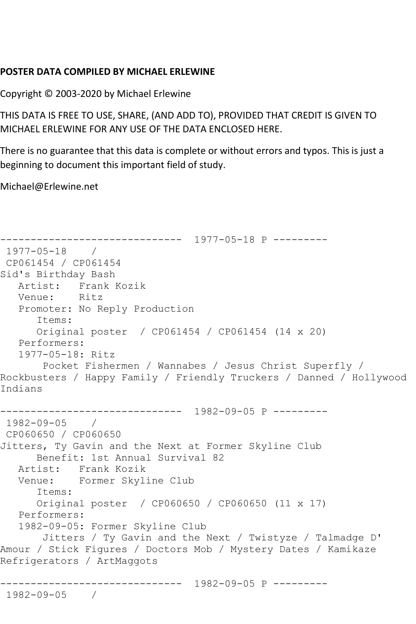## **POSTER DATA COMPILED BY MICHAEL ERLEWINE**

Copyright © 2003-2020 by Michael Erlewine

THIS DATA IS FREE TO USE, SHARE, (AND ADD TO), PROVIDED THAT CREDIT IS GIVEN TO MICHAEL ERLEWINE FOR ANY USE OF THE DATA ENCLOSED HERE.

There is no guarantee that this data is complete or without errors and typos. This is just a beginning to document this important field of study.

Michael@Erlewine.net

```
------------------------------ 1977-05-18 P ---------
1977-05-18 / 
CP061454 / CP061454
Sid's Birthday Bash
  Artist: Frank Kozik<br>Venue: Ritz
  Venue:
   Promoter: No Reply Production
       Items:
      Original poster / CP061454 / CP061454 (14 x 20)
   Performers:
   1977-05-18: Ritz
        Pocket Fishermen / Wannabes / Jesus Christ Superfly / 
Rockbusters / Happy Family / Friendly Truckers / Danned / Hollywood 
Indians
                  ------------------------------ 1982-09-05 P ---------
1982-09-05 / 
CP060650 / CP060650
Jitters, Ty Gavin and the Next at Former Skyline Club
       Benefit: 1st Annual Survival 82
  Artist: Frank Kozik<br>Venue: Former Skyl
            Former Skyline Club
       Items:
       Original poster / CP060650 / CP060650 (11 x 17)
   Performers:
    1982-09-05: Former Skyline Club
        Jitters / Ty Gavin and the Next / Twistyze / Talmadge D' 
Amour / Stick Figures / Doctors Mob / Mystery Dates / Kamikaze 
Refrigerators / ArtMaggots
------------------------------ 1982-09-05 P ---------
1982-09-05 /
```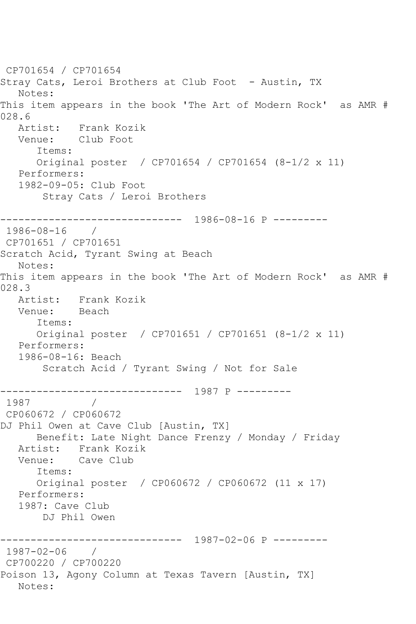CP701654 / CP701654 Stray Cats, Leroi Brothers at Club Foot - Austin, TX Notes: This item appears in the book 'The Art of Modern Rock' as AMR # 028.6<br>Artist: Frank Kozik Venue: Club Foot Items: Original poster / CP701654 / CP701654 (8-1/2 x 11) Performers: 1982-09-05: Club Foot Stray Cats / Leroi Brothers ------------------------------ 1986-08-16 P --------- 1986-08-16 / CP701651 / CP701651 Scratch Acid, Tyrant Swing at Beach Notes: This item appears in the book 'The Art of Modern Rock' as AMR # 028.3 Artist: Frank Kozik Venue: Beach Items: Original poster / CP701651 / CP701651 (8-1/2 x 11) Performers: 1986-08-16: Beach Scratch Acid / Tyrant Swing / Not for Sale ------------------------------ 1987 P --------- 1987 / CP060672 / CP060672 DJ Phil Owen at Cave Club [Austin, TX] Benefit: Late Night Dance Frenzy / Monday / Friday Artist: Frank Kozik Venue: Cave Club Items: Original poster / CP060672 / CP060672 (11 x 17) Performers: 1987: Cave Club DJ Phil Owen ------------------------------ 1987-02-06 P --------- 1987-02-06 / CP700220 / CP700220 Poison 13, Agony Column at Texas Tavern [Austin, TX] Notes: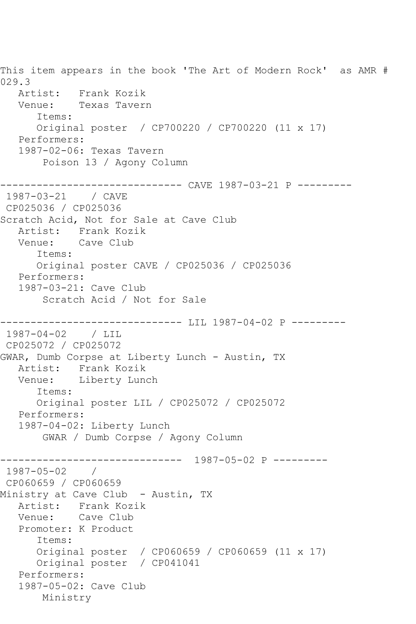This item appears in the book 'The Art of Modern Rock' as AMR # 029.3 Artist: Frank Kozik Venue: Texas Tavern Items: Original poster / CP700220 / CP700220 (11 x 17) Performers: 1987-02-06: Texas Tavern Poison 13 / Agony Column ------------------------------ CAVE 1987-03-21 P --------- 1987-03-21 / CAVE CP025036 / CP025036 Scratch Acid, Not for Sale at Cave Club Artist: Frank Kozik Venue: Cave Club Items: Original poster CAVE / CP025036 / CP025036 Performers: 1987-03-21: Cave Club Scratch Acid / Not for Sale ------------------------------ LIL 1987-04-02 P --------- 1987-04-02 / LIL CP025072 / CP025072 GWAR, Dumb Corpse at Liberty Lunch - Austin, TX Artist: Frank Kozik Venue: Liberty Lunch Items: Original poster LIL / CP025072 / CP025072 Performers: 1987-04-02: Liberty Lunch GWAR / Dumb Corpse / Agony Column ------------------------------ 1987-05-02 P --------- 1987-05-02 / CP060659 / CP060659 Ministry at Cave Club - Austin, TX Artist: Frank Kozik Venue: Cave Club Promoter: K Product Items: Original poster / CP060659 / CP060659 (11 x 17) Original poster / CP041041 Performers: 1987-05-02: Cave Club Ministry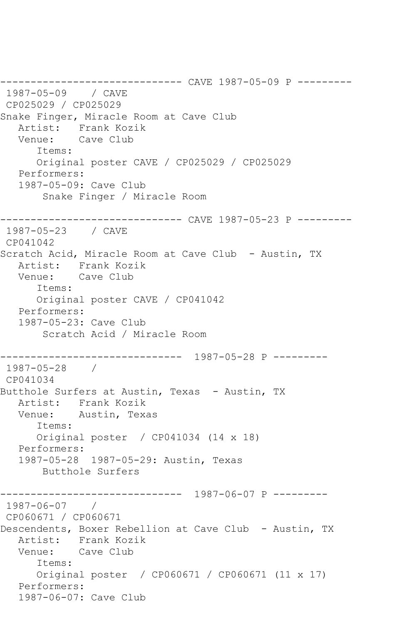------------------------------ CAVE 1987-05-09 P --------- 1987-05-09 / CAVE CP025029 / CP025029 Snake Finger, Miracle Room at Cave Club Artist: Frank Kozik<br>Venue: Cave Club Cave Club Items: Original poster CAVE / CP025029 / CP025029 Performers: 1987-05-09: Cave Club Snake Finger / Miracle Room ------------------------------ CAVE 1987-05-23 P --------- 1987-05-23 / CAVE CP041042 Scratch Acid, Miracle Room at Cave Club - Austin, TX Artist: Frank Kozik Venue: Cave Club Items: Original poster CAVE / CP041042 Performers: 1987-05-23: Cave Club Scratch Acid / Miracle Room ------------------------------ 1987-05-28 P --------- 1987-05-28 / CP041034 Butthole Surfers at Austin, Texas - Austin, TX Artist: Frank Kozik<br>Venue: Austin, Texa Austin, Texas Items: Original poster / CP041034 (14 x 18) Performers: 1987-05-28 1987-05-29: Austin, Texas Butthole Surfers ------------------------------ 1987-06-07 P --------- 1987-06-07 / CP060671 / CP060671 Descendents, Boxer Rebellion at Cave Club - Austin, TX Artist: Frank Kozik Venue: Cave Club Items: Original poster / CP060671 / CP060671 (11 x 17) Performers: 1987-06-07: Cave Club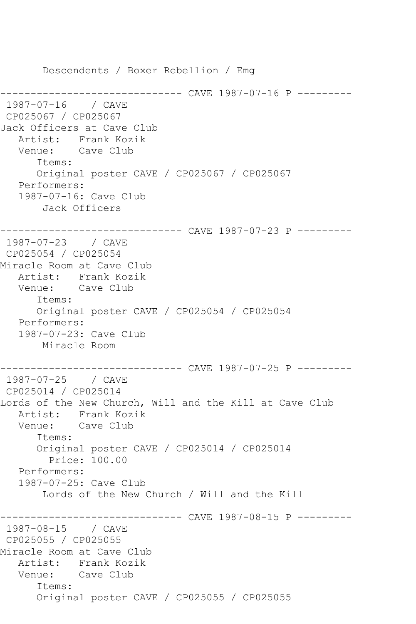Descendents / Boxer Rebellion / Emg -------------- CAVE 1987-07-16 P ---------1987-07-16 / CAVE CP025067 / CP025067 Jack Officers at Cave Club Artist: Frank Kozik Venue: Cave Club Items: Original poster CAVE / CP025067 / CP025067 Performers: 1987-07-16: Cave Club Jack Officers ------------------------------ CAVE 1987-07-23 P --------- 1987-07-23 / CAVE CP025054 / CP025054 Miracle Room at Cave Club Artist: Frank Kozik Venue: Cave Club Items: Original poster CAVE / CP025054 / CP025054 Performers: 1987-07-23: Cave Club Miracle Room ------------------------------ CAVE 1987-07-25 P --------- 1987-07-25 / CAVE CP025014 / CP025014 Lords of the New Church, Will and the Kill at Cave Club Artist: Frank Kozik Venue: Cave Club Items: Original poster CAVE / CP025014 / CP025014 Price: 100.00 Performers: 1987-07-25: Cave Club Lords of the New Church / Will and the Kill ------------------------------ CAVE 1987-08-15 P --------- 1987-08-15 / CAVE CP025055 / CP025055 Miracle Room at Cave Club Artist: Frank Kozik Venue: Cave Club Items: Original poster CAVE / CP025055 / CP025055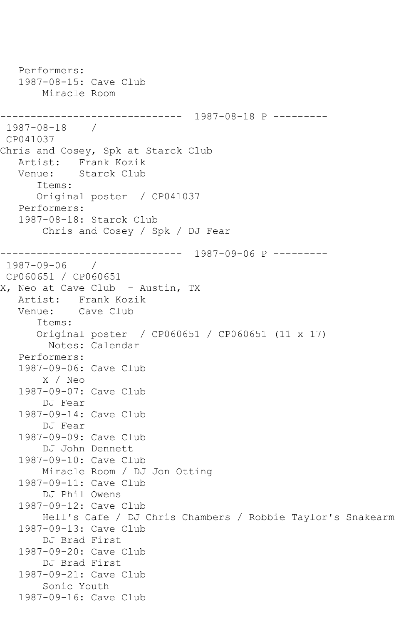```
 Performers:
    1987-08-15: Cave Club
        Miracle Room
------------------------------ 1987-08-18 P ---------
1987-08-18 / 
CP041037
Chris and Cosey, Spk at Starck Club
  Artist: Frank Kozik<br>Venue: Starck Club
            Starck Club
       Items:
       Original poster / CP041037
    Performers:
    1987-08-18: Starck Club
        Chris and Cosey / Spk / DJ Fear
------------------------------ 1987-09-06 P ---------
1987-09-06 / 
CP060651 / CP060651
X, Neo at Cave Club - Austin, TX
   Artist: Frank Kozik
   Venue: Cave Club
       Items:
       Original poster / CP060651 / CP060651 (11 x 17)
         Notes: Calendar
    Performers:
    1987-09-06: Cave Club
        X / Neo
    1987-09-07: Cave Club
        DJ Fear
    1987-09-14: Cave Club
        DJ Fear
    1987-09-09: Cave Club
        DJ John Dennett
    1987-09-10: Cave Club
        Miracle Room / DJ Jon Otting
    1987-09-11: Cave Club
        DJ Phil Owens
    1987-09-12: Cave Club
        Hell's Cafe / DJ Chris Chambers / Robbie Taylor's Snakearm
    1987-09-13: Cave Club
        DJ Brad First
    1987-09-20: Cave Club
        DJ Brad First
    1987-09-21: Cave Club
        Sonic Youth
    1987-09-16: Cave Club
```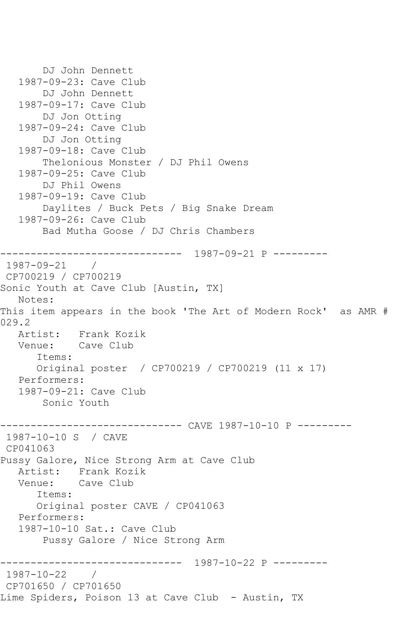```
 DJ John Dennett
   1987-09-23: Cave Club
        DJ John Dennett
   1987-09-17: Cave Club
        DJ Jon Otting
   1987-09-24: Cave Club
        DJ Jon Otting
   1987-09-18: Cave Club
        Thelonious Monster / DJ Phil Owens
   1987-09-25: Cave Club
        DJ Phil Owens
   1987-09-19: Cave Club
        Daylites / Buck Pets / Big Snake Dream
   1987-09-26: Cave Club
        Bad Mutha Goose / DJ Chris Chambers
------------------------------ 1987-09-21 P ---------
1987-09-21 / 
CP700219 / CP700219
Sonic Youth at Cave Club [Austin, TX]
   Notes: 
This item appears in the book 'The Art of Modern Rock' as AMR # 
029.2<br>: Artist
           Frank Kozik
   Venue: Cave Club
      Items:
       Original poster / CP700219 / CP700219 (11 x 17)
   Performers:
   1987-09-21: Cave Club
       Sonic Youth
------------------------------ CAVE 1987-10-10 P ---------
1987-10-10 S / CAVE 
CP041063
Pussy Galore, Nice Strong Arm at Cave Club
   Artist: Frank Kozik
   Venue: Cave Club
       Items:
      Original poster CAVE / CP041063
   Performers:
   1987-10-10 Sat.: Cave Club
        Pussy Galore / Nice Strong Arm
         ------------------------------ 1987-10-22 P ---------
1987-10-22 / 
CP701650 / CP701650
Lime Spiders, Poison 13 at Cave Club - Austin, TX
```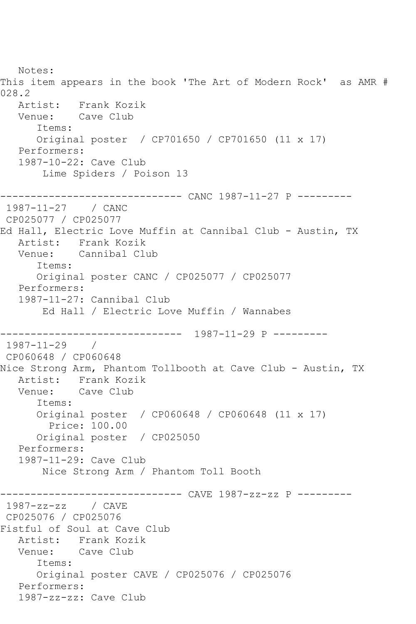```
 Notes: 
This item appears in the book 'The Art of Modern Rock' as AMR # 
028.2
  Artist: Frank Kozik<br>Venue: Cave Club
            Cave Club
       Items:
       Original poster / CP701650 / CP701650 (11 x 17)
   Performers:
   1987-10-22: Cave Club
        Lime Spiders / Poison 13
              ------------------------------ CANC 1987-11-27 P ---------
1987 - 11 - 27CP025077 / CP025077
Ed Hall, Electric Love Muffin at Cannibal Club - Austin, TX
   Artist: Frank Kozik
   Venue: Cannibal Club
       Items:
       Original poster CANC / CP025077 / CP025077
   Performers:
    1987-11-27: Cannibal Club
        Ed Hall / Electric Love Muffin / Wannabes
------------------------------ 1987-11-29 P ---------
1987-11-29 / 
CP060648 / CP060648
Nice Strong Arm, Phantom Tollbooth at Cave Club - Austin, TX
   Artist: Frank Kozik
   Venue: Cave Club
       Items:
       Original poster / CP060648 / CP060648 (11 x 17)
         Price: 100.00
       Original poster / CP025050
   Performers:
    1987-11-29: Cave Club
        Nice Strong Arm / Phantom Toll Booth
                      ------------------------------ CAVE 1987-zz-zz P ---------
1987-zz-zz / CAVE 
CP025076 / CP025076
Fistful of Soul at Cave Club
   Artist: Frank Kozik
   Venue: Cave Club
       Items:
       Original poster CAVE / CP025076 / CP025076
   Performers:
    1987-zz-zz: Cave Club
```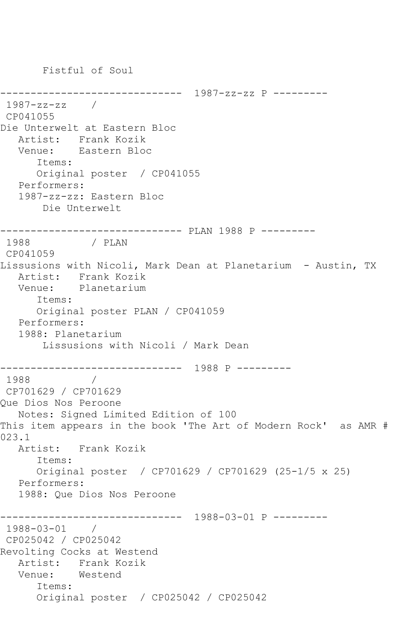------------------------------ 1987-zz-zz P --------- 1987-zz-zz / CP041055 Die Unterwelt at Eastern Bloc Artist: Frank Kozik Venue: Eastern Bloc Items: Original poster / CP041055 Performers: 1987-zz-zz: Eastern Bloc Die Unterwelt -------------------------------- PLAN 1988 P ---------<br>1988 */ PLAN* 1988 CP041059 Lissusions with Nicoli, Mark Dean at Planetarium - Austin, TX Artist: Frank Kozik Venue: Planetarium Items: Original poster PLAN / CP041059 Performers: 1988: Planetarium Lissusions with Nicoli / Mark Dean ------------------------------ 1988 P --------- 1988 / CP701629 / CP701629 Que Dios Nos Peroone Notes: Signed Limited Edition of 100 This item appears in the book 'The Art of Modern Rock' as AMR # 023.1 Artist: Frank Kozik Items: Original poster / CP701629 / CP701629 (25-1/5 x 25) Performers: 1988: Que Dios Nos Peroone ------------------------------ 1988-03-01 P --------- 1988-03-01 / CP025042 / CP025042 Revolting Cocks at Westend Artist: Frank Kozik Venue: Westend Items: Original poster / CP025042 / CP025042

Fistful of Soul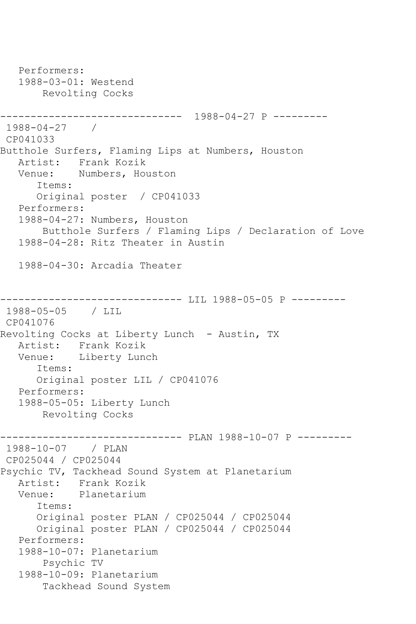Performers: 1988-03-01: Westend Revolting Cocks ------------------------------ 1988-04-27 P --------- 1988-04-27 / CP041033 Butthole Surfers, Flaming Lips at Numbers, Houston<br>Artist: Frank Kozik Artist: Frank Kozik<br>Venue: Numbers, Ho Numbers, Houston Items: Original poster / CP041033 Performers: 1988-04-27: Numbers, Houston Butthole Surfers / Flaming Lips / Declaration of Love 1988-04-28: Ritz Theater in Austin 1988-04-30: Arcadia Theater ------------------------------ LIL 1988-05-05 P --------- 1988-05-05 / LIL CP041076 Revolting Cocks at Liberty Lunch - Austin, TX Artist: Frank Kozik<br>Venue: Liberty Lun Liberty Lunch Items: Original poster LIL / CP041076 Performers: 1988-05-05: Liberty Lunch Revolting Cocks ------------------------------ PLAN 1988-10-07 P --------- 1988-10-07 / PLAN CP025044 / CP025044 Psychic TV, Tackhead Sound System at Planetarium Artist: Frank Kozik Venue: Planetarium Items: Original poster PLAN / CP025044 / CP025044 Original poster PLAN / CP025044 / CP025044 Performers: 1988-10-07: Planetarium Psychic TV 1988-10-09: Planetarium Tackhead Sound System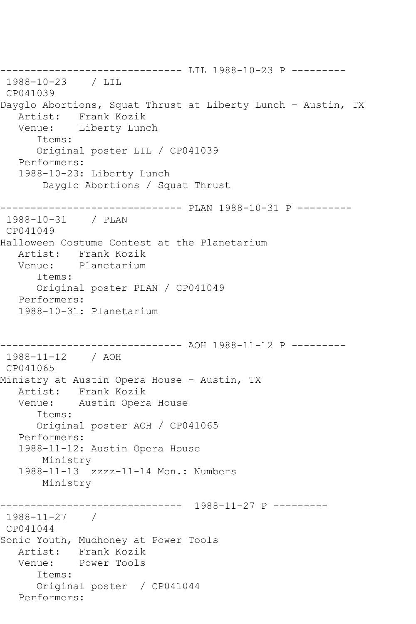------------------------------ LIL 1988-10-23 P --------- 1988-10-23 / LIL CP041039 Dayglo Abortions, Squat Thrust at Liberty Lunch - Austin, TX Artist: Frank Kozik Venue: Liberty Lunch Items: Original poster LIL / CP041039 Performers: 1988-10-23: Liberty Lunch Dayglo Abortions / Squat Thrust ------------------------------ PLAN 1988-10-31 P --------- 1988-10-31 / PLAN CP041049 Halloween Costume Contest at the Planetarium Artist: Frank Kozik<br>Venue: Planetarium Planetarium Items: Original poster PLAN / CP041049 Performers: 1988-10-31: Planetarium ------------------------------ AOH 1988-11-12 P --------- 1988-11-12 / AOH CP041065 Ministry at Austin Opera House - Austin, TX Artist: Frank Kozik Venue: Austin Opera House Items: Original poster AOH / CP041065 Performers: 1988-11-12: Austin Opera House Ministry 1988-11-13 zzzz-11-14 Mon.: Numbers Ministry ------------------------------ 1988-11-27 P --------- 1988-11-27 / CP041044 Sonic Youth, Mudhoney at Power Tools Artist: Frank Kozik Venue: Power Tools Items: Original poster / CP041044 Performers: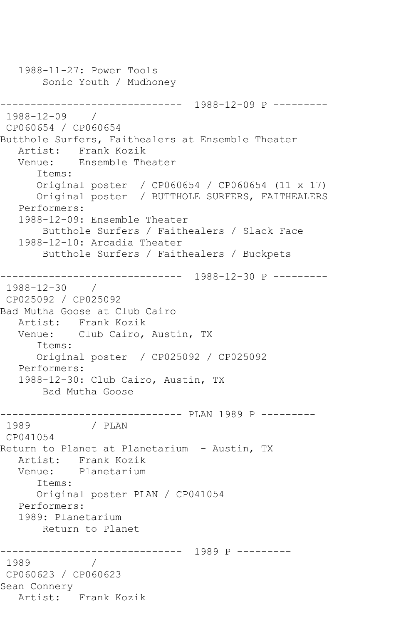1988-11-27: Power Tools Sonic Youth / Mudhoney ------------------------------ 1988-12-09 P --------- 1988-12-09 / CP060654 / CP060654 Butthole Surfers, Faithealers at Ensemble Theater Artist: Frank Kozik Venue: Ensemble Theater Items: Original poster / CP060654 / CP060654 (11 x 17) Original poster / BUTTHOLE SURFERS, FAITHEALERS Performers: 1988-12-09: Ensemble Theater Butthole Surfers / Faithealers / Slack Face 1988-12-10: Arcadia Theater Butthole Surfers / Faithealers / Buckpets ------------------------------ 1988-12-30 P --------- 1988-12-30 / CP025092 / CP025092 Bad Mutha Goose at Club Cairo Artist: Frank Kozik Venue: Club Cairo, Austin, TX Items: Original poster / CP025092 / CP025092 Performers: 1988-12-30: Club Cairo, Austin, TX Bad Mutha Goose ------------------------------ PLAN 1989 P --------- 1989 / PLAN CP041054 Return to Planet at Planetarium - Austin, TX Artist: Frank Kozik Venue: Planetarium Items: Original poster PLAN / CP041054 Performers: 1989: Planetarium Return to Planet ------------------------------ 1989 P --------- 1989 / CP060623 / CP060623 Sean Connery Artist: Frank Kozik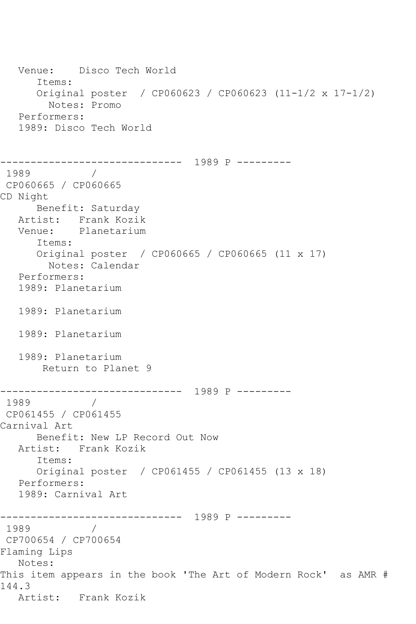```
 Venue: Disco Tech World
      Items:
      Original poster / CP060623 / CP060623 (11-1/2 x 17-1/2)
        Notes: Promo
   Performers:
   1989: Disco Tech World
                 ------------------------------ 1989 P ---------
1989 / 
CP060665 / CP060665
CD Night
      Benefit: Saturday
   Artist: Frank Kozik
   Venue: Planetarium
      Items:
      Original poster / CP060665 / CP060665 (11 x 17)
        Notes: Calendar
   Performers:
   1989: Planetarium
   1989: Planetarium
   1989: Planetarium
   1989: Planetarium
       Return to Planet 9
------------------------------ 1989 P ---------
1989 / 
CP061455 / CP061455
Carnival Art
      Benefit: New LP Record Out Now
   Artist: Frank Kozik
      Items:
      Original poster / CP061455 / CP061455 (13 x 18)
   Performers:
   1989: Carnival Art
------------------------------ 1989 P ---------
1989 / 
CP700654 / CP700654
Flaming Lips
  Notes: 
This item appears in the book 'The Art of Modern Rock' as AMR # 
144.3
   Artist: Frank Kozik
```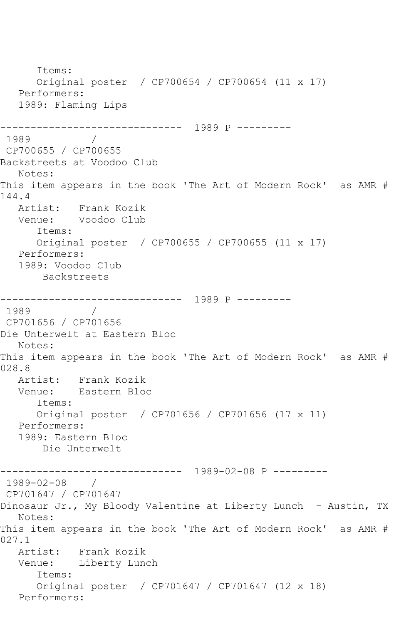Items: Original poster / CP700654 / CP700654 (11 x 17) Performers: 1989: Flaming Lips ------------------------------ 1989 P --------- 1989 / CP700655 / CP700655 Backstreets at Voodoo Club Notes: This item appears in the book 'The Art of Modern Rock' as AMR # 144.4 Artist: Frank Kozik Venue: Voodoo Club Items: Original poster / CP700655 / CP700655 (11 x 17) Performers: 1989: Voodoo Club Backstreets ------------------------------ 1989 P --------- 1989 / CP701656 / CP701656 Die Unterwelt at Eastern Bloc Notes: This item appears in the book 'The Art of Modern Rock' as AMR # 028.8 Artist: Frank Kozik Venue: Eastern Bloc Items: Original poster / CP701656 / CP701656 (17 x 11) Performers: 1989: Eastern Bloc Die Unterwelt ------------------------------ 1989-02-08 P --------- 1989-02-08 / CP701647 / CP701647 Dinosaur Jr., My Bloody Valentine at Liberty Lunch - Austin, TX Notes: This item appears in the book 'The Art of Modern Rock' as AMR # 027.1<br>Artist: Artist: Frank Kozik<br>Venue: Liberty Lun Liberty Lunch Items: Original poster / CP701647 / CP701647 (12 x 18) Performers: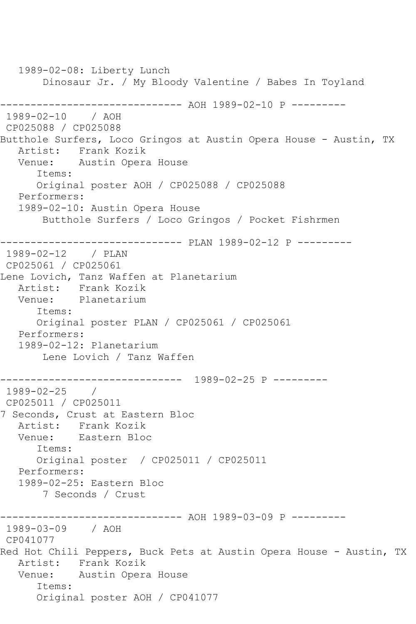1989-02-08: Liberty Lunch Dinosaur Jr. / My Bloody Valentine / Babes In Toyland ------------------------------ AOH 1989-02-10 P ---------<br>1989-02-10 / AOH 1989-02-10 CP025088 / CP025088 Butthole Surfers, Loco Gringos at Austin Opera House - Austin, TX Artist: Frank Kozik Venue: Austin Opera House Items: Original poster AOH / CP025088 / CP025088 Performers: 1989-02-10: Austin Opera House Butthole Surfers / Loco Gringos / Pocket Fishrmen ------------------------------ PLAN 1989-02-12 P --------- 1989-02-12 / PLAN CP025061 / CP025061 Lene Lovich, Tanz Waffen at Planetarium Artist: Frank Kozik Venue: Planetarium Items: Original poster PLAN / CP025061 / CP025061 Performers: 1989-02-12: Planetarium Lene Lovich / Tanz Waffen ------------------------------ 1989-02-25 P --------- 1989-02-25 / CP025011 / CP025011 7 Seconds, Crust at Eastern Bloc Artist: Frank Kozik<br>Venue: Eastern Blog Eastern Bloc Items: Original poster / CP025011 / CP025011 Performers: 1989-02-25: Eastern Bloc 7 Seconds / Crust ------------------------------ AOH 1989-03-09 P --------- 1989-03-09 / AOH CP041077 Red Hot Chili Peppers, Buck Pets at Austin Opera House - Austin, TX Artist: Frank Kozik Venue: Austin Opera House Items: Original poster AOH / CP041077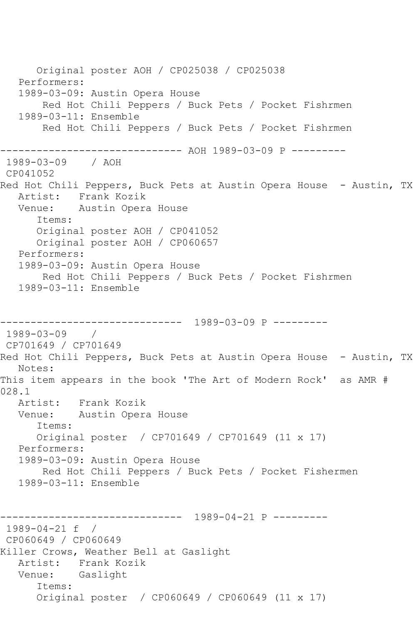Original poster AOH / CP025038 / CP025038 Performers: 1989-03-09: Austin Opera House Red Hot Chili Peppers / Buck Pets / Pocket Fishrmen 1989-03-11: Ensemble Red Hot Chili Peppers / Buck Pets / Pocket Fishrmen ------------------------------ AOH 1989-03-09 P --------- 1989-03-09 / AOH CP041052 Red Hot Chili Peppers, Buck Pets at Austin Opera House - Austin, TX Artist: Frank Kozik<br>Venue: Austin Opera Austin Opera House Items: Original poster AOH / CP041052 Original poster AOH / CP060657 Performers: 1989-03-09: Austin Opera House Red Hot Chili Peppers / Buck Pets / Pocket Fishrmen 1989-03-11: Ensemble ------------------------------ 1989-03-09 P --------- 1989-03-09 / CP701649 / CP701649 Red Hot Chili Peppers, Buck Pets at Austin Opera House - Austin, TX Notes: This item appears in the book 'The Art of Modern Rock' as AMR # 028.1 Artist: Frank Kozik Venue: Austin Opera House Items: Original poster / CP701649 / CP701649 (11 x 17) Performers: 1989-03-09: Austin Opera House Red Hot Chili Peppers / Buck Pets / Pocket Fishermen 1989-03-11: Ensemble ------------------------------ 1989-04-21 P --------- 1989-04-21 f / CP060649 / CP060649 Killer Crows, Weather Bell at Gaslight Artist: Frank Kozik Venue: Gaslight Items: Original poster / CP060649 / CP060649 (11 x 17)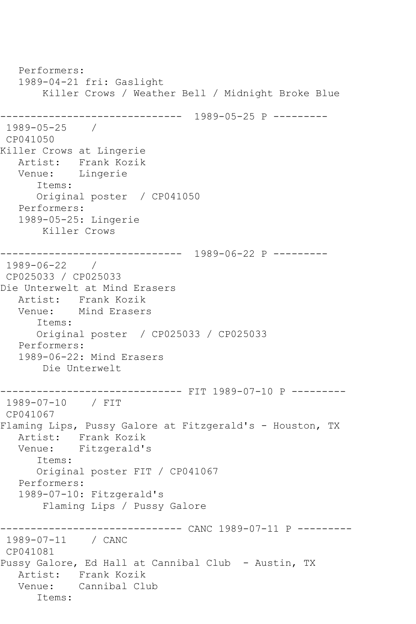Performers: 1989-04-21 fri: Gaslight Killer Crows / Weather Bell / Midnight Broke Blue ------------------------------ 1989-05-25 P --------- 1989-05-25 / CP041050 Killer Crows at Lingerie Artist: Frank Kozik Venue: Lingerie Items: Original poster / CP041050 Performers: 1989-05-25: Lingerie Killer Crows ------------------------------ 1989-06-22 P --------- 1989-06-22 / CP025033 / CP025033 Die Unterwelt at Mind Erasers Artist: Frank Kozik Venue: Mind Erasers Items: Original poster / CP025033 / CP025033 Performers: 1989-06-22: Mind Erasers Die Unterwelt ------------------------------ FIT 1989-07-10 P --------- 1989-07-10 / FIT CP041067 Flaming Lips, Pussy Galore at Fitzgerald's - Houston, TX Artist: Frank Kozik<br>Venue: Fitzgerald' Fitzgerald's Items: Original poster FIT / CP041067 Performers: 1989-07-10: Fitzgerald's Flaming Lips / Pussy Galore ------------------------------ CANC 1989-07-11 P --------- 1989-07-11 / CANC CP041081 Pussy Galore, Ed Hall at Cannibal Club - Austin, TX Artist: Frank Kozik Venue: Cannibal Club Items: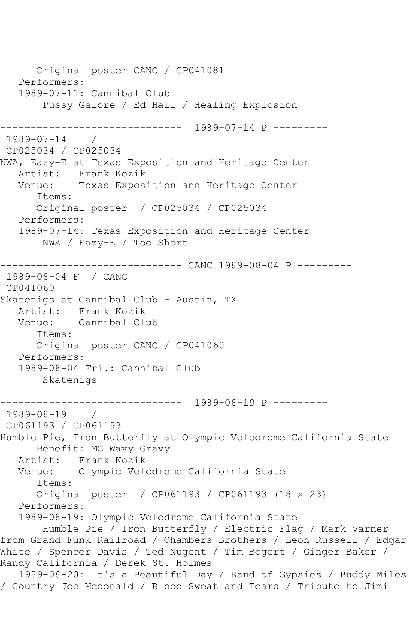Original poster CANC / CP041081 Performers: 1989-07-11: Cannibal Club Pussy Galore / Ed Hall / Healing Explosion  $--------- 1989-07-14 P$  ---------1989-07-14 / CP025034 / CP025034 NWA, Eazy-E at Texas Exposition and Heritage Center Artist: Frank Kozik<br>Venue: Texas Expos Texas Exposition and Heritage Center Items: Original poster / CP025034 / CP025034 Performers: 1989-07-14: Texas Exposition and Heritage Center NWA / Eazy-E / Too Short ------------------------------ CANC 1989-08-04 P --------- 1989-08-04 F / CANC CP041060 Skatenigs at Cannibal Club - Austin, TX<br>Artist: Frank Kozik Frank Kozik Venue: Cannibal Club Items: Original poster CANC / CP041060 Performers: 1989-08-04 Fri.: Cannibal Club Skatenigs ------------------------------ 1989-08-19 P --------- 1989-08-19 / CP061193 / CP061193 Humble Pie, Iron Butterfly at Olympic Velodrome California State Benefit: MC Wavy Gravy Artist: Frank Kozik Venue: Olympic Velodrome California State Items: Original poster / CP061193 / CP061193 (18 x 23) Performers: 1989-08-19: Olympic Velodrome California State Humble Pie / Iron Butterfly / Electric Flag / Mark Varner from Grand Funk Railroad / Chambers Brothers / Leon Russell / Edgar White / Spencer Davis / Ted Nugent / Tim Bogert / Ginger Baker / Randy California / Derek St. Holmes 1989-08-20: It's a Beautiful Day / Band of Gypsies / Buddy Miles / Country Joe Mcdonald / Blood Sweat and Tears / Tribute to Jimi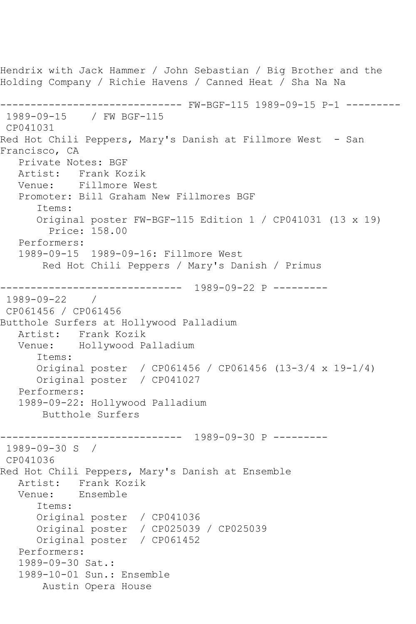```
Hendrix with Jack Hammer / John Sebastian / Big Brother and the 
Holding Company / Richie Havens / Canned Heat / Sha Na Na
------------------------------ FW-BGF-115 1989-09-15 P-1 ---------
1989-09-15 / FW BGF-115
CP041031
Red Hot Chili Peppers, Mary's Danish at Fillmore West - San 
Francisco, CA
   Private Notes: BGF
   Artist: Frank Kozik
   Venue: Fillmore West
   Promoter: Bill Graham New Fillmores BGF
      Items:
      Original poster FW-BGF-115 Edition 1 / CP041031 (13 x 19)
        Price: 158.00
   Performers:
   1989-09-15 1989-09-16: Fillmore West
       Red Hot Chili Peppers / Mary's Danish / Primus
------------------------------ 1989-09-22 P ---------
1989-09-22 / 
CP061456 / CP061456
Butthole Surfers at Hollywood Palladium
   Artist: Frank Kozik
   Venue: Hollywood Palladium
      Items:
      Original poster / CP061456 / CP061456 (13-3/4 x 19-1/4)
      Original poster / CP041027
   Performers:
   1989-09-22: Hollywood Palladium
       Butthole Surfers
------------------------------ 1989-09-30 P ---------
1989-09-30 S / 
CP041036
Red Hot Chili Peppers, Mary's Danish at Ensemble
   Artist: Frank Kozik
   Venue: Ensemble
      Items:
      Original poster / CP041036
      Original poster / CP025039 / CP025039
      Original poster / CP061452
   Performers:
   1989-09-30 Sat.:
   1989-10-01 Sun.: Ensemble
       Austin Opera House
```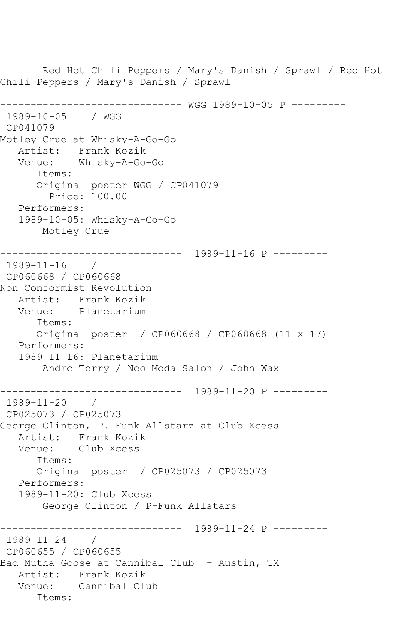Red Hot Chili Peppers / Mary's Danish / Sprawl / Red Hot Chili Peppers / Mary's Danish / Sprawl ------------------------------ WGG 1989-10-05 P --------- 1989-10-05 / WGG CP041079 Motley Crue at Whisky-A-Go-Go Artist: Frank Kozik Venue: Whisky-A-Go-Go Items: Original poster WGG / CP041079 Price: 100.00 Performers: 1989-10-05: Whisky-A-Go-Go Motley Crue ------------------------------ 1989-11-16 P --------- 1989-11-16 / CP060668 / CP060668 Non Conformist Revolution Artist: Frank Kozik Venue: Planetarium Items: Original poster / CP060668 / CP060668 (11 x 17) Performers: 1989-11-16: Planetarium Andre Terry / Neo Moda Salon / John Wax ------------------------------ 1989-11-20 P --------- 1989-11-20 / CP025073 / CP025073 George Clinton, P. Funk Allstarz at Club Xcess Artist: Frank Kozik<br>Venue: Club Xcess Club Xcess Items: Original poster / CP025073 / CP025073 Performers: 1989-11-20: Club Xcess George Clinton / P-Funk Allstars  $--------------1989-11-24 P------$ 1989-11-24 / CP060655 / CP060655 Bad Mutha Goose at Cannibal Club - Austin, TX Artist: Frank Kozik Venue: Cannibal Club Items: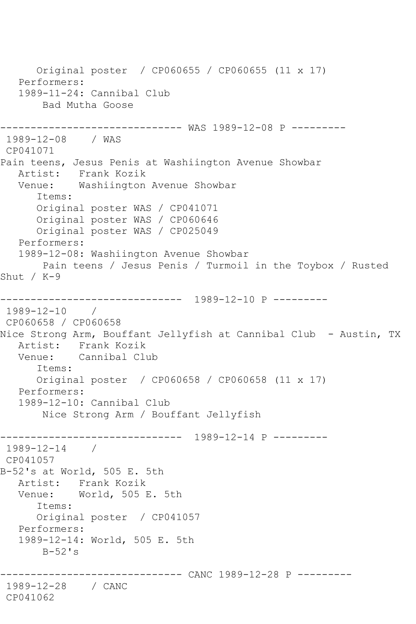Original poster / CP060655 / CP060655 (11 x 17) Performers: 1989-11-24: Cannibal Club Bad Mutha Goose ------------------------------ WAS 1989-12-08 P --------- 1989-12-08 / WAS CP041071 Pain teens, Jesus Penis at Washiington Avenue Showbar Artist: Frank Kozik Venue: Washiington Avenue Showbar Items: Original poster WAS / CP041071 Original poster WAS / CP060646 Original poster WAS / CP025049 Performers: 1989-12-08: Washiington Avenue Showbar Pain teens / Jesus Penis / Turmoil in the Toybox / Rusted Shut / K-9 ------------------------------ 1989-12-10 P --------- 1989-12-10 / CP060658 / CP060658 Nice Strong Arm, Bouffant Jellyfish at Cannibal Club - Austin, TX Artist: Frank Kozik<br>Venue: Cannibal Clu Cannibal Club Items: Original poster / CP060658 / CP060658 (11 x 17) Performers: 1989-12-10: Cannibal Club Nice Strong Arm / Bouffant Jellyfish ------------------------------ 1989-12-14 P --------- 1989-12-14 / CP041057 B-52's at World, 505 E. 5th Artist: Frank Kozik Venue: World, 505 E. 5th Items: Original poster / CP041057 Performers: 1989-12-14: World, 505 E. 5th  $B-52$ 's -------------- CANC 1989-12-28 P ---------1989-12-28 / CANC CP041062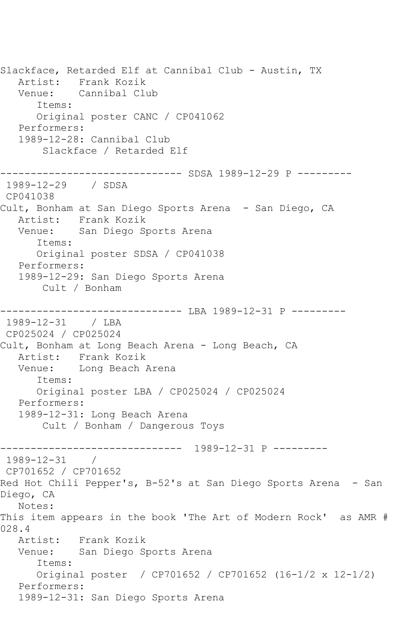Slackface, Retarded Elf at Cannibal Club - Austin, TX Artist: Frank Kozik Venue: Cannibal Club Items: Original poster CANC / CP041062 Performers: 1989-12-28: Cannibal Club Slackface / Retarded Elf ------------------------------ SDSA 1989-12-29 P --------- 1989-12-29 / SDSA CP041038 Cult, Bonham at San Diego Sports Arena - San Diego, CA Artist: Frank Kozik Venue: San Diego Sports Arena Items: Original poster SDSA / CP041038 Performers: 1989-12-29: San Diego Sports Arena Cult / Bonham ------------------------------ LBA 1989-12-31 P --------- 1989-12-31 / LBA CP025024 / CP025024 Cult, Bonham at Long Beach Arena - Long Beach, CA Artist: Frank Kozik Venue: Long Beach Arena Items: Original poster LBA / CP025024 / CP025024 Performers: 1989-12-31: Long Beach Arena Cult / Bonham / Dangerous Toys ------------------------------ 1989-12-31 P --------- 1989-12-31 / CP701652 / CP701652 Red Hot Chili Pepper's, B-52's at San Diego Sports Arena - San Diego, CA Notes: This item appears in the book 'The Art of Modern Rock' as AMR # 028.4 Artist: Frank Kozik Venue: San Diego Sports Arena Items: Original poster / CP701652 / CP701652 (16-1/2 x 12-1/2) Performers: 1989-12-31: San Diego Sports Arena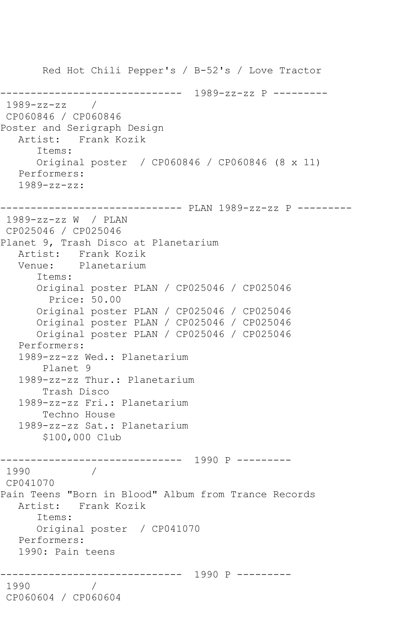Red Hot Chili Pepper's / B-52's / Love Tractor ------------------------------ 1989-zz-zz P --------- 1989-zz-zz / CP060846 / CP060846 Poster and Serigraph Design Artist: Frank Kozik Items: Original poster / CP060846 / CP060846 (8 x 11) Performers: 1989-zz-zz: ------------------------------ PLAN 1989-zz-zz P --------- 1989-zz-zz W / PLAN CP025046 / CP025046 Planet 9, Trash Disco at Planetarium Artist: Frank Kozik<br>Venue: Planetarium Planetarium Items: Original poster PLAN / CP025046 / CP025046 Price: 50.00 Original poster PLAN / CP025046 / CP025046 Original poster PLAN / CP025046 / CP025046 Original poster PLAN / CP025046 / CP025046 Performers: 1989-zz-zz Wed.: Planetarium Planet 9 1989-zz-zz Thur.: Planetarium Trash Disco 1989-zz-zz Fri.: Planetarium Techno House 1989-zz-zz Sat.: Planetarium \$100,000 Club ------------------------------ 1990 P --------- 1990 / CP041070 Pain Teens "Born in Blood" Album from Trance Records Artist: Frank Kozik Items: Original poster / CP041070 Performers: 1990: Pain teens ------------------------------ 1990 P --------- 1990 / CP060604 / CP060604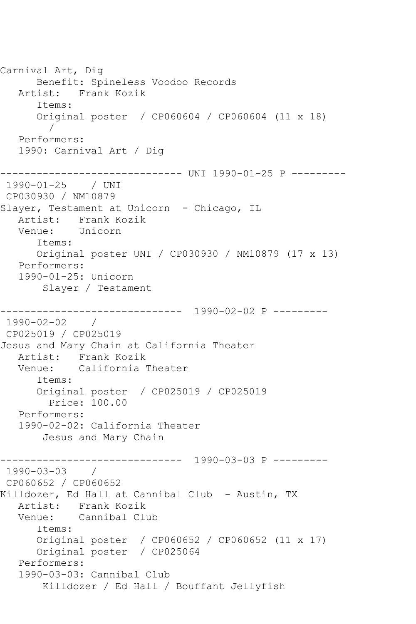Carnival Art, Dig Benefit: Spineless Voodoo Records Artist: Frank Kozik Items: Original poster / CP060604 / CP060604 (11 x 18) / Performers: 1990: Carnival Art / Dig ------------------------------ UNI 1990-01-25 P --------- 1990-01-25 / UNI CP030930 / NM10879 Slayer, Testament at Unicorn - Chicago, IL Artist: Frank Kozik<br>Venue: Unicorn Venue: Items: Original poster UNI / CP030930 / NM10879 (17 x 13) Performers: 1990-01-25: Unicorn Slayer / Testament ------------------------------ 1990-02-02 P --------- 1990-02-02 / CP025019 / CP025019 Jesus and Mary Chain at California Theater Artist: Frank Kozik Venue: California Theater Items: Original poster / CP025019 / CP025019 Price: 100.00 Performers: 1990-02-02: California Theater Jesus and Mary Chain ------------------------------ 1990-03-03 P --------- 1990-03-03 / CP060652 / CP060652 Killdozer, Ed Hall at Cannibal Club - Austin, TX Artist: Frank Kozik<br>Venue: Cannibal Clu Cannibal Club Items: Original poster / CP060652 / CP060652 (11 x 17) Original poster / CP025064 Performers: 1990-03-03: Cannibal Club Killdozer / Ed Hall / Bouffant Jellyfish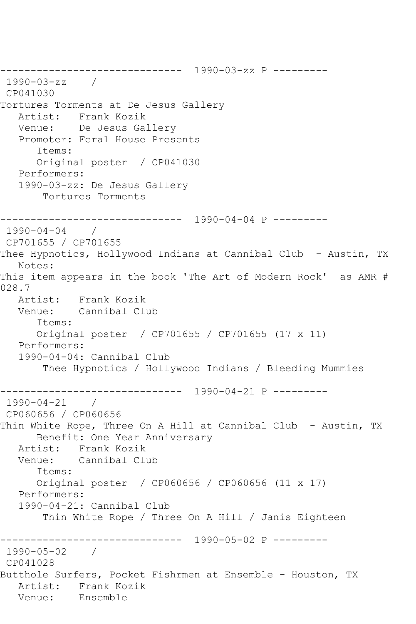------------------------------ 1990-03-zz P --------- 1990-03-zz / CP041030 Tortures Torments at De Jesus Gallery Artist: Frank Kozik Venue: De Jesus Gallery Promoter: Feral House Presents Items: Original poster / CP041030 Performers: 1990-03-zz: De Jesus Gallery Tortures Torments ------------------------------ 1990-04-04 P --------- 1990-04-04 / CP701655 / CP701655 Thee Hypnotics, Hollywood Indians at Cannibal Club - Austin, TX Notes: This item appears in the book 'The Art of Modern Rock' as AMR # 028.7 Artist: Frank Kozik Venue: Cannibal Club Items: Original poster / CP701655 / CP701655 (17 x 11) Performers: 1990-04-04: Cannibal Club Thee Hypnotics / Hollywood Indians / Bleeding Mummies ------------------------------ 1990-04-21 P --------- 1990-04-21 / CP060656 / CP060656 Thin White Rope, Three On A Hill at Cannibal Club - Austin, TX Benefit: One Year Anniversary Artist: Frank Kozik Venue: Cannibal Club Items: Original poster / CP060656 / CP060656 (11 x 17) Performers: 1990-04-21: Cannibal Club Thin White Rope / Three On A Hill / Janis Eighteen ------------------------------ 1990-05-02 P --------- 1990-05-02 / CP041028 Butthole Surfers, Pocket Fishrmen at Ensemble - Houston, TX Artist: Frank Kozik<br>Venue: Ensemble Ensemble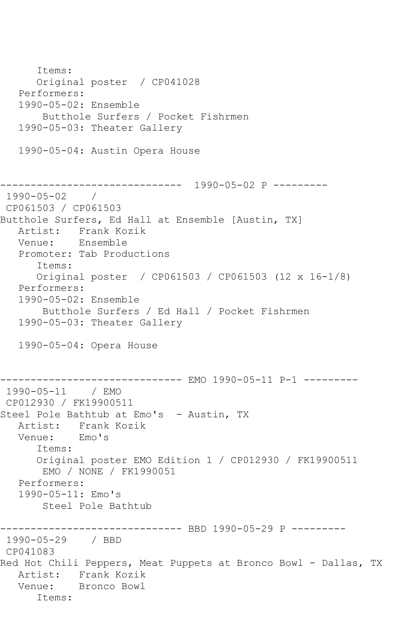Items: Original poster / CP041028 Performers: 1990-05-02: Ensemble Butthole Surfers / Pocket Fishrmen 1990-05-03: Theater Gallery 1990-05-04: Austin Opera House ------------------------------ 1990-05-02 P --------- 1990-05-02 / CP061503 / CP061503 Butthole Surfers, Ed Hall at Ensemble [Austin, TX] Artist: Frank Kozik Venue: Ensemble Promoter: Tab Productions Items: Original poster / CP061503 / CP061503 (12 x 16-1/8) Performers: 1990-05-02: Ensemble Butthole Surfers / Ed Hall / Pocket Fishrmen 1990-05-03: Theater Gallery 1990-05-04: Opera House ------------------------------ EMO 1990-05-11 P-1 --------- 1990-05-11 / EMO CP012930 / FK19900511 Steel Pole Bathtub at Emo's - Austin, TX Artist: Frank Kozik<br>Venue: Emo's Venue: Items: Original poster EMO Edition 1 / CP012930 / FK19900511 EMO / NONE / FK1990051 Performers: 1990-05-11: Emo's Steel Pole Bathtub ------------------------------ BBD 1990-05-29 P --------- 1990-05-29 / BBD CP041083 Red Hot Chili Peppers, Meat Puppets at Bronco Bowl - Dallas, TX Artist: Frank Kozik Venue: Bronco Bowl Items: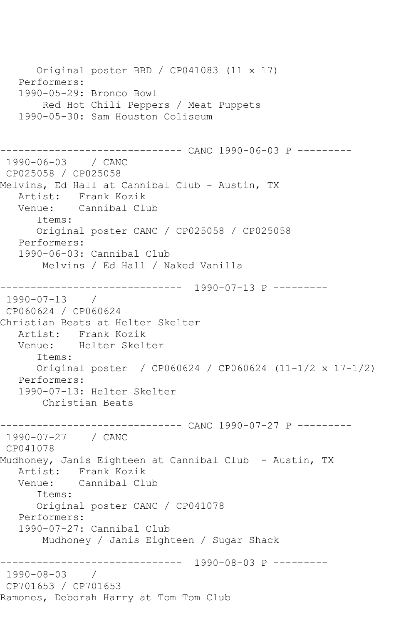Original poster BBD / CP041083 (11 x 17) Performers: 1990-05-29: Bronco Bowl Red Hot Chili Peppers / Meat Puppets 1990-05-30: Sam Houston Coliseum ------------------------------ CANC 1990-06-03 P --------- 1990-06-03 / CANC CP025058 / CP025058 Melvins, Ed Hall at Cannibal Club - Austin, TX Artist: Frank Kozik<br>Venue: Cannibal Clu Cannibal Club Items: Original poster CANC / CP025058 / CP025058 Performers: 1990-06-03: Cannibal Club Melvins / Ed Hall / Naked Vanilla ------------------------------ 1990-07-13 P --------- 1990-07-13 / CP060624 / CP060624 Christian Beats at Helter Skelter Artist: Frank Kozik Venue: Helter Skelter Items: Original poster / CP060624 / CP060624 (11-1/2 x 17-1/2) Performers: 1990-07-13: Helter Skelter Christian Beats ------------------------------ CANC 1990-07-27 P --------- 1990-07-27 / CANC CP041078 Mudhoney, Janis Eighteen at Cannibal Club - Austin, TX Artist: Frank Kozik<br>Venue: Cannibal Cl Cannibal Club Items: Original poster CANC / CP041078 Performers: 1990-07-27: Cannibal Club Mudhoney / Janis Eighteen / Sugar Shack ------------------------------ 1990-08-03 P --------- 1990-08-03 / CP701653 / CP701653 Ramones, Deborah Harry at Tom Tom Club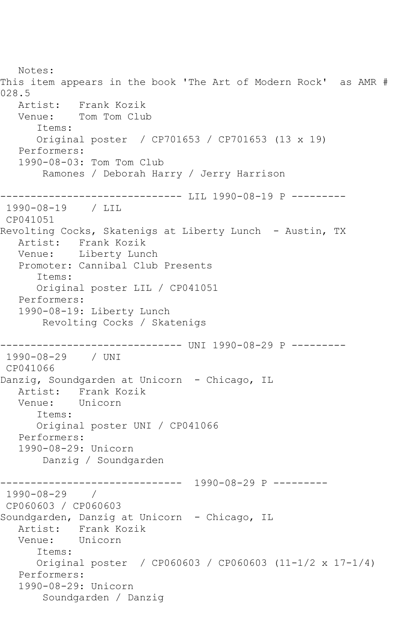Notes: This item appears in the book 'The Art of Modern Rock' as AMR # 028.5 Artist: Frank Kozik<br>Venue: Tom Tom Clul Tom Tom Club Items: Original poster / CP701653 / CP701653 (13 x 19) Performers: 1990-08-03: Tom Tom Club Ramones / Deborah Harry / Jerry Harrison ------------------------------ LIL 1990-08-19 P --------- 1990-08-19 / LIL CP041051 Revolting Cocks, Skatenigs at Liberty Lunch - Austin, TX Artist: Frank Kozik Venue: Liberty Lunch Promoter: Cannibal Club Presents Items: Original poster LIL / CP041051 Performers: 1990-08-19: Liberty Lunch Revolting Cocks / Skatenigs ------------------------------ UNI 1990-08-29 P --------- 1990-08-29 / UNI CP041066 Danzig, Soundgarden at Unicorn - Chicago, IL Artist: Frank Kozik Venue: Unicorn Items: Original poster UNI / CP041066 Performers: 1990-08-29: Unicorn Danzig / Soundgarden ------------------------------ 1990-08-29 P --------- 1990-08-29 / CP060603 / CP060603 Soundgarden, Danzig at Unicorn - Chicago, IL Artist: Frank Kozik<br>Venue: Unicorn Venue: Items: Original poster / CP060603 / CP060603 (11-1/2 x 17-1/4) Performers: 1990-08-29: Unicorn Soundgarden / Danzig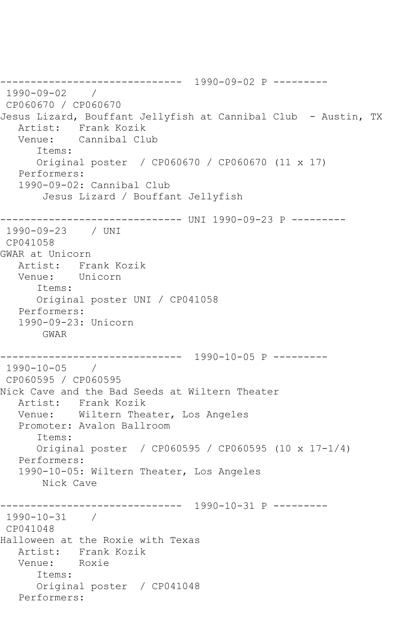```
------------------------------ 1990-09-02 P ---------
1990-09-02 / 
CP060670 / CP060670
Jesus Lizard, Bouffant Jellyfish at Cannibal Club - Austin, TX
  Artist: Frank Kozik<br>Venue: Cannibal Clu
            Cannibal Club
       Items:
      Original poster / CP060670 / CP060670 (11 x 17)
   Performers:
   1990-09-02: Cannibal Club
        Jesus Lizard / Bouffant Jellyfish
------------------------------ UNI 1990-09-23 P ---------
1990-09-23 / UNI 
CP041058
GWAR at Unicorn
   Artist: Frank Kozik
   Venue: Unicorn
      Items:
      Original poster UNI / CP041058
   Performers:
   1990-09-23: Unicorn
       GWAR
------------------------------ 1990-10-05 P ---------
1990-10-05 / 
CP060595 / CP060595
Nick Cave and the Bad Seeds at Wiltern Theater
   Artist: Frank Kozik
   Venue: Wiltern Theater, Los Angeles
   Promoter: Avalon Ballroom
       Items:
      Original poster / CP060595 / CP060595 (10 x 17-1/4)
   Performers:
   1990-10-05: Wiltern Theater, Los Angeles
       Nick Cave
------------------------------ 1990-10-31 P ---------
1990-10-31 / 
CP041048
Halloween at the Roxie with Texas
  Artist: Frank Kozik<br>Venue: Roxie
  Venue:
       Items:
       Original poster / CP041048
   Performers:
```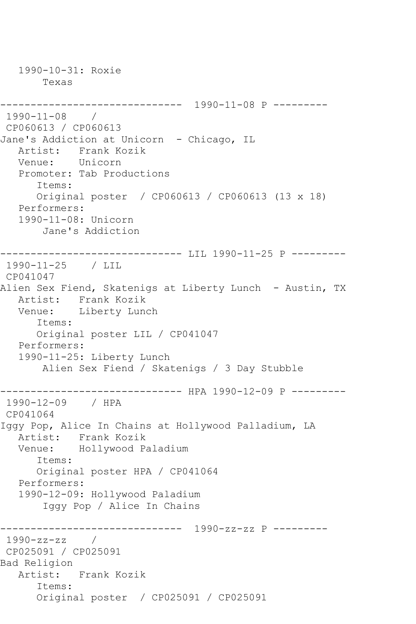1990-10-31: Roxie Texas ------------------------------ 1990-11-08 P --------- 1990-11-08 / CP060613 / CP060613 Jane's Addiction at Unicorn - Chicago, IL Artist: Frank Kozik Venue: Unicorn Promoter: Tab Productions Items: Original poster / CP060613 / CP060613 (13 x 18) Performers: 1990-11-08: Unicorn Jane's Addiction ------------------------------ LIL 1990-11-25 P --------- 1990-11-25 / LIL CP041047 Alien Sex Fiend, Skatenigs at Liberty Lunch - Austin, TX Artist: Frank Kozik Venue: Liberty Lunch Items: Original poster LIL / CP041047 Performers: 1990-11-25: Liberty Lunch Alien Sex Fiend / Skatenigs / 3 Day Stubble ------------------------------ HPA 1990-12-09 P --------- 1990-12-09 / HPA CP041064 Iggy Pop, Alice In Chains at Hollywood Palladium, LA Artist: Frank Kozik<br>Venue: Hollywood Pa Hollywood Paladium Items: Original poster HPA / CP041064 Performers: 1990-12-09: Hollywood Paladium Iggy Pop / Alice In Chains ------------------------------ 1990-zz-zz P --------- 1990-zz-zz / CP025091 / CP025091 Bad Religion Artist: Frank Kozik Items: Original poster / CP025091 / CP025091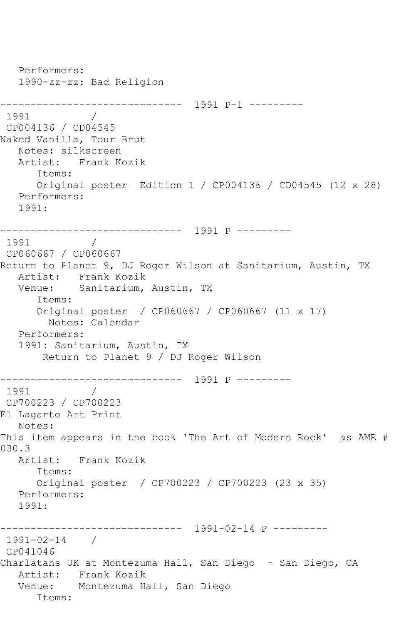Performers: 1990-zz-zz: Bad Religion ------------------------------ 1991 P-1 --------- 1991 / CP004136 / CD04545 Naked Vanilla, Tour Brut Notes: silkscreen Artist: Frank Kozik Items: Original poster Edition 1 / CP004136 / CD04545 (12 x 28) Performers: 1991: ------------------------------ 1991 P --------- 1991 / CP060667 / CP060667 Return to Planet 9, DJ Roger Wilson at Sanitarium, Austin, TX Artist: Frank Kozik Venue: Sanitarium, Austin, TX Items: Original poster / CP060667 / CP060667 (11 x 17) Notes: Calendar Performers: 1991: Sanitarium, Austin, TX Return to Planet 9 / DJ Roger Wilson ------------------------------ 1991 P --------- 1991 / CP700223 / CP700223 El Lagarto Art Print Notes: This item appears in the book 'The Art of Modern Rock' as AMR # 030.3 Artist: Frank Kozik Items: Original poster / CP700223 / CP700223 (23 x 35) Performers: 1991: ------------------------------ 1991-02-14 P --------- 1991-02-14 / CP041046 Charlatans UK at Montezuma Hall, San Diego - San Diego, CA Artist: Frank Kozik Venue: Montezuma Hall, San Diego Items: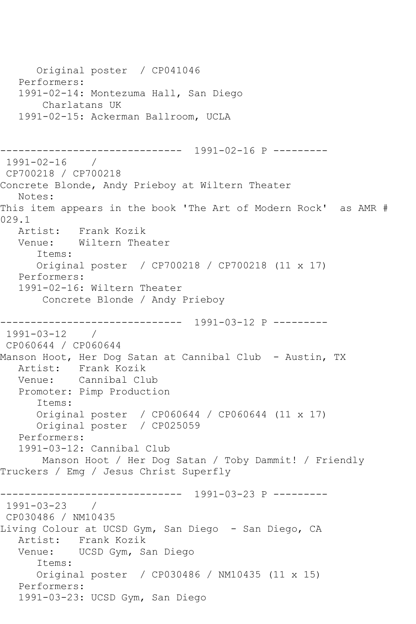```
 Original poster / CP041046
   Performers:
   1991-02-14: Montezuma Hall, San Diego
        Charlatans UK
   1991-02-15: Ackerman Ballroom, UCLA
------------------------------ 1991-02-16 P ---------
1991-02-16 / 
CP700218 / CP700218
Concrete Blonde, Andy Prieboy at Wiltern Theater
   Notes: 
This item appears in the book 'The Art of Modern Rock' as AMR # 
029.1
   Artist: Frank Kozik
   Venue: Wiltern Theater
       Items:
      Original poster / CP700218 / CP700218 (11 x 17)
   Performers:
   1991-02-16: Wiltern Theater
        Concrete Blonde / Andy Prieboy
         ------------------------------ 1991-03-12 P ---------
1991-03-12 / 
CP060644 / CP060644
Manson Hoot, Her Dog Satan at Cannibal Club - Austin, TX
 Artist: Frank Kozik
 Venue: Cannibal Club
   Promoter: Pimp Production
      Items:
      Original poster / CP060644 / CP060644 (11 x 17)
       Original poster / CP025059
   Performers:
   1991-03-12: Cannibal Club
       Manson Hoot / Her Dog Satan / Toby Dammit! / Friendly 
Truckers / Emg / Jesus Christ Superfly
         ------------------------------ 1991-03-23 P ---------
1991-03-23 / 
CP030486 / NM10435
Living Colour at UCSD Gym, San Diego - San Diego, CA
   Artist: Frank Kozik
   Venue: UCSD Gym, San Diego
       Items:
      Original poster / CP030486 / NM10435 (11 x 15)
   Performers:
   1991-03-23: UCSD Gym, San Diego
```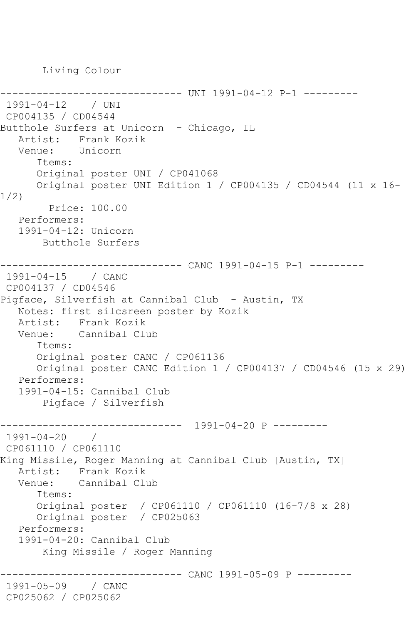Living Colour

```
----------- UNI 1991-04-12 P-1 ---------
1991-04-12 / UNI 
CP004135 / CD04544
Butthole Surfers at Unicorn - Chicago, IL
  Artist: Frank Kozik<br>Venue: Unicorn
           Unicorn
       Items:
       Original poster UNI / CP041068
       Original poster UNI Edition 1 / CP004135 / CD04544 (11 x 16-
1/2)
         Price: 100.00
   Performers:
    1991-04-12: Unicorn
        Butthole Surfers
------------------------------ CANC 1991-04-15 P-1 ---------
1991-04-15 / CANC 
CP004137 / CD04546
Pigface, Silverfish at Cannibal Club - Austin, TX
    Notes: first silcsreen poster by Kozik
   Artist: Frank Kozik<br>Venue: Cannibal Cl
           Cannibal Club
       Items:
       Original poster CANC / CP061136
       Original poster CANC Edition 1 / CP004137 / CD04546 (15 x 29)
    Performers:
    1991-04-15: Cannibal Club
        Pigface / Silverfish
                 ------------------------------ 1991-04-20 P ---------
1991-04-20 / 
CP061110 / CP061110
King Missile, Roger Manning at Cannibal Club [Austin, TX]
   Artist: Frank Kozik<br>Venue: Cannibal Cl
            Cannibal Club
       Items:
       Original poster / CP061110 / CP061110 (16-7/8 x 28)
       Original poster / CP025063
    Performers:
    1991-04-20: Cannibal Club
        King Missile / Roger Manning
                    ------------------------------ CANC 1991-05-09 P ---------
1991-05-09 / CANC 
CP025062 / CP025062
```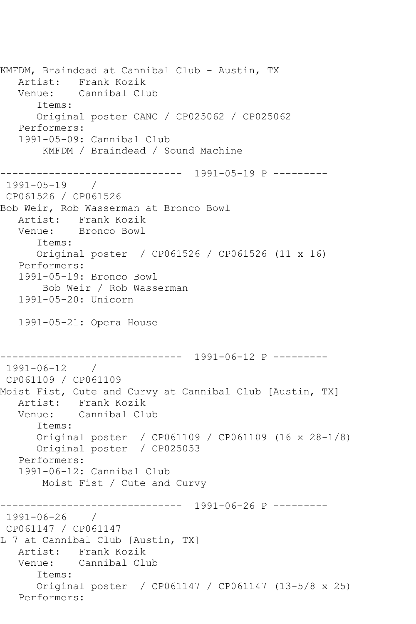KMFDM, Braindead at Cannibal Club - Austin, TX Artist: Frank Kozik Venue: Cannibal Club Items: Original poster CANC / CP025062 / CP025062 Performers: 1991-05-09: Cannibal Club KMFDM / Braindead / Sound Machine ------------------------------ 1991-05-19 P --------- 1991-05-19 / CP061526 / CP061526 Bob Weir, Rob Wasserman at Bronco Bowl Artist: Frank Kozik Venue: Bronco Bowl Items: Original poster / CP061526 / CP061526 (11 x 16) Performers: 1991-05-19: Bronco Bowl Bob Weir / Rob Wasserman 1991-05-20: Unicorn 1991-05-21: Opera House ------------------------------ 1991-06-12 P --------- 1991-06-12 / CP061109 / CP061109 Moist Fist, Cute and Curvy at Cannibal Club [Austin, TX] Artist: Frank Kozik<br>Venue: Cannibal Cli Cannibal Club Items: Original poster / CP061109 / CP061109 (16 x 28-1/8) Original poster / CP025053 Performers: 1991-06-12: Cannibal Club Moist Fist / Cute and Curvy ------------------------------ 1991-06-26 P --------- 1991-06-26 / CP061147 / CP061147 L 7 at Cannibal Club [Austin, TX] Artist: Frank Kozik Venue: Cannibal Club Items: Original poster / CP061147 / CP061147 (13-5/8 x 25) Performers: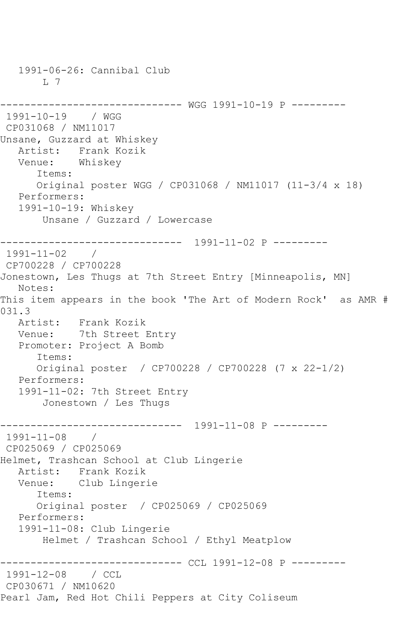1991-06-26: Cannibal Club L 7 ------------------------------ WGG 1991-10-19 P --------- 1991-10-19 / WGG CP031068 / NM11017 Unsane, Guzzard at Whiskey Artist: Frank Kozik Venue: Whiskey Items: Original poster WGG / CP031068 / NM11017 (11-3/4 x 18) Performers: 1991-10-19: Whiskey Unsane / Guzzard / Lowercase ------------------------------ 1991-11-02 P --------- 1991-11-02 / CP700228 / CP700228 Jonestown, Les Thugs at 7th Street Entry [Minneapolis, MN] Notes: This item appears in the book 'The Art of Modern Rock' as AMR # 031.3 Artist: Frank Kozik Venue: 7th Street Entry Promoter: Project A Bomb Items: Original poster / CP700228 / CP700228 (7 x 22-1/2) Performers: 1991-11-02: 7th Street Entry Jonestown / Les Thugs ------------------------------ 1991-11-08 P --------- 1991-11-08 / CP025069 / CP025069 Helmet, Trashcan School at Club Lingerie Artist: Frank Kozik Venue: Club Lingerie Items: Original poster / CP025069 / CP025069 Performers: 1991-11-08: Club Lingerie Helmet / Trashcan School / Ethyl Meatplow ------------------------------ CCL 1991-12-08 P --------- 1991-12-08 / CCL CP030671 / NM10620 Pearl Jam, Red Hot Chili Peppers at City Coliseum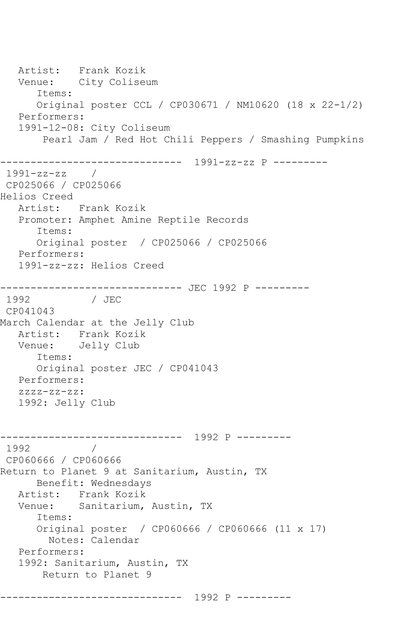Artist: Frank Kozik Venue: City Coliseum Items: Original poster CCL / CP030671 / NM10620 (18 x 22-1/2) Performers: 1991-12-08: City Coliseum Pearl Jam / Red Hot Chili Peppers / Smashing Pumpkins ------------------------------ 1991-zz-zz P --------- 1991-zz-zz / CP025066 / CP025066 Helios Creed Artist: Frank Kozik Promoter: Amphet Amine Reptile Records Items: Original poster / CP025066 / CP025066 Performers: 1991-zz-zz: Helios Creed ------------------------------ JEC 1992 P --------- 1992 / JEC CP041043 March Calendar at the Jelly Club Artist: Frank Kozik Venue: Jelly Club Items: Original poster JEC / CP041043 Performers: zzzz-zz-zz: 1992: Jelly Club ------------------------------ 1992 P --------- 1992 / CP060666 / CP060666 Return to Planet 9 at Sanitarium, Austin, TX Benefit: Wednesdays Artist: Frank Kozik Venue: Sanitarium, Austin, TX Items: Original poster / CP060666 / CP060666 (11 x 17) Notes: Calendar Performers: 1992: Sanitarium, Austin, TX Return to Planet 9 ------------------------------ 1992 P ---------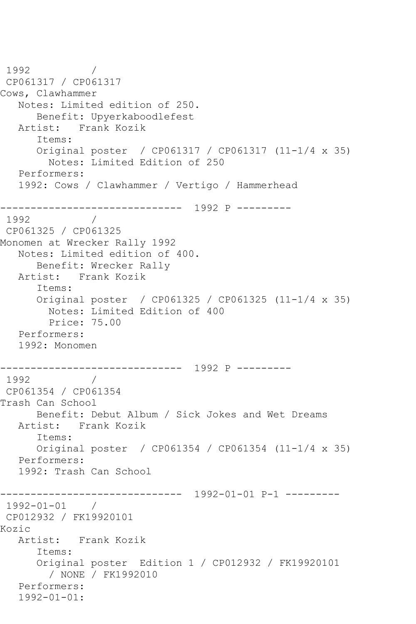```
1992 / 
CP061317 / CP061317
Cows, Clawhammer
   Notes: Limited edition of 250.
      Benefit: Upyerkaboodlefest
   Artist: Frank Kozik
      Items:
      Original poster / CP061317 / CP061317 (11-1/4 x 35)
        Notes: Limited Edition of 250
   Performers:
   1992: Cows / Clawhammer / Vertigo / Hammerhead
------------------------------ 1992 P ---------
1992 / 
CP061325 / CP061325
Monomen at Wrecker Rally 1992
   Notes: Limited edition of 400.
      Benefit: Wrecker Rally
   Artist: Frank Kozik
      Items:
      Original poster / CP061325 / CP061325 (11-1/4 x 35)
        Notes: Limited Edition of 400
        Price: 75.00
   Performers:
   1992: Monomen
------------------------------ 1992 P ---------
1992 / 
CP061354 / CP061354
Trash Can School
      Benefit: Debut Album / Sick Jokes and Wet Dreams
   Artist: Frank Kozik
      Items:
      Original poster / CP061354 / CP061354 (11-1/4 x 35)
   Performers:
   1992: Trash Can School
      ------------------------------ 1992-01-01 P-1 ---------
1992-01-01 / 
CP012932 / FK19920101
Kozic
   Artist: Frank Kozik
      Items:
      Original poster Edition 1 / CP012932 / FK19920101
        / NONE / FK1992010
   Performers:
   1992-01-01:
```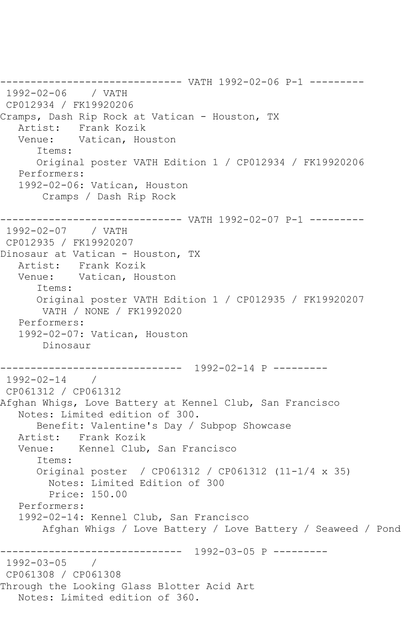------------------------------ VATH 1992-02-06 P-1 --------- 1992-02-06 / VATH CP012934 / FK19920206 Cramps, Dash Rip Rock at Vatican - Houston, TX Artist: Frank Kozik<br>Venue: Vatican, How Vatican, Houston Items: Original poster VATH Edition 1 / CP012934 / FK19920206 Performers: 1992-02-06: Vatican, Houston Cramps / Dash Rip Rock ------------------------------ VATH 1992-02-07 P-1 --------- 1992-02-07 / VATH CP012935 / FK19920207 Dinosaur at Vatican - Houston, TX Artist: Frank Kozik Venue: Vatican, Houston Items: Original poster VATH Edition 1 / CP012935 / FK19920207 VATH / NONE / FK1992020 Performers: 1992-02-07: Vatican, Houston Dinosaur ------------------------------ 1992-02-14 P --------- 1992-02-14 / CP061312 / CP061312 Afghan Whigs, Love Battery at Kennel Club, San Francisco Notes: Limited edition of 300. Benefit: Valentine's Day / Subpop Showcase Artist: Frank Kozik<br>Venue: Kennel Club Kennel Club, San Francisco Items: Original poster / CP061312 / CP061312 (11-1/4 x 35) Notes: Limited Edition of 300 Price: 150.00 Performers: 1992-02-14: Kennel Club, San Francisco Afghan Whigs / Love Battery / Love Battery / Seaweed / Pond ------------------------------ 1992-03-05 P --------- 1992-03-05 / CP061308 / CP061308 Through the Looking Glass Blotter Acid Art Notes: Limited edition of 360.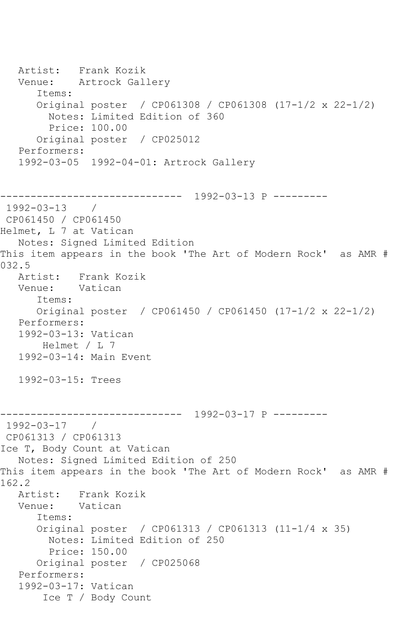Artist: Frank Kozik<br>Venue: Artrock Gal. Artrock Gallery Items: Original poster / CP061308 / CP061308 (17-1/2 x 22-1/2) Notes: Limited Edition of 360 Price: 100.00 Original poster / CP025012 Performers: 1992-03-05 1992-04-01: Artrock Gallery ------------------------------ 1992-03-13 P --------- 1992-03-13 / CP061450 / CP061450 Helmet, L 7 at Vatican Notes: Signed Limited Edition This item appears in the book 'The Art of Modern Rock' as AMR # 032.5<br>: Artist Artist: Frank Kozik Venue: Vatican Items: Original poster / CP061450 / CP061450 (17-1/2 x 22-1/2) Performers: 1992-03-13: Vatican Helmet / L 7 1992-03-14: Main Event 1992-03-15: Trees ------------------------------ 1992-03-17 P --------- 1992-03-17 / CP061313 / CP061313 Ice T, Body Count at Vatican Notes: Signed Limited Edition of 250 This item appears in the book 'The Art of Modern Rock' as AMR # 162.2 Artist: Frank Kozik Venue: Vatican Items: Original poster / CP061313 / CP061313 (11-1/4 x 35) Notes: Limited Edition of 250 Price: 150.00 Original poster / CP025068 Performers: 1992-03-17: Vatican Ice T / Body Count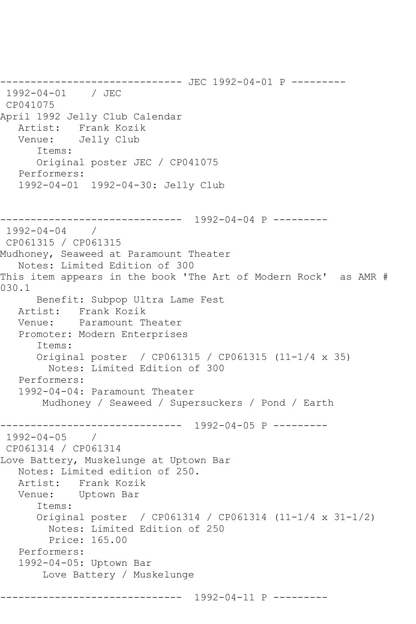------------------------------ JEC 1992-04-01 P --------- 1992-04-01 / JEC CP041075 April 1992 Jelly Club Calendar Artist: Frank Kozik<br>Venue: Jelly Club Jelly Club Items: Original poster JEC / CP041075 Performers: 1992-04-01 1992-04-30: Jelly Club ------------------------------ 1992-04-04 P --------- 1992-04-04 / CP061315 / CP061315 Mudhoney, Seaweed at Paramount Theater Notes: Limited Edition of 300 This item appears in the book 'The Art of Modern Rock' as AMR # 030.1 Benefit: Subpop Ultra Lame Fest Artist: Frank Kozik<br>Venue: Paramount Tl Paramount Theater Promoter: Modern Enterprises Items: Original poster / CP061315 / CP061315 (11-1/4 x 35) Notes: Limited Edition of 300 Performers: 1992-04-04: Paramount Theater Mudhoney / Seaweed / Supersuckers / Pond / Earth ------------------------------ 1992-04-05 P --------- 1992-04-05 / CP061314 / CP061314 Love Battery, Muskelunge at Uptown Bar Notes: Limited edition of 250. Artist: Frank Kozik Venue: Uptown Bar Items: Original poster / CP061314 / CP061314 (11-1/4 x 31-1/2) Notes: Limited Edition of 250 Price: 165.00 Performers: 1992-04-05: Uptown Bar Love Battery / Muskelunge ------------------------------ 1992-04-11 P ---------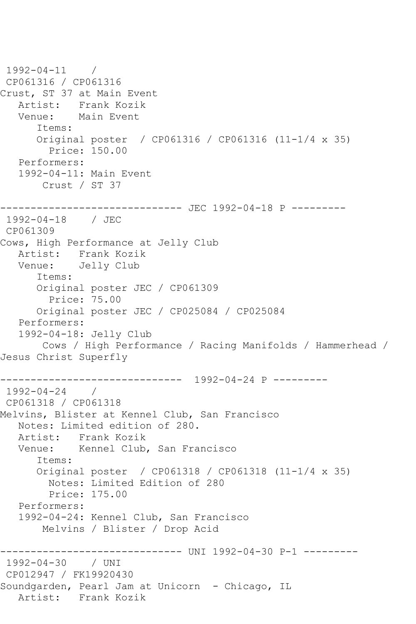```
1992-04-11 / 
CP061316 / CP061316
Crust, ST 37 at Main Event
  Artist: Frank Kozik<br>Venue: Main Event
            Main Event
       Items:
       Original poster / CP061316 / CP061316 (11-1/4 x 35)
         Price: 150.00
   Performers:
    1992-04-11: Main Event
        Crust / ST 37
        --------------------- JEC 1992-04-18 P ---------
1992-04-18 / JEC 
CP061309
Cows, High Performance at Jelly Club
   Artist: Frank Kozik
   Venue: Jelly Club
       Items:
       Original poster JEC / CP061309
         Price: 75.00
       Original poster JEC / CP025084 / CP025084
   Performers:
    1992-04-18: Jelly Club
        Cows / High Performance / Racing Manifolds / Hammerhead / 
Jesus Christ Superfly
                ------------------------------ 1992-04-24 P ---------
1992-04-24 / 
CP061318 / CP061318
Melvins, Blister at Kennel Club, San Francisco
   Notes: Limited edition of 280.
  Artist: Frank Kozik<br>Venue: Kennel Club
            Kennel Club, San Francisco
       Items:
       Original poster / CP061318 / CP061318 (11-1/4 x 35)
         Notes: Limited Edition of 280
         Price: 175.00
   Performers:
    1992-04-24: Kennel Club, San Francisco
        Melvins / Blister / Drop Acid
              ------------------------------ UNI 1992-04-30 P-1 ---------
1992-04-30 / UNI 
CP012947 / FK19920430
Soundgarden, Pearl Jam at Unicorn - Chicago, IL
   Artist: Frank Kozik
```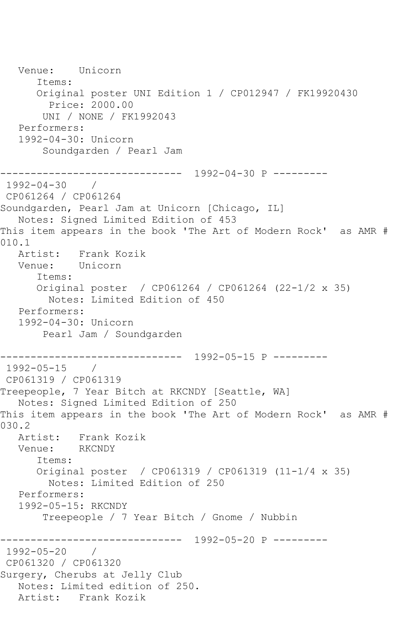```
 Venue: Unicorn
       Items:
       Original poster UNI Edition 1 / CP012947 / FK19920430
         Price: 2000.00
        UNI / NONE / FK1992043
    Performers:
    1992-04-30: Unicorn
        Soundgarden / Pearl Jam
                 ------------------------------ 1992-04-30 P ---------
1992-04-30 / 
CP061264 / CP061264
Soundgarden, Pearl Jam at Unicorn [Chicago, IL]
    Notes: Signed Limited Edition of 453
This item appears in the book 'The Art of Modern Rock' as AMR # 
010.1
  Artist: Frank Kozik<br>Venue: Unicorn
  Venue:
       Items:
       Original poster / CP061264 / CP061264 (22-1/2 x 35)
         Notes: Limited Edition of 450
   Performers:
   1992-04-30: Unicorn
        Pearl Jam / Soundgarden
             ------------------------------ 1992-05-15 P ---------
1992-05-15 / 
CP061319 / CP061319
Treepeople, 7 Year Bitch at RKCNDY [Seattle, WA]
    Notes: Signed Limited Edition of 250
This item appears in the book 'The Art of Modern Rock' as AMR # 
030.2
  Artist: Frank Kozik<br>Venue: RKCNDY
  Venue:
       Items:
       Original poster / CP061319 / CP061319 (11-1/4 x 35)
         Notes: Limited Edition of 250
    Performers:
    1992-05-15: RKCNDY
        Treepeople / 7 Year Bitch / Gnome / Nubbin
                   ------------------------------ 1992-05-20 P ---------
1992-05-20 / 
CP061320 / CP061320
Surgery, Cherubs at Jelly Club
   Notes: Limited edition of 250.
   Artist: Frank Kozik
```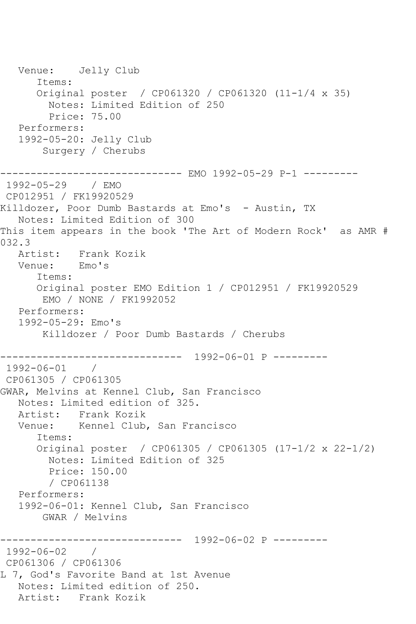Venue: Jelly Club Items: Original poster / CP061320 / CP061320 (11-1/4 x 35) Notes: Limited Edition of 250 Price: 75.00 Performers: 1992-05-20: Jelly Club Surgery / Cherubs ------------------------------ EMO 1992-05-29 P-1 --------- 1992-05-29 / EMO CP012951 / FK19920529 Killdozer, Poor Dumb Bastards at Emo's - Austin, TX Notes: Limited Edition of 300 This item appears in the book 'The Art of Modern Rock' as AMR # 032.3 Artist: Frank Kozik<br>Venue: Emo's Venue: Items: Original poster EMO Edition 1 / CP012951 / FK19920529 EMO / NONE / FK1992052 Performers: 1992-05-29: Emo's Killdozer / Poor Dumb Bastards / Cherubs ------------------------------ 1992-06-01 P --------- 1992-06-01 / CP061305 / CP061305 GWAR, Melvins at Kennel Club, San Francisco Notes: Limited edition of 325. Artist: Frank Kozik Venue: Kennel Club, San Francisco Items: Original poster / CP061305 / CP061305 (17-1/2 x 22-1/2) Notes: Limited Edition of 325 Price: 150.00 / CP061138 Performers: 1992-06-01: Kennel Club, San Francisco GWAR / Melvins ------------------------------ 1992-06-02 P --------- 1992-06-02 / CP061306 / CP061306 L 7, God's Favorite Band at 1st Avenue Notes: Limited edition of 250. Artist: Frank Kozik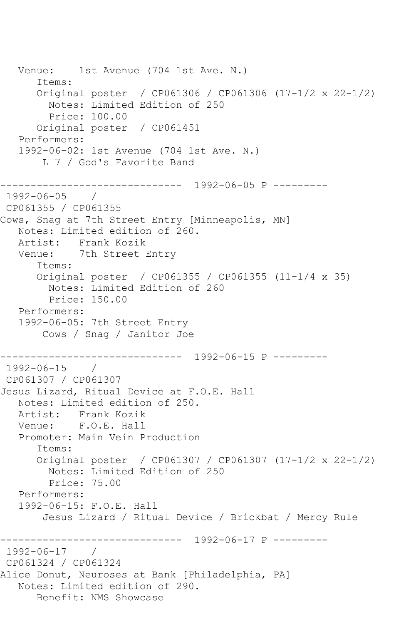Venue: 1st Avenue (704 1st Ave. N.) Items: Original poster / CP061306 / CP061306 (17-1/2 x 22-1/2) Notes: Limited Edition of 250 Price: 100.00 Original poster / CP061451 Performers: 1992-06-02: 1st Avenue (704 1st Ave. N.) L 7 / God's Favorite Band ------------------------------ 1992-06-05 P --------- 1992-06-05 / CP061355 / CP061355 Cows, Snag at 7th Street Entry [Minneapolis, MN] Notes: Limited edition of 260. Artist: Frank Kozik Venue: 7th Street Entry Items: Original poster / CP061355 / CP061355 (11-1/4 x 35) Notes: Limited Edition of 260 Price: 150.00 Performers: 1992-06-05: 7th Street Entry Cows / Snag / Janitor Joe ------------------------------ 1992-06-15 P --------- 1992-06-15 / CP061307 / CP061307 Jesus Lizard, Ritual Device at F.O.E. Hall Notes: Limited edition of 250. Artist: Frank Kozik Venue: F.O.E. Hall Promoter: Main Vein Production Items: Original poster / CP061307 / CP061307 (17-1/2 x 22-1/2) Notes: Limited Edition of 250 Price: 75.00 Performers: 1992-06-15: F.O.E. Hall Jesus Lizard / Ritual Device / Brickbat / Mercy Rule ------------------------------ 1992-06-17 P --------- 1992-06-17 / CP061324 / CP061324 Alice Donut, Neuroses at Bank [Philadelphia, PA] Notes: Limited edition of 290. Benefit: NMS Showcase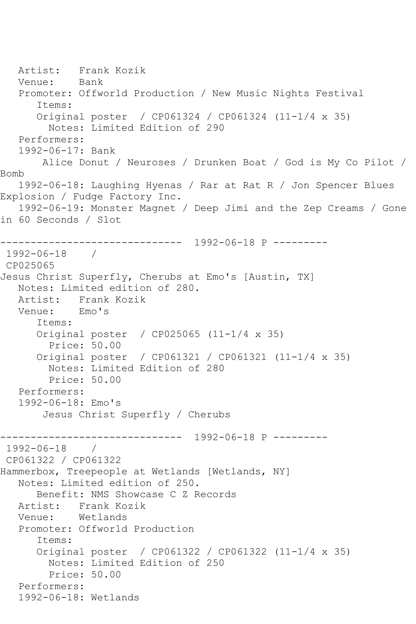Artist: Frank Kozik<br>Venue: Bank Venue: Promoter: Offworld Production / New Music Nights Festival Items: Original poster / CP061324 / CP061324 (11-1/4 x 35) Notes: Limited Edition of 290 Performers: 1992-06-17: Bank Alice Donut / Neuroses / Drunken Boat / God is My Co Pilot / Bomb 1992-06-18: Laughing Hyenas / Rar at Rat R / Jon Spencer Blues Explosion / Fudge Factory Inc. 1992-06-19: Monster Magnet / Deep Jimi and the Zep Creams / Gone in 60 Seconds / Slot ------------------------------ 1992-06-18 P --------- 1992-06-18 / CP025065 Jesus Christ Superfly, Cherubs at Emo's [Austin, TX] Notes: Limited edition of 280. Artist: Frank Kozik Venue: Emo's Items: Original poster / CP025065 (11-1/4 x 35) Price: 50.00 Original poster / CP061321 / CP061321 (11-1/4 x 35) Notes: Limited Edition of 280 Price: 50.00 Performers: 1992-06-18: Emo's Jesus Christ Superfly / Cherubs ------------------------------ 1992-06-18 P ---------  $1992 - 06 - 18$ CP061322 / CP061322 Hammerbox, Treepeople at Wetlands [Wetlands, NY] Notes: Limited edition of 250. Benefit: NMS Showcase C Z Records Artist: Frank Kozik<br>Venue: Wetlands Wetlands Promoter: Offworld Production Items: Original poster / CP061322 / CP061322 (11-1/4 x 35) Notes: Limited Edition of 250 Price: 50.00 Performers: 1992-06-18: Wetlands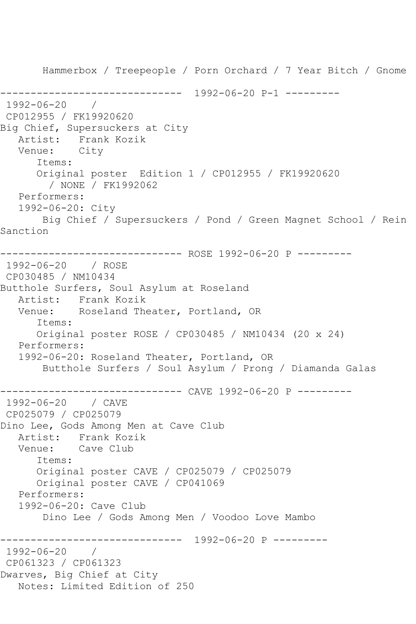```
 Hammerbox / Treepeople / Porn Orchard / 7 Year Bitch / Gnome
                ------------------------------ 1992-06-20 P-1 ---------
1992-06-20 / 
CP012955 / FK19920620
Big Chief, Supersuckers at City
   Artist: Frank Kozik
   Venue: City
       Items:
       Original poster Edition 1 / CP012955 / FK19920620
         / NONE / FK1992062
    Performers:
    1992-06-20: City
        Big Chief / Supersuckers / Pond / Green Magnet School / Rein 
Sanction
------------------------------ ROSE 1992-06-20 P ---------
1992-06-20 / ROSE 
CP030485 / NM10434
Butthole Surfers, Soul Asylum at Roseland
   Artist: Frank Kozik
   Venue: Roseland Theater, Portland, OR
       Items:
       Original poster ROSE / CP030485 / NM10434 (20 x 24)
   Performers:
    1992-06-20: Roseland Theater, Portland, OR
        Butthole Surfers / Soul Asylum / Prong / Diamanda Galas
  ------------------------------ CAVE 1992-06-20 P ---------
1992-06-20 / CAVE 
CP025079 / CP025079
Dino Lee, Gods Among Men at Cave Club
  Artist: Frank Kozik<br>Venue: Cave Club
            Cave Club
       Items:
       Original poster CAVE / CP025079 / CP025079
       Original poster CAVE / CP041069
    Performers:
    1992-06-20: Cave Club
        Dino Lee / Gods Among Men / Voodoo Love Mambo
         ------------------------------ 1992-06-20 P ---------
1992-06-20 / 
CP061323 / CP061323
Dwarves, Big Chief at City
   Notes: Limited Edition of 250
```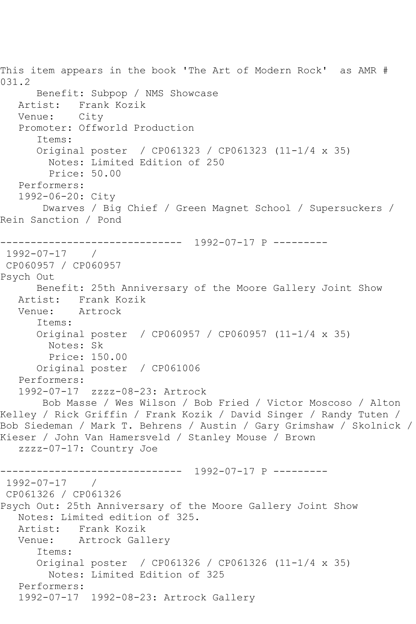This item appears in the book 'The Art of Modern Rock' as AMR # 031.2 Benefit: Subpop / NMS Showcase Artist: Frank Kozik Venue: City Promoter: Offworld Production Items: Original poster / CP061323 / CP061323 (11-1/4 x 35) Notes: Limited Edition of 250 Price: 50.00 Performers: 1992-06-20: City Dwarves / Big Chief / Green Magnet School / Supersuckers / Rein Sanction / Pond ------------------------------ 1992-07-17 P --------- 1992-07-17 / CP060957 / CP060957 Psych Out Benefit: 25th Anniversary of the Moore Gallery Joint Show Artist: Frank Kozik Venue: Artrock Items: Original poster / CP060957 / CP060957 (11-1/4 x 35) Notes: Sk Price: 150.00 Original poster / CP061006 Performers: 1992-07-17 zzzz-08-23: Artrock Bob Masse / Wes Wilson / Bob Fried / Victor Moscoso / Alton Kelley / Rick Griffin / Frank Kozik / David Singer / Randy Tuten / Bob Siedeman / Mark T. Behrens / Austin / Gary Grimshaw / Skolnick / Kieser / John Van Hamersveld / Stanley Mouse / Brown zzzz-07-17: Country Joe ------------------------------ 1992-07-17 P --------- 1992-07-17 / CP061326 / CP061326 Psych Out: 25th Anniversary of the Moore Gallery Joint Show Notes: Limited edition of 325. Artist: Frank Kozik Venue: Artrock Gallery Items: Original poster / CP061326 / CP061326 (11-1/4 x 35) Notes: Limited Edition of 325 Performers: 1992-07-17 1992-08-23: Artrock Gallery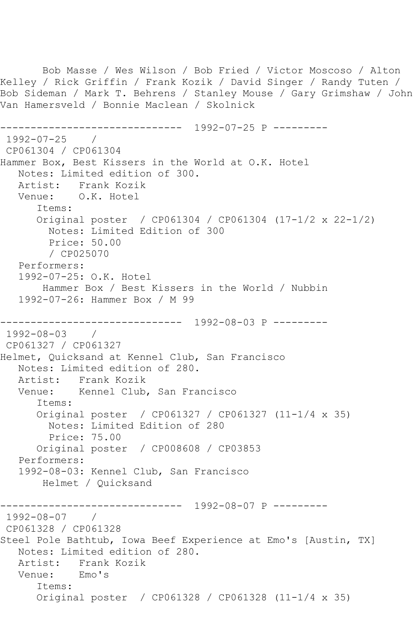Bob Masse / Wes Wilson / Bob Fried / Victor Moscoso / Alton Kelley / Rick Griffin / Frank Kozik / David Singer / Randy Tuten / Bob Sideman / Mark T. Behrens / Stanley Mouse / Gary Grimshaw / John Van Hamersveld / Bonnie Maclean / Skolnick ------------------------------ 1992-07-25 P --------- 1992-07-25 / CP061304 / CP061304 Hammer Box, Best Kissers in the World at O.K. Hotel Notes: Limited edition of 300. Artist: Frank Kozik Venue: O.K. Hotel Items: Original poster / CP061304 / CP061304 (17-1/2 x 22-1/2) Notes: Limited Edition of 300 Price: 50.00 / CP025070 Performers: 1992-07-25: O.K. Hotel Hammer Box / Best Kissers in the World / Nubbin 1992-07-26: Hammer Box / M 99 ------------------------------ 1992-08-03 P --------- 1992-08-03 / CP061327 / CP061327 Helmet, Quicksand at Kennel Club, San Francisco Notes: Limited edition of 280. Artist: Frank Kozik Venue: Kennel Club, San Francisco Items: Original poster / CP061327 / CP061327 (11-1/4 x 35) Notes: Limited Edition of 280 Price: 75.00 Original poster / CP008608 / CP03853 Performers: 1992-08-03: Kennel Club, San Francisco Helmet / Quicksand ------------------------------ 1992-08-07 P ---------  $1992 - 08 - 07$ CP061328 / CP061328 Steel Pole Bathtub, Iowa Beef Experience at Emo's [Austin, TX] Notes: Limited edition of 280. Artist: Frank Kozik Venue: Emo's Items: Original poster / CP061328 / CP061328 (11-1/4 x 35)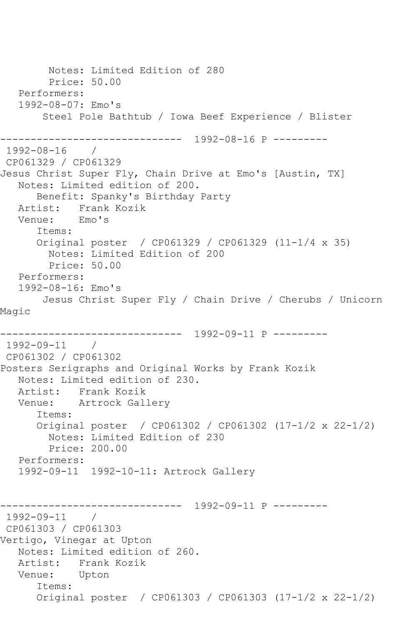```
 Notes: Limited Edition of 280
        Price: 50.00
   Performers:
   1992-08-07: Emo's
        Steel Pole Bathtub / Iowa Beef Experience / Blister
------------------------------ 1992-08-16 P ---------
1992-08-16 / 
CP061329 / CP061329
Jesus Christ Super Fly, Chain Drive at Emo's [Austin, TX]
   Notes: Limited edition of 200.
      Benefit: Spanky's Birthday Party
   Artist: Frank Kozik
   Venue: Emo's
      Items:
      Original poster / CP061329 / CP061329 (11-1/4 x 35)
        Notes: Limited Edition of 200
        Price: 50.00
   Performers:
   1992-08-16: Emo's
       Jesus Christ Super Fly / Chain Drive / Cherubs / Unicorn 
Magic
------------------------------ 1992-09-11 P ---------
1992-09-11 / 
CP061302 / CP061302
Posters Serigraphs and Original Works by Frank Kozik
   Notes: Limited edition of 230.
   Artist: Frank Kozik
   Venue: Artrock Gallery
      Items:
      Original poster / CP061302 / CP061302 (17-1/2 x 22-1/2)
        Notes: Limited Edition of 230
        Price: 200.00
   Performers:
   1992-09-11 1992-10-11: Artrock Gallery
------------------------------ 1992-09-11 P ---------
1992-09-11 / 
CP061303 / CP061303
Vertigo, Vinegar at Upton
   Notes: Limited edition of 260.
   Artist: Frank Kozik
   Venue: Upton
      Items:
      Original poster / CP061303 / CP061303 (17-1/2 x 22-1/2)
```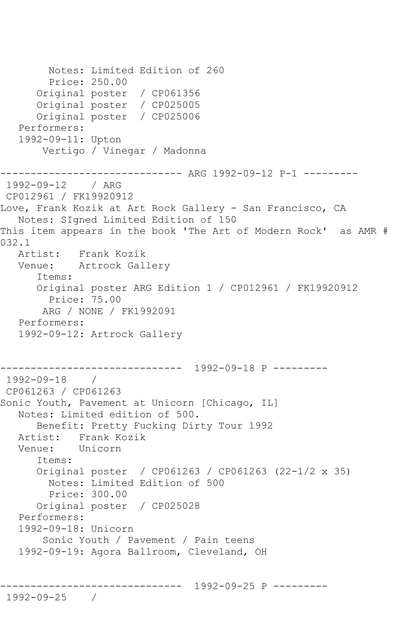Notes: Limited Edition of 260 Price: 250.00 Original poster / CP061356 Original poster / CP025005 Original poster / CP025006 Performers: 1992-09-11: Upton Vertigo / Vinegar / Madonna ------------------------------ ARG 1992-09-12 P-1 --------- 1992-09-12 / ARG CP012961 / FK19920912 Love, Frank Kozik at Art Rock Gallery - San Francisco, CA Notes: SIgned Limited Edition of 150 This item appears in the book 'The Art of Modern Rock' as AMR # 032.1 Artist: Frank Kozik Venue: Artrock Gallery Items: Original poster ARG Edition 1 / CP012961 / FK19920912 Price: 75.00 ARG / NONE / FK1992091 Performers: 1992-09-12: Artrock Gallery ------------------------------ 1992-09-18 P --------- 1992-09-18 / CP061263 / CP061263 Sonic Youth, Pavement at Unicorn [Chicago, IL] Notes: Limited edition of 500. Benefit: Pretty Fucking Dirty Tour 1992 Artist: Frank Kozik<br>Venue: Unicorn Unicorn Items: Original poster / CP061263 / CP061263 (22-1/2 x 35) Notes: Limited Edition of 500 Price: 300.00 Original poster / CP025028 Performers: 1992-09-18: Unicorn Sonic Youth / Pavement / Pain teens 1992-09-19: Agora Ballroom, Cleveland, OH ------------------------------ 1992-09-25 P --------- 1992-09-25 /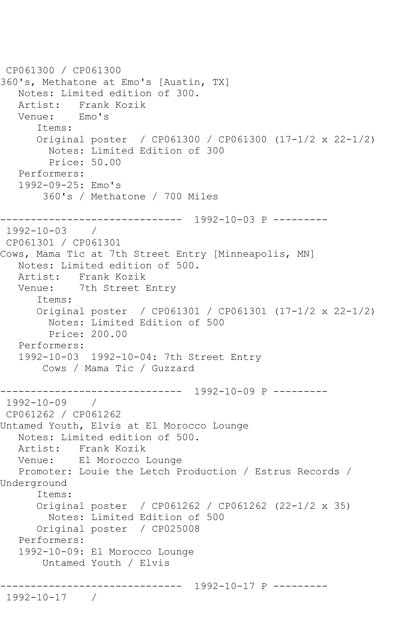```
CP061300 / CP061300
360's, Methatone at Emo's [Austin, TX]
   Notes: Limited edition of 300.
  Artist: Frank Kozik<br>Venue: Emo's
  Venue:
       Items:
       Original poster / CP061300 / CP061300 (17-1/2 x 22-1/2)
         Notes: Limited Edition of 300
         Price: 50.00
   Performers:
    1992-09-25: Emo's
        360's / Methatone / 700 Miles
------------------------------ 1992-10-03 P ---------
1992-10-03 / 
CP061301 / CP061301
Cows, Mama Tic at 7th Street Entry [Minneapolis, MN]
   Notes: Limited edition of 500.
   Artist: Frank Kozik
   Venue: 7th Street Entry
       Items:
       Original poster / CP061301 / CP061301 (17-1/2 x 22-1/2)
         Notes: Limited Edition of 500
         Price: 200.00
   Performers:
    1992-10-03 1992-10-04: 7th Street Entry
        Cows / Mama Tic / Guzzard
                    ------------------------------ 1992-10-09 P ---------
1992-10-09 / 
CP061262 / CP061262
Untamed Youth, Elvis at El Morocco Lounge
   Notes: Limited edition of 500.
   Artist: Frank Kozik
   Venue: El Morocco Lounge
   Promoter: Louie the Letch Production / Estrus Records / 
Underground
       Items:
       Original poster / CP061262 / CP061262 (22-1/2 x 35)
         Notes: Limited Edition of 500
       Original poster / CP025008
    Performers:
    1992-10-09: El Morocco Lounge
        Untamed Youth / Elvis
                ------------------------------ 1992-10-17 P ---------
1992-10-17 /
```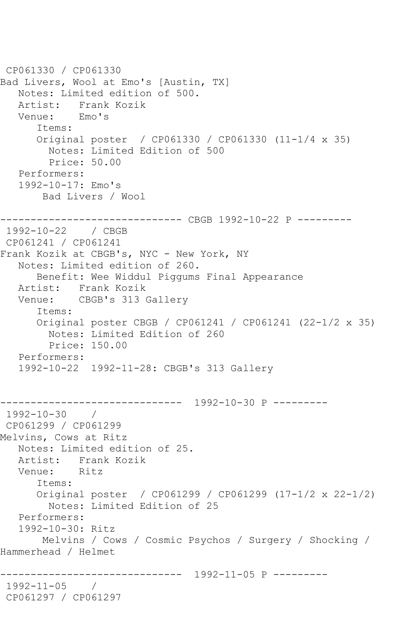```
CP061330 / CP061330
Bad Livers, Wool at Emo's [Austin, TX]
   Notes: Limited edition of 500.
  Artist: Frank Kozik<br>Venue: Emo's
  Venue:
       Items:
       Original poster / CP061330 / CP061330 (11-1/4 x 35)
         Notes: Limited Edition of 500
         Price: 50.00
   Performers:
    1992-10-17: Emo's
        Bad Livers / Wool
------------------------------ CBGB 1992-10-22 P ---------
1992-10-22 / CBGB 
CP061241 / CP061241
Frank Kozik at CBGB's, NYC - New York, NY
   Notes: Limited edition of 260.
       Benefit: Wee Widdul Piggums Final Appearance
   Artist: Frank Kozik
   Venue: CBGB's 313 Gallery
       Items:
       Original poster CBGB / CP061241 / CP061241 (22-1/2 x 35)
         Notes: Limited Edition of 260
         Price: 150.00
   Performers:
    1992-10-22 1992-11-28: CBGB's 313 Gallery
------------------------------ 1992-10-30 P ---------
1992-10-30 / 
CP061299 / CP061299
Melvins, Cows at Ritz
   Notes: Limited edition of 25.
  Artist: Frank Kozik<br>Venue: Ritz
  Venue:
       Items:
       Original poster / CP061299 / CP061299 (17-1/2 x 22-1/2)
        Notes: Limited Edition of 25
   Performers:
    1992-10-30: Ritz
        Melvins / Cows / Cosmic Psychos / Surgery / Shocking / 
Hammerhead / Helmet
------------------------------ 1992-11-05 P ---------
1992-11-05 / 
CP061297 / CP061297
```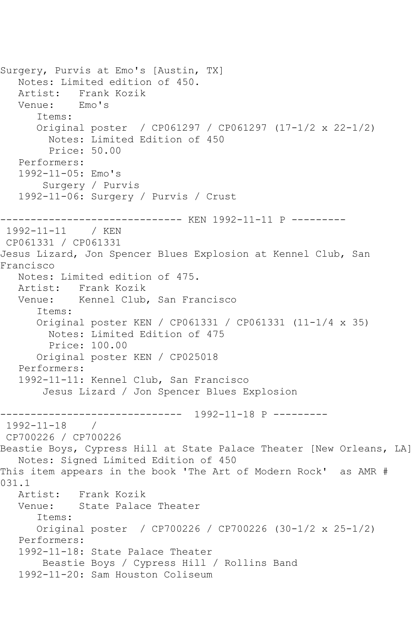```
Surgery, Purvis at Emo's [Austin, TX]
  Notes: Limited edition of 450.<br>Artist: Frank Kozik
            Frank Kozik<br>Emo's
  Venue:
       Items:
       Original poster / CP061297 / CP061297 (17-1/2 x 22-1/2)
         Notes: Limited Edition of 450
         Price: 50.00
    Performers:
    1992-11-05: Emo's
        Surgery / Purvis
    1992-11-06: Surgery / Purvis / Crust
------------------------------ KEN 1992-11-11 P ---------
1992-11-11 / KEN 
CP061331 / CP061331
Jesus Lizard, Jon Spencer Blues Explosion at Kennel Club, San 
Francisco
   Notes: Limited edition of 475.
   Artist: Frank Kozik
   Venue: Kennel Club, San Francisco
       Items:
       Original poster KEN / CP061331 / CP061331 (11-1/4 x 35)
         Notes: Limited Edition of 475
         Price: 100.00
       Original poster KEN / CP025018
   Performers:
    1992-11-11: Kennel Club, San Francisco
        Jesus Lizard / Jon Spencer Blues Explosion
           ------------------------------ 1992-11-18 P ---------
1992-11-18 / 
CP700226 / CP700226
Beastie Boys, Cypress Hill at State Palace Theater [New Orleans, LA]
   Notes: Signed Limited Edition of 450
This item appears in the book 'The Art of Modern Rock' as AMR # 
031.1<br>Artist:
            Frank Kozik
   Venue: State Palace Theater
       Items:
       Original poster / CP700226 / CP700226 (30-1/2 x 25-1/2)
   Performers:
    1992-11-18: State Palace Theater
        Beastie Boys / Cypress Hill / Rollins Band
    1992-11-20: Sam Houston Coliseum
```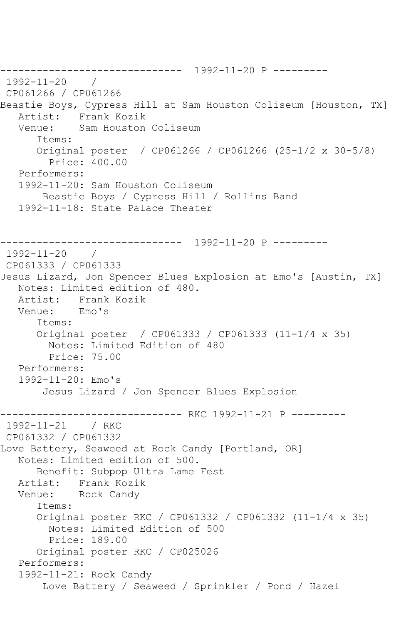------------------------------ 1992-11-20 P --------- 1992-11-20 / CP061266 / CP061266 Beastie Boys, Cypress Hill at Sam Houston Coliseum [Houston, TX] Artist: Frank Kozik<br>Venue: Sam Houston Sam Houston Coliseum Items: Original poster / CP061266 / CP061266 (25-1/2 x 30-5/8) Price: 400.00 Performers: 1992-11-20: Sam Houston Coliseum Beastie Boys / Cypress Hill / Rollins Band 1992-11-18: State Palace Theater ------------------------------ 1992-11-20 P --------- 1992-11-20 / CP061333 / CP061333 Jesus Lizard, Jon Spencer Blues Explosion at Emo's [Austin, TX] Notes: Limited edition of 480. Artist: Frank Kozik Venue: Emo's Items: Original poster / CP061333 / CP061333 (11-1/4 x 35) Notes: Limited Edition of 480 Price: 75.00 Performers: 1992-11-20: Emo's Jesus Lizard / Jon Spencer Blues Explosion ------------------------------ RKC 1992-11-21 P --------- 1992-11-21 / RKC CP061332 / CP061332 Love Battery, Seaweed at Rock Candy [Portland, OR] Notes: Limited edition of 500. Benefit: Subpop Ultra Lame Fest Artist: Frank Kozik Venue: Rock Candy Items: Original poster RKC / CP061332 / CP061332 (11-1/4 x 35) Notes: Limited Edition of 500 Price: 189.00 Original poster RKC / CP025026 Performers: 1992-11-21: Rock Candy Love Battery / Seaweed / Sprinkler / Pond / Hazel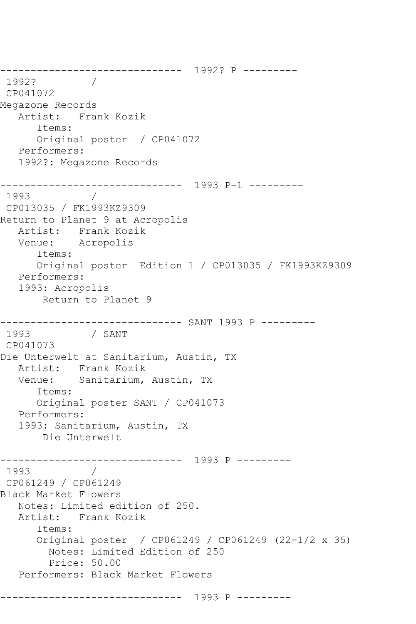------------------------------ 1992? P --------- 1992? / CP041072 Megazone Records Artist: Frank Kozik Items: Original poster / CP041072 Performers: 1992?: Megazone Records ------------------------------ 1993 P-1 --------- 1993 / CP013035 / FK1993KZ9309 Return to Planet 9 at Acropolis Artist: Frank Kozik Venue: Acropolis Items: Original poster Edition 1 / CP013035 / FK1993KZ9309 Performers: 1993: Acropolis Return to Planet 9 ------------------------------ SANT 1993 P --------- 1993 / SANT CP041073 Die Unterwelt at Sanitarium, Austin, TX Artist: Frank Kozik Venue: Sanitarium, Austin, TX Items: Original poster SANT / CP041073 Performers: 1993: Sanitarium, Austin, TX Die Unterwelt ------------------------------ 1993 P --------- 1993 / CP061249 / CP061249 Black Market Flowers Notes: Limited edition of 250. Artist: Frank Kozik Items: Original poster / CP061249 / CP061249 (22-1/2 x 35) Notes: Limited Edition of 250 Price: 50.00 Performers: Black Market Flowers ------------------------------ 1993 P ---------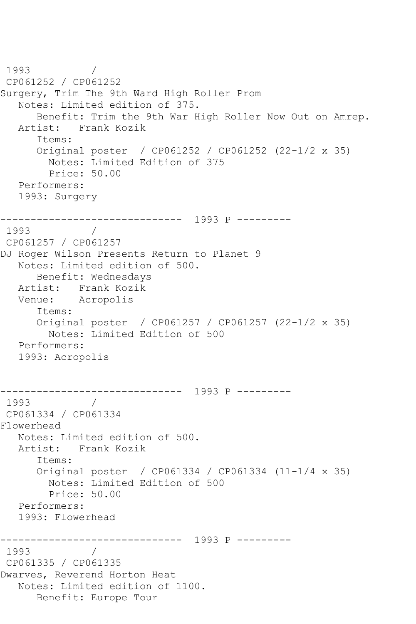```
1993 / 
CP061252 / CP061252
Surgery, Trim The 9th Ward High Roller Prom
   Notes: Limited edition of 375.
      Benefit: Trim the 9th War High Roller Now Out on Amrep.
   Artist: Frank Kozik
      Items:
      Original poster / CP061252 / CP061252 (22-1/2 x 35)
         Notes: Limited Edition of 375
        Price: 50.00
   Performers:
   1993: Surgery
------------------------------ 1993 P ---------
1993 / 
CP061257 / CP061257
DJ Roger Wilson Presents Return to Planet 9
   Notes: Limited edition of 500.
      Benefit: Wednesdays
   Artist: Frank Kozik
   Venue: Acropolis
      Items:
      Original poster / CP061257 / CP061257 (22-1/2 x 35)
        Notes: Limited Edition of 500
   Performers:
   1993: Acropolis
    ------------------------------ 1993 P ---------
1993 / 
CP061334 / CP061334
Flowerhead
   Notes: Limited edition of 500.
   Artist: Frank Kozik
      Items:
      Original poster / CP061334 / CP061334 (11-1/4 x 35)
         Notes: Limited Edition of 500
         Price: 50.00
   Performers:
   1993: Flowerhead
------------------------------ 1993 P ---------
1993 / 
CP061335 / CP061335
Dwarves, Reverend Horton Heat
   Notes: Limited edition of 1100.
      Benefit: Europe Tour
```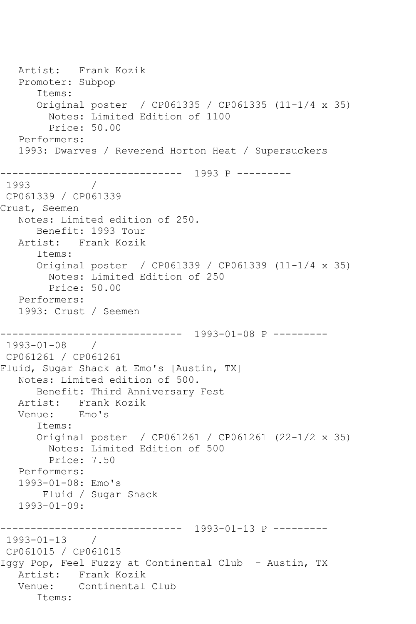Artist: Frank Kozik Promoter: Subpop Items: Original poster / CP061335 / CP061335 (11-1/4 x 35) Notes: Limited Edition of 1100 Price: 50.00 Performers: 1993: Dwarves / Reverend Horton Heat / Supersuckers ------------------------------ 1993 P --------- 1993 / CP061339 / CP061339 Crust, Seemen Notes: Limited edition of 250. Benefit: 1993 Tour Artist: Frank Kozik Items: Original poster / CP061339 / CP061339 (11-1/4 x 35) Notes: Limited Edition of 250 Price: 50.00 Performers: 1993: Crust / Seemen ------------------------------ 1993-01-08 P --------- 1993-01-08 / CP061261 / CP061261 Fluid, Sugar Shack at Emo's [Austin, TX] Notes: Limited edition of 500. Benefit: Third Anniversary Fest Artist: Frank Kozik<br>Venue: Emo's Venue: Items: Original poster / CP061261 / CP061261 (22-1/2 x 35) Notes: Limited Edition of 500 Price: 7.50 Performers: 1993-01-08: Emo's Fluid / Sugar Shack 1993-01-09: ------------------------------ 1993-01-13 P --------- 1993-01-13 / CP061015 / CP061015 Iggy Pop, Feel Fuzzy at Continental Club - Austin, TX Artist: Frank Kozik Venue: Continental Club Items: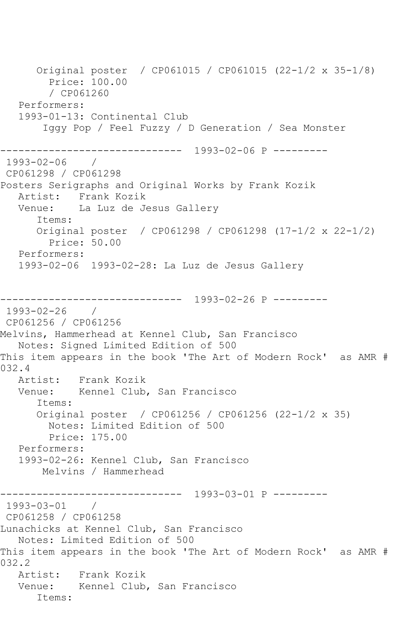Original poster / CP061015 / CP061015 (22-1/2 x 35-1/8) Price: 100.00 / CP061260 Performers: 1993-01-13: Continental Club Iggy Pop / Feel Fuzzy / D Generation / Sea Monster ------------------------------ 1993-02-06 P --------- 1993-02-06 / CP061298 / CP061298 Posters Serigraphs and Original Works by Frank Kozik Artist: Frank Kozik<br>Venue: La Luz de Je La Luz de Jesus Gallery Items: Original poster / CP061298 / CP061298 (17-1/2 x 22-1/2) Price: 50.00 Performers: 1993-02-06 1993-02-28: La Luz de Jesus Gallery ------------------------------ 1993-02-26 P --------- 1993-02-26 / CP061256 / CP061256 Melvins, Hammerhead at Kennel Club, San Francisco Notes: Signed Limited Edition of 500 This item appears in the book 'The Art of Modern Rock' as AMR # 032.4 Artist: Frank Kozik Venue: Kennel Club, San Francisco Items: Original poster / CP061256 / CP061256 (22-1/2 x 35) Notes: Limited Edition of 500 Price: 175.00 Performers: 1993-02-26: Kennel Club, San Francisco Melvins / Hammerhead ------------------------------ 1993-03-01 P --------- 1993-03-01 / CP061258 / CP061258 Lunachicks at Kennel Club, San Francisco Notes: Limited Edition of 500 This item appears in the book 'The Art of Modern Rock' as AMR # 032.2 Artist: Frank Kozik Venue: Kennel Club, San Francisco Items: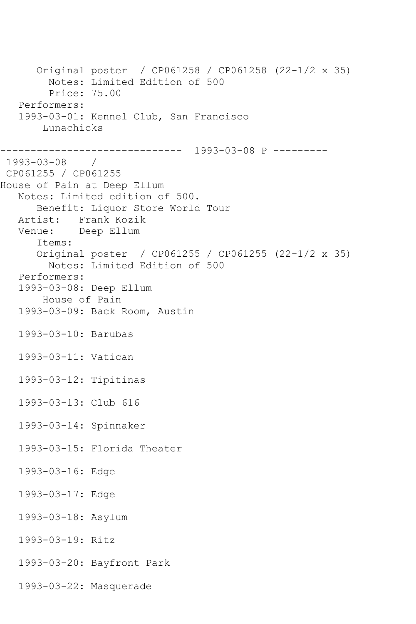Original poster / CP061258 / CP061258 (22-1/2 x 35) Notes: Limited Edition of 500 Price: 75.00 Performers: 1993-03-01: Kennel Club, San Francisco Lunachicks ------------------------------ 1993-03-08 P --------- 1993-03-08 / CP061255 / CP061255 House of Pain at Deep Ellum Notes: Limited edition of 500. Benefit: Liquor Store World Tour Artist: Frank Kozik Venue: Deep Ellum Items: Original poster / CP061255 / CP061255 (22-1/2 x 35) Notes: Limited Edition of 500 Performers: 1993-03-08: Deep Ellum House of Pain 1993-03-09: Back Room, Austin 1993-03-10: Barubas 1993-03-11: Vatican 1993-03-12: Tipitinas 1993-03-13: Club 616 1993-03-14: Spinnaker 1993-03-15: Florida Theater 1993-03-16: Edge 1993-03-17: Edge 1993-03-18: Asylum 1993-03-19: Ritz 1993-03-20: Bayfront Park

1993-03-22: Masquerade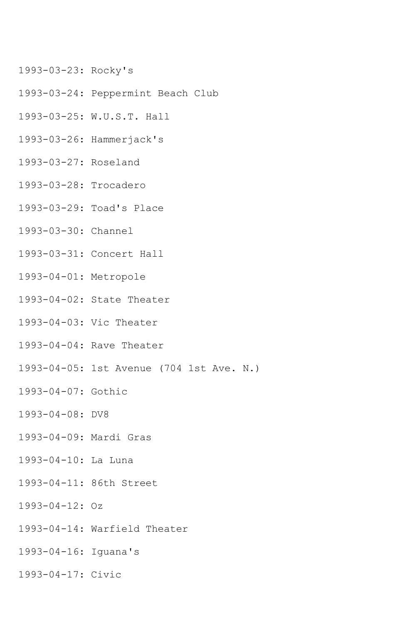- 1993-03-23: Rocky's
- 1993-03-24: Peppermint Beach Club
- 1993-03-25: W.U.S.T. Hall
- 1993-03-26: Hammerjack's
- 1993-03-27: Roseland
- 1993-03-28: Trocadero
- 1993-03-29: Toad's Place
- 1993-03-30: Channel
- 1993-03-31: Concert Hall
- 1993-04-01: Metropole
- 1993-04-02: State Theater
- 1993-04-03: Vic Theater
- 1993-04-04: Rave Theater
- 1993-04-05: 1st Avenue (704 1st Ave. N.)
- 1993-04-07: Gothic
- 1993-04-08: DV8
- 1993-04-09: Mardi Gras
- 1993-04-10: La Luna
- 1993-04-11: 86th Street
- 1993-04-12: Oz
- 1993-04-14: Warfield Theater
- 1993-04-16: Iguana's
- 1993-04-17: Civic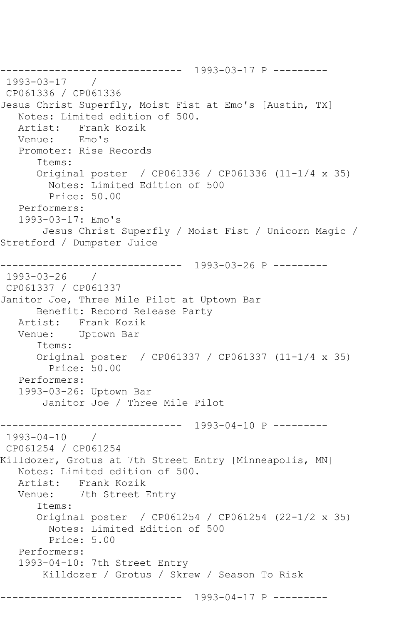------------------------------ 1993-03-17 P --------- 1993-03-17 / CP061336 / CP061336 Jesus Christ Superfly, Moist Fist at Emo's [Austin, TX] Notes: Limited edition of 500. Artist: Frank Kozik<br>Venue: Emo's Venue: Promoter: Rise Records Items: Original poster / CP061336 / CP061336 (11-1/4 x 35) Notes: Limited Edition of 500 Price: 50.00 Performers: 1993-03-17: Emo's Jesus Christ Superfly / Moist Fist / Unicorn Magic / Stretford / Dumpster Juice ------------------------------ 1993-03-26 P --------- 1993-03-26 / CP061337 / CP061337 Janitor Joe, Three Mile Pilot at Uptown Bar Benefit: Record Release Party Artist: Frank Kozik Venue: Uptown Bar Items: Original poster / CP061337 / CP061337 (11-1/4 x 35) Price: 50.00 Performers: 1993-03-26: Uptown Bar Janitor Joe / Three Mile Pilot ------------------------------ 1993-04-10 P --------- 1993-04-10 / CP061254 / CP061254 Killdozer, Grotus at 7th Street Entry [Minneapolis, MN] Notes: Limited edition of 500. Artist: Frank Kozik Venue: 7th Street Entry Items: Original poster / CP061254 / CP061254 (22-1/2 x 35) Notes: Limited Edition of 500 Price: 5.00 Performers: 1993-04-10: 7th Street Entry Killdozer / Grotus / Skrew / Season To Risk ------------------------------ 1993-04-17 P ---------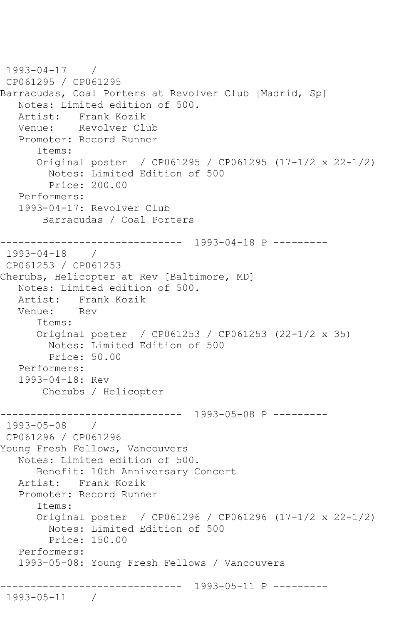```
1993-04-17 / 
CP061295 / CP061295
Barracudas, Coal Porters at Revolver Club [Madrid, Sp]
   Notes: Limited edition of 500.
   Artist: Frank Kozik
   Venue: Revolver Club
    Promoter: Record Runner
       Items:
       Original poster / CP061295 / CP061295 (17-1/2 x 22-1/2)
         Notes: Limited Edition of 500
         Price: 200.00
    Performers:
    1993-04-17: Revolver Club
        Barracudas / Coal Porters
                 ------------------------------ 1993-04-18 P ---------
1993-04-18 / 
CP061253 / CP061253
Cherubs, Helicopter at Rev [Baltimore, MD]
   Notes: Limited edition of 500.
   Artist: Frank Kozik
   Venue: Rev
       Items:
       Original poster / CP061253 / CP061253 (22-1/2 x 35)
         Notes: Limited Edition of 500
         Price: 50.00
   Performers:
    1993-04-18: Rev
        Cherubs / Helicopter
          ------------------------------ 1993-05-08 P ---------
1993-05-08 / 
CP061296 / CP061296
Young Fresh Fellows, Vancouvers
   Notes: Limited edition of 500.
       Benefit: 10th Anniversary Concert
   Artist: Frank Kozik
    Promoter: Record Runner
       Items:
       Original poster / CP061296 / CP061296 (17-1/2 x 22-1/2)
         Notes: Limited Edition of 500
         Price: 150.00
   Performers:
    1993-05-08: Young Fresh Fellows / Vancouvers
              ------------------------------ 1993-05-11 P ---------
1993-05-11 /
```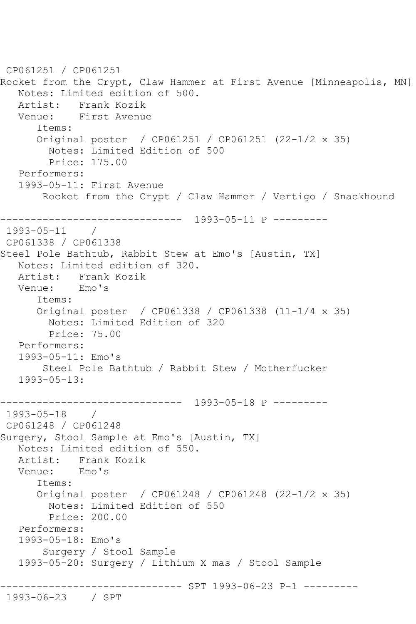```
CP061251 / CP061251
Rocket from the Crypt, Claw Hammer at First Avenue [Minneapolis, MN]
   Notes: Limited edition of 500.
  Artist: Frank Kozik<br>Venue: First Avenue
            First Avenue
       Items:
       Original poster / CP061251 / CP061251 (22-1/2 x 35)
         Notes: Limited Edition of 500
         Price: 175.00
   Performers:
    1993-05-11: First Avenue
        Rocket from the Crypt / Claw Hammer / Vertigo / Snackhound
      ------------------------------ 1993-05-11 P ---------
1993-05-11 / 
CP061338 / CP061338
Steel Pole Bathtub, Rabbit Stew at Emo's [Austin, TX]
   Notes: Limited edition of 320.
  Artist: Frank Kozik<br>Venue: Emo's
  Venue:
       Items:
       Original poster / CP061338 / CP061338 (11-1/4 x 35)
         Notes: Limited Edition of 320
         Price: 75.00
    Performers:
    1993-05-11: Emo's
        Steel Pole Bathtub / Rabbit Stew / Motherfucker
    1993-05-13:
------------------------------ 1993-05-18 P ---------
1993-05-18 / 
CP061248 / CP061248
Surgery, Stool Sample at Emo's [Austin, TX]
   Notes: Limited edition of 550.
  Artist: Frank Kozik<br>Venue: Emo's
  Venue:
       Items:
       Original poster / CP061248 / CP061248 (22-1/2 x 35)
         Notes: Limited Edition of 550
         Price: 200.00
    Performers:
    1993-05-18: Emo's
        Surgery / Stool Sample
   1993-05-20: Surgery / Lithium X mas / Stool Sample
              ------------------------------ SPT 1993-06-23 P-1 ---------
1993-06-23 / SPT
```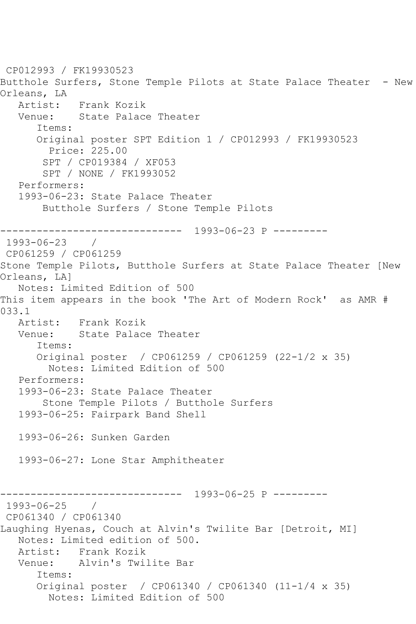CP012993 / FK19930523 Butthole Surfers, Stone Temple Pilots at State Palace Theater - New Orleans, LA Artist: Frank Kozik<br>Venue: State Palace State Palace Theater Items: Original poster SPT Edition 1 / CP012993 / FK19930523 Price: 225.00 SPT / CP019384 / XF053 SPT / NONE / FK1993052 Performers: 1993-06-23: State Palace Theater Butthole Surfers / Stone Temple Pilots ------------------------------ 1993-06-23 P --------- 1993-06-23 / CP061259 / CP061259 Stone Temple Pilots, Butthole Surfers at State Palace Theater [New Orleans, LA] Notes: Limited Edition of 500 This item appears in the book 'The Art of Modern Rock' as AMR # 033.1 Artist: Frank Kozik Venue: State Palace Theater Items: Original poster / CP061259 / CP061259 (22-1/2 x 35) Notes: Limited Edition of 500 Performers: 1993-06-23: State Palace Theater Stone Temple Pilots / Butthole Surfers 1993-06-25: Fairpark Band Shell 1993-06-26: Sunken Garden 1993-06-27: Lone Star Amphitheater ------------------------------ 1993-06-25 P --------- 1993-06-25 / CP061340 / CP061340 Laughing Hyenas, Couch at Alvin's Twilite Bar [Detroit, MI] Notes: Limited edition of 500. Artist: Frank Kozik<br>Venue: Alvin's Twi. Alvin's Twilite Bar Items: Original poster / CP061340 / CP061340 (11-1/4 x 35) Notes: Limited Edition of 500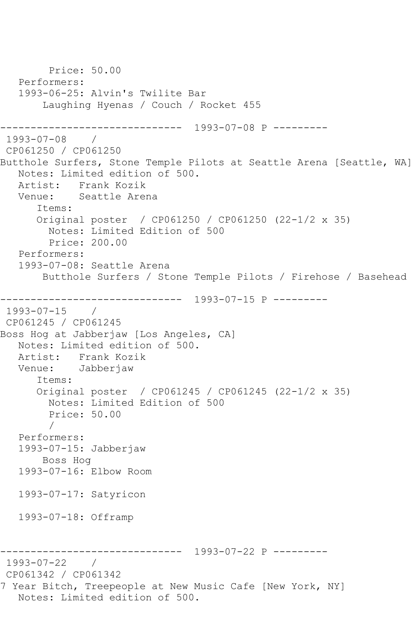Price: 50.00 Performers: 1993-06-25: Alvin's Twilite Bar Laughing Hyenas / Couch / Rocket 455 ------------------------------ 1993-07-08 P --------- 1993-07-08 / CP061250 / CP061250 Butthole Surfers, Stone Temple Pilots at Seattle Arena [Seattle, WA] Notes: Limited edition of 500. Artist: Frank Kozik Venue: Seattle Arena Items: Original poster / CP061250 / CP061250 (22-1/2 x 35) Notes: Limited Edition of 500 Price: 200.00 Performers: 1993-07-08: Seattle Arena Butthole Surfers / Stone Temple Pilots / Firehose / Basehead ------------------------------ 1993-07-15 P --------- 1993-07-15 / CP061245 / CP061245 Boss Hog at Jabberjaw [Los Angeles, CA] Notes: Limited edition of 500. Artist: Frank Kozik Venue: Jabberjaw Items: Original poster / CP061245 / CP061245 (22-1/2 x 35) Notes: Limited Edition of 500 Price: 50.00 / Performers: 1993-07-15: Jabberjaw Boss Hog 1993-07-16: Elbow Room 1993-07-17: Satyricon 1993-07-18: Offramp ------------------------------ 1993-07-22 P --------- 1993-07-22 / CP061342 / CP061342 7 Year Bitch, Treepeople at New Music Cafe [New York, NY] Notes: Limited edition of 500.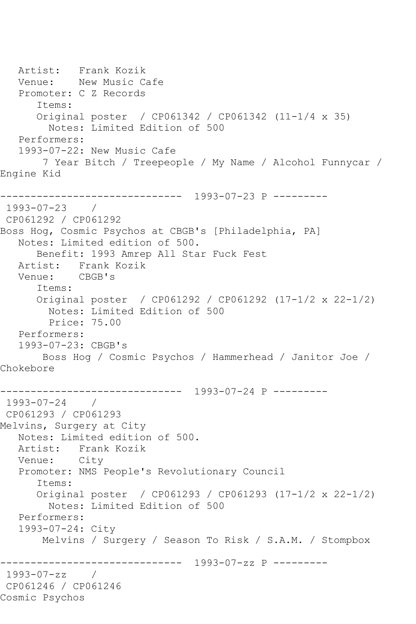Artist: Frank Kozik<br>Venue: New Music C New Music Cafe Promoter: C Z Records Items: Original poster / CP061342 / CP061342 (11-1/4 x 35) Notes: Limited Edition of 500 Performers: 1993-07-22: New Music Cafe 7 Year Bitch / Treepeople / My Name / Alcohol Funnycar / Engine Kid ------------------------------ 1993-07-23 P --------- 1993-07-23 / CP061292 / CP061292 Boss Hog, Cosmic Psychos at CBGB's [Philadelphia, PA] Notes: Limited edition of 500. Benefit: 1993 Amrep All Star Fuck Fest Artist: Frank Kozik Venue: CBGB's Items: Original poster / CP061292 / CP061292 (17-1/2 x 22-1/2) Notes: Limited Edition of 500 Price: 75.00 Performers: 1993-07-23: CBGB's Boss Hog / Cosmic Psychos / Hammerhead / Janitor Joe / Chokebore ------------------------------ 1993-07-24 P --------- 1993-07-24 / CP061293 / CP061293 Melvins, Surgery at City Notes: Limited edition of 500. Artist: Frank Kozik Venue: City Promoter: NMS People's Revolutionary Council Items: Original poster / CP061293 / CP061293 (17-1/2 x 22-1/2) Notes: Limited Edition of 500 Performers: 1993-07-24: City Melvins / Surgery / Season To Risk / S.A.M. / Stompbox ------------------------------ 1993-07-zz P --------- 1993-07-zz / CP061246 / CP061246 Cosmic Psychos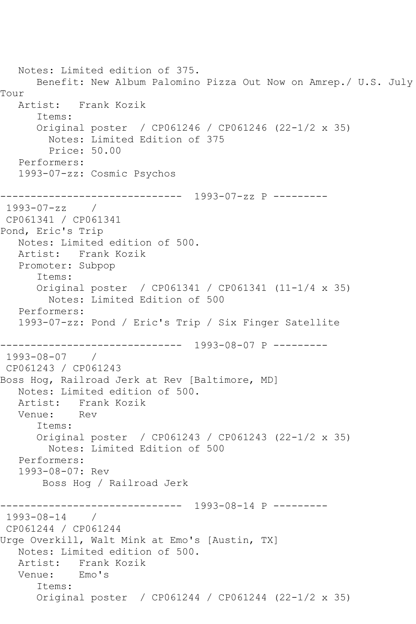Notes: Limited edition of 375. Benefit: New Album Palomino Pizza Out Now on Amrep./ U.S. July Tour Artist: Frank Kozik Items: Original poster / CP061246 / CP061246 (22-1/2 x 35) Notes: Limited Edition of 375 Price: 50.00 Performers: 1993-07-zz: Cosmic Psychos ------------------------------ 1993-07-zz P --------- 1993-07-zz / CP061341 / CP061341 Pond, Eric's Trip Notes: Limited edition of 500. Artist: Frank Kozik Promoter: Subpop Items: Original poster / CP061341 / CP061341 (11-1/4 x 35) Notes: Limited Edition of 500 Performers: 1993-07-zz: Pond / Eric's Trip / Six Finger Satellite ------------------------------ 1993-08-07 P --------- 1993-08-07 / CP061243 / CP061243 Boss Hog, Railroad Jerk at Rev [Baltimore, MD] Notes: Limited edition of 500. Artist: Frank Kozik Venue: Rev Items: Original poster / CP061243 / CP061243 (22-1/2 x 35) Notes: Limited Edition of 500 Performers: 1993-08-07: Rev Boss Hog / Railroad Jerk ------------------------------ 1993-08-14 P --------- 1993-08-14 / CP061244 / CP061244 Urge Overkill, Walt Mink at Emo's [Austin, TX] Notes: Limited edition of 500. Artist: Frank Kozik<br>Venue: Emo's Venue: Items: Original poster / CP061244 / CP061244 (22-1/2 x 35)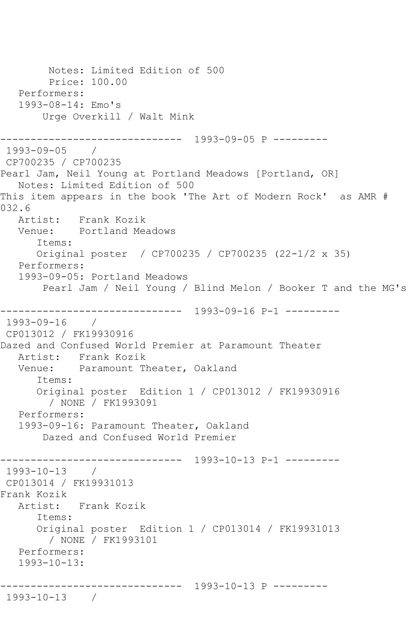Notes: Limited Edition of 500 Price: 100.00 Performers: 1993-08-14: Emo's Urge Overkill / Walt Mink ------------------------------ 1993-09-05 P --------- 1993-09-05 / CP700235 / CP700235 Pearl Jam, Neil Young at Portland Meadows [Portland, OR] Notes: Limited Edition of 500 This item appears in the book 'The Art of Modern Rock' as AMR # 032.6 Artist: Frank Kozik Venue: Portland Meadows Items: Original poster / CP700235 / CP700235 (22-1/2 x 35) Performers: 1993-09-05: Portland Meadows Pearl Jam / Neil Young / Blind Melon / Booker T and the MG's ------------------------------ 1993-09-16 P-1 --------- 1993-09-16 / CP013012 / FK19930916 Dazed and Confused World Premier at Paramount Theater Artist: Frank Kozik Venue: Paramount Theater, Oakland Items: Original poster Edition 1 / CP013012 / FK19930916 / NONE / FK1993091 Performers: 1993-09-16: Paramount Theater, Oakland Dazed and Confused World Premier ------------------------------ 1993-10-13 P-1 --------- 1993-10-13 / CP013014 / FK19931013 Frank Kozik Artist: Frank Kozik Items: Original poster Edition 1 / CP013014 / FK19931013 / NONE / FK1993101 Performers: 1993-10-13: ------------------------------ 1993-10-13 P --------- 1993-10-13 /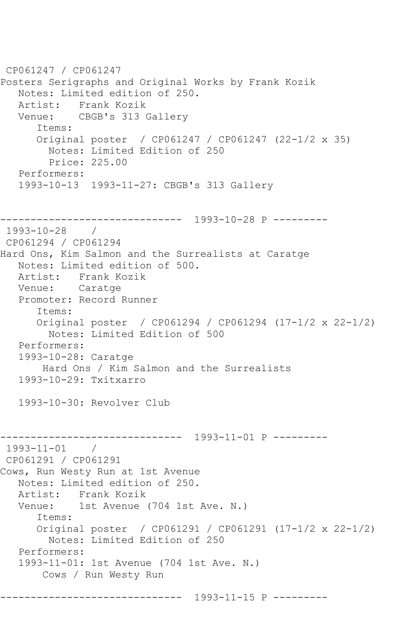CP061247 / CP061247 Posters Serigraphs and Original Works by Frank Kozik Notes: Limited edition of 250. Artist: Frank Kozik<br>Venue: CBGB's 313 CBGB's 313 Gallery Items: Original poster / CP061247 / CP061247 (22-1/2 x 35) Notes: Limited Edition of 250 Price: 225.00 Performers: 1993-10-13 1993-11-27: CBGB's 313 Gallery ------------------------------ 1993-10-28 P --------- 1993-10-28 / CP061294 / CP061294 Hard Ons, Kim Salmon and the Surrealists at Caratge Notes: Limited edition of 500. Artist: Frank Kozik Venue: Caratge Promoter: Record Runner Items: Original poster / CP061294 / CP061294 (17-1/2 x 22-1/2) Notes: Limited Edition of 500 Performers: 1993-10-28: Caratge Hard Ons / Kim Salmon and the Surrealists 1993-10-29: Txitxarro 1993-10-30: Revolver Club ------------------------------ 1993-11-01 P --------- 1993-11-01 / CP061291 / CP061291 Cows, Run Westy Run at 1st Avenue Notes: Limited edition of 250. Artist: Frank Kozik Venue: 1st Avenue (704 1st Ave. N.) Items: Original poster / CP061291 / CP061291 (17-1/2 x 22-1/2) Notes: Limited Edition of 250 Performers: 1993-11-01: 1st Avenue (704 1st Ave. N.) Cows / Run Westy Run ------------------------------ 1993-11-15 P ---------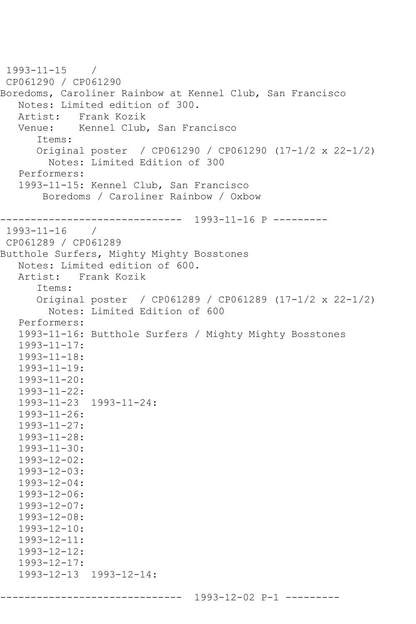```
1993-11-15 / 
CP061290 / CP061290
Boredoms, Caroliner Rainbow at Kennel Club, San Francisco
   Notes: Limited edition of 300.
   Artist: Frank Kozik
   Venue: Kennel Club, San Francisco
       Items:
       Original poster / CP061290 / CP061290 (17-1/2 x 22-1/2)
         Notes: Limited Edition of 300
   Performers:
   1993-11-15: Kennel Club, San Francisco
        Boredoms / Caroliner Rainbow / Oxbow
------------------------------ 1993-11-16 P ---------
1993-11-16 / 
CP061289 / CP061289
Butthole Surfers, Mighty Mighty Bosstones
   Notes: Limited edition of 600.
   Artist: Frank Kozik
       Items:
       Original poster / CP061289 / CP061289 (17-1/2 x 22-1/2)
         Notes: Limited Edition of 600
   Performers:
    1993-11-16: Butthole Surfers / Mighty Mighty Bosstones
    1993-11-17:
   1993-11-18:
   1993-11-19:
    1993-11-20:
    1993-11-22:
    1993-11-23 1993-11-24:
   1993-11-26:
   1993-11-27:
    1993-11-28:
    1993-11-30:
    1993-12-02:
    1993-12-03:
   1993-12-04:
    1993-12-06:
   1993-12-07:
    1993-12-08:
    1993-12-10:
   1993-12-11:
   1993-12-12:
   1993-12-17:
   1993-12-13 1993-12-14:
```
------------------------------ 1993-12-02 P-1 ---------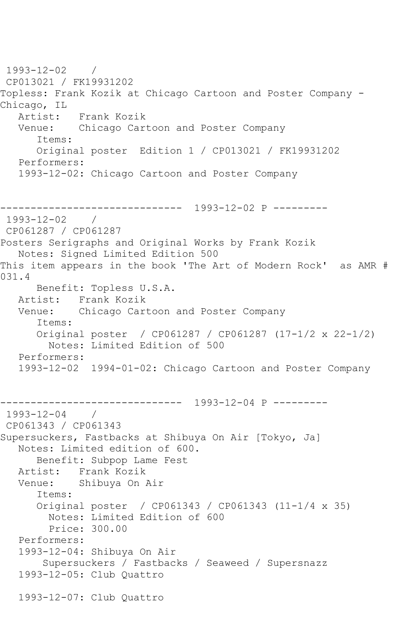1993-12-02 / CP013021 / FK19931202 Topless: Frank Kozik at Chicago Cartoon and Poster Company - Chicago, IL Artist: Frank Kozik Venue: Chicago Cartoon and Poster Company Items: Original poster Edition 1 / CP013021 / FK19931202 Performers: 1993-12-02: Chicago Cartoon and Poster Company ------------------------------ 1993-12-02 P --------- 1993-12-02 / CP061287 / CP061287 Posters Serigraphs and Original Works by Frank Kozik Notes: Signed Limited Edition 500 This item appears in the book 'The Art of Modern Rock' as AMR # 031.4 Benefit: Topless U.S.A. Artist: Frank Kozik Venue: Chicago Cartoon and Poster Company Items: Original poster / CP061287 / CP061287 (17-1/2 x 22-1/2) Notes: Limited Edition of 500 Performers: 1993-12-02 1994-01-02: Chicago Cartoon and Poster Company ------------------------------ 1993-12-04 P --------- 1993-12-04 / CP061343 / CP061343 Supersuckers, Fastbacks at Shibuya On Air [Tokyo, Ja] Notes: Limited edition of 600. Benefit: Subpop Lame Fest Artist: Frank Kozik Venue: Shibuya On Air Items: Original poster / CP061343 / CP061343 (11-1/4 x 35) Notes: Limited Edition of 600 Price: 300.00 Performers: 1993-12-04: Shibuya On Air Supersuckers / Fastbacks / Seaweed / Supersnazz 1993-12-05: Club Quattro 1993-12-07: Club Quattro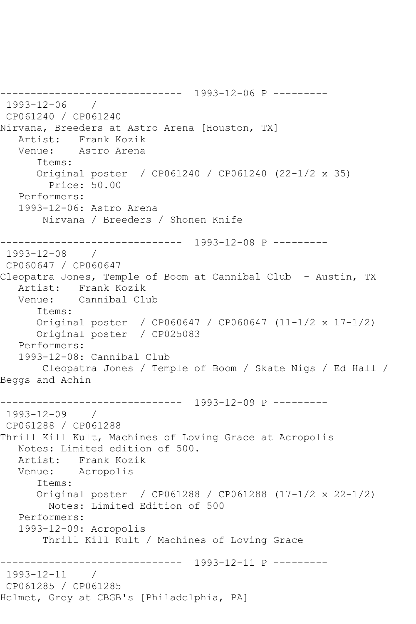------------------------------ 1993-12-06 P --------- 1993-12-06 / CP061240 / CP061240 Nirvana, Breeders at Astro Arena [Houston, TX] Artist: Frank Kozik Venue: Astro Arena Items: Original poster / CP061240 / CP061240 (22-1/2 x 35) Price: 50.00 Performers: 1993-12-06: Astro Arena Nirvana / Breeders / Shonen Knife ------------------------------ 1993-12-08 P --------- 1993-12-08 / CP060647 / CP060647 Cleopatra Jones, Temple of Boom at Cannibal Club - Austin, TX Artist: Frank Kozik<br>Venue: Cannibal Clu Cannibal Club Items: Original poster / CP060647 / CP060647 (11-1/2 x 17-1/2) Original poster / CP025083 Performers: 1993-12-08: Cannibal Club Cleopatra Jones / Temple of Boom / Skate Nigs / Ed Hall / Beggs and Achin ------------------------------ 1993-12-09 P --------- 1993-12-09 / CP061288 / CP061288 Thrill Kill Kult, Machines of Loving Grace at Acropolis Notes: Limited edition of 500. Artist: Frank Kozik<br>Venue: Acropolis Acropolis Items: Original poster / CP061288 / CP061288 (17-1/2 x 22-1/2) Notes: Limited Edition of 500 Performers: 1993-12-09: Acropolis Thrill Kill Kult / Machines of Loving Grace ------------------------------ 1993-12-11 P --------- 1993-12-11 / CP061285 / CP061285 Helmet, Grey at CBGB's [Philadelphia, PA]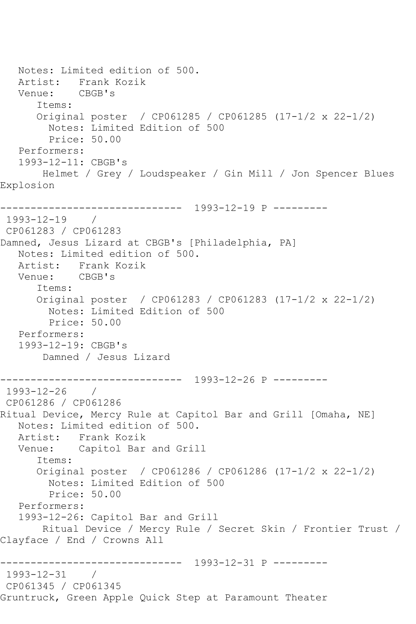Notes: Limited edition of 500. Artist: Frank Kozik Venue: CBGB's Items: Original poster / CP061285 / CP061285 (17-1/2 x 22-1/2) Notes: Limited Edition of 500 Price: 50.00 Performers: 1993-12-11: CBGB's Helmet / Grey / Loudspeaker / Gin Mill / Jon Spencer Blues Explosion ------------------------------ 1993-12-19 P --------- 1993-12-19 / CP061283 / CP061283 Damned, Jesus Lizard at CBGB's [Philadelphia, PA] Notes: Limited edition of 500. Artist: Frank Kozik Venue: CBGB's Items: Original poster / CP061283 / CP061283 (17-1/2 x 22-1/2) Notes: Limited Edition of 500 Price: 50.00 Performers: 1993-12-19: CBGB's Damned / Jesus Lizard ------------------------------ 1993-12-26 P --------- 1993-12-26 / CP061286 / CP061286 Ritual Device, Mercy Rule at Capitol Bar and Grill [Omaha, NE] Notes: Limited edition of 500. Artist: Frank Kozik<br>Venue: Capitol Bar Capitol Bar and Grill Items: Original poster / CP061286 / CP061286 (17-1/2 x 22-1/2) Notes: Limited Edition of 500 Price: 50.00 Performers: 1993-12-26: Capitol Bar and Grill Ritual Device / Mercy Rule / Secret Skin / Frontier Trust / Clayface / End / Crowns All ------------------------------ 1993-12-31 P --------- 1993-12-31 / CP061345 / CP061345 Gruntruck, Green Apple Quick Step at Paramount Theater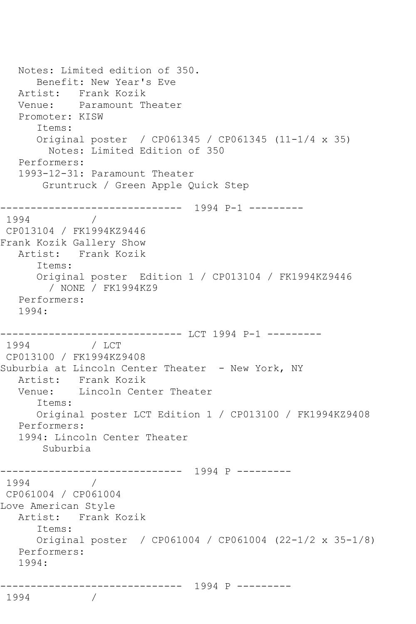```
 Notes: Limited edition of 350.
      Benefit: New Year's Eve
   Artist: Frank Kozik
   Venue: Paramount Theater
   Promoter: KISW
       Items:
       Original poster / CP061345 / CP061345 (11-1/4 x 35)
         Notes: Limited Edition of 350
   Performers:
   1993-12-31: Paramount Theater
        Gruntruck / Green Apple Quick Step
    ------------------------------ 1994 P-1 ---------
1994 / 
CP013104 / FK1994KZ9446
Frank Kozik Gallery Show
   Artist: Frank Kozik
       Items:
      Original poster Edition 1 / CP013104 / FK1994KZ9446
         / NONE / FK1994KZ9
   Performers:
   1994:
------------------------------ LCT 1994 P-1 ---------
1994 / LCT 
CP013100 / FK1994KZ9408
Suburbia at Lincoln Center Theater - New York, NY
   Artist: Frank Kozik
   Venue: Lincoln Center Theater
       Items:
      Original poster LCT Edition 1 / CP013100 / FK1994KZ9408
   Performers:
   1994: Lincoln Center Theater
       Suburbia
      ------------------------------ 1994 P ---------
1994
CP061004 / CP061004
Love American Style
   Artist: Frank Kozik
       Items:
      Original poster / CP061004 / CP061004 (22-1/2 x 35-1/8)
   Performers:
   1994:
              ------------------------------ 1994 P ---------
1994
```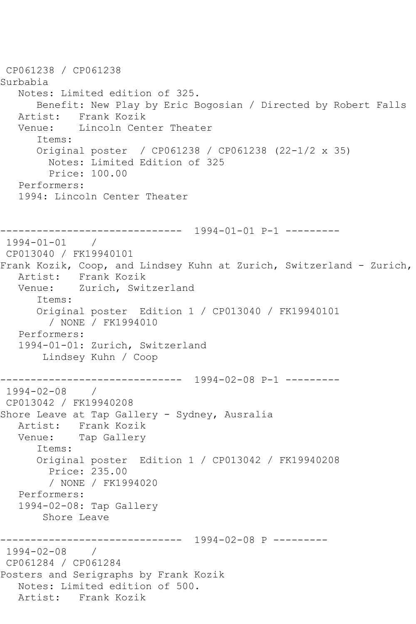```
CP061238 / CP061238
Surbabia
   Notes: Limited edition of 325.
      Benefit: New Play by Eric Bogosian / Directed by Robert Falls
   Artist: Frank Kozik
   Venue: Lincoln Center Theater
       Items:
       Original poster / CP061238 / CP061238 (22-1/2 x 35)
         Notes: Limited Edition of 325
         Price: 100.00
   Performers:
   1994: Lincoln Center Theater
------------------------------ 1994-01-01 P-1 ---------
1994-01-01 / 
CP013040 / FK19940101
Frank Kozik, Coop, and Lindsey Kuhn at Zurich, Switzerland - Zurich,
  Artist: Frank Kozik<br>Venue: Zurich, Swit
           Zurich, Switzerland
       Items:
      Original poster Edition 1 / CP013040 / FK19940101
         / NONE / FK1994010
   Performers:
   1994-01-01: Zurich, Switzerland
        Lindsey Kuhn / Coop
         ------------------------------ 1994-02-08 P-1 ---------
1994-02-08 / 
CP013042 / FK19940208
Shore Leave at Tap Gallery - Sydney, Ausralia
   Artist: Frank Kozik
   Venue: Tap Gallery
       Items:
       Original poster Edition 1 / CP013042 / FK19940208
         Price: 235.00
         / NONE / FK1994020
   Performers:
   1994-02-08: Tap Gallery
        Shore Leave
------------------------------ 1994-02-08 P ---------
1994-02-08 / 
CP061284 / CP061284
Posters and Serigraphs by Frank Kozik
   Notes: Limited edition of 500.
   Artist: Frank Kozik
```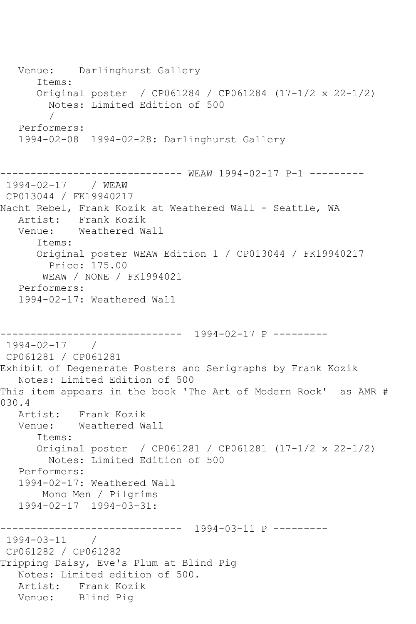Venue: Darlinghurst Gallery Items: Original poster / CP061284 / CP061284 (17-1/2 x 22-1/2) Notes: Limited Edition of 500 / Performers: 1994-02-08 1994-02-28: Darlinghurst Gallery ------------------------------ WEAW 1994-02-17 P-1 --------- 1994-02-17 / WEAW CP013044 / FK19940217 Nacht Rebel, Frank Kozik at Weathered Wall - Seattle, WA Artist: Frank Kozik Venue: Weathered Wall Items: Original poster WEAW Edition 1 / CP013044 / FK19940217 Price: 175.00 WEAW / NONE / FK1994021 Performers: 1994-02-17: Weathered Wall ------------------------------ 1994-02-17 P --------- 1994-02-17 / CP061281 / CP061281 Exhibit of Degenerate Posters and Serigraphs by Frank Kozik Notes: Limited Edition of 500 This item appears in the book 'The Art of Modern Rock' as AMR # 030.4<br>Artist: Frank Kozik Venue: Weathered Wall Items: Original poster / CP061281 / CP061281 (17-1/2 x 22-1/2) Notes: Limited Edition of 500 Performers: 1994-02-17: Weathered Wall Mono Men / Pilgrims 1994-02-17 1994-03-31: ------------------------------ 1994-03-11 P --------- 1994-03-11 / CP061282 / CP061282 Tripping Daisy, Eve's Plum at Blind Pig Notes: Limited edition of 500. Artist: Frank Kozik Venue: Blind Pig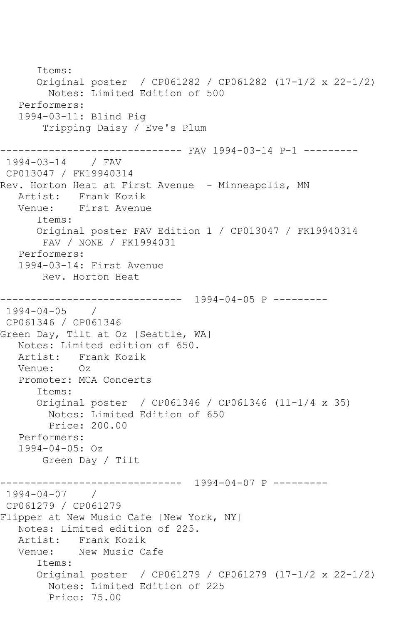Items: Original poster / CP061282 / CP061282 (17-1/2 x 22-1/2) Notes: Limited Edition of 500 Performers: 1994-03-11: Blind Pig Tripping Daisy / Eve's Plum ------------------------------ FAV 1994-03-14 P-1 --------- 1994-03-14 / FAV CP013047 / FK19940314 Rev. Horton Heat at First Avenue - Minneapolis, MN Artist: Frank Kozik<br>Venue: First Avenue First Avenue Items: Original poster FAV Edition 1 / CP013047 / FK19940314 FAV / NONE / FK1994031 Performers: 1994-03-14: First Avenue Rev. Horton Heat ------------------------------ 1994-04-05 P --------- 1994-04-05 / CP061346 / CP061346 Green Day, Tilt at Oz [Seattle, WA] Notes: Limited edition of 650. Artist: Frank Kozik Venue: Oz Promoter: MCA Concerts Items: Original poster / CP061346 / CP061346 (11-1/4 x 35) Notes: Limited Edition of 650 Price: 200.00 Performers: 1994-04-05: Oz Green Day / Tilt ------------------------------ 1994-04-07 P --------- 1994-04-07 / CP061279 / CP061279 Flipper at New Music Cafe [New York, NY] Notes: Limited edition of 225. Artist: Frank Kozik Venue: New Music Cafe Items: Original poster / CP061279 / CP061279 (17-1/2 x 22-1/2) Notes: Limited Edition of 225 Price: 75.00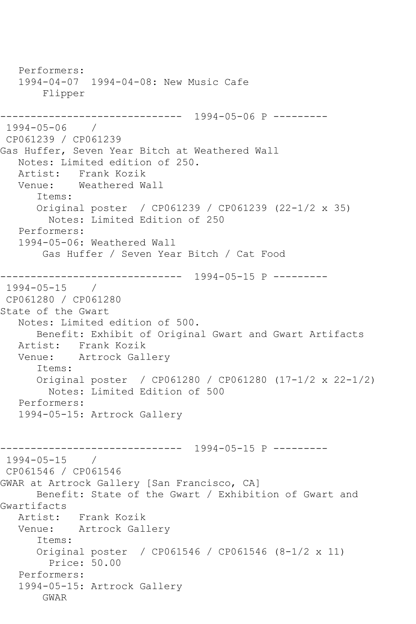Performers: 1994-04-07 1994-04-08: New Music Cafe Flipper ------------------------------ 1994-05-06 P --------- 1994-05-06 / CP061239 / CP061239 Gas Huffer, Seven Year Bitch at Weathered Wall Notes: Limited edition of 250. Artist: Frank Kozik Venue: Weathered Wall Items: Original poster / CP061239 / CP061239 (22-1/2 x 35) Notes: Limited Edition of 250 Performers: 1994-05-06: Weathered Wall Gas Huffer / Seven Year Bitch / Cat Food ------------------------------ 1994-05-15 P --------- 1994-05-15 / CP061280 / CP061280 State of the Gwart Notes: Limited edition of 500. Benefit: Exhibit of Original Gwart and Gwart Artifacts Artist: Frank Kozik<br>Venue: Artrock Gal. Artrock Gallery Items: Original poster / CP061280 / CP061280 (17-1/2 x 22-1/2) Notes: Limited Edition of 500 Performers: 1994-05-15: Artrock Gallery ------------------------------ 1994-05-15 P --------- 1994-05-15 / CP061546 / CP061546 GWAR at Artrock Gallery [San Francisco, CA] Benefit: State of the Gwart / Exhibition of Gwart and Gwartifacts<br>Artist: Artist: Frank Kozik Venue: Artrock Gallery Items: Original poster / CP061546 / CP061546 (8-1/2 x 11) Price: 50.00 Performers: 1994-05-15: Artrock Gallery GWAR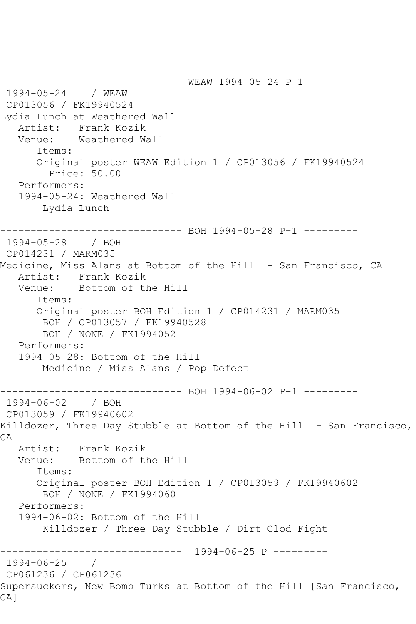```
------------------------------ WEAW 1994-05-24 P-1 ---------
1994-05-24 / WEAW 
CP013056 / FK19940524
Lydia Lunch at Weathered Wall<br>Artist: Frank Kozik
   Artist: Frank Kozik<br>Venue: Weathered Wa
            Weathered Wall
       Items:
       Original poster WEAW Edition 1 / CP013056 / FK19940524
         Price: 50.00
    Performers:
    1994-05-24: Weathered Wall
        Lydia Lunch
       ------------------------------ BOH 1994-05-28 P-1 ---------
1994-05-28 / BOH 
CP014231 / MARM035
Medicine, Miss Alans at Bottom of the Hill - San Francisco, CA
   Artist: Frank Kozik<br>Venue: Bottom of th
            Bottom of the Hill
       Items:
       Original poster BOH Edition 1 / CP014231 / MARM035
        BOH / CP013057 / FK19940528
        BOH / NONE / FK1994052
    Performers:
    1994-05-28: Bottom of the Hill
        Medicine / Miss Alans / Pop Defect
------------------------------ BOH 1994-06-02 P-1 ---------
1994-06-02 / BOH 
CP013059 / FK19940602
Killdozer, Three Day Stubble at Bottom of the Hill - San Francisco,
CA
    Artist: Frank Kozik
    Venue: Bottom of the Hill
       Items:
       Original poster BOH Edition 1 / CP013059 / FK19940602
        BOH / NONE / FK1994060
    Performers:
    1994-06-02: Bottom of the Hill
        Killdozer / Three Day Stubble / Dirt Clod Fight
                 ------------------------------ 1994-06-25 P ---------
1994-06-25 / 
CP061236 / CP061236
Supersuckers, New Bomb Turks at Bottom of the Hill [San Francisco, 
CA]
```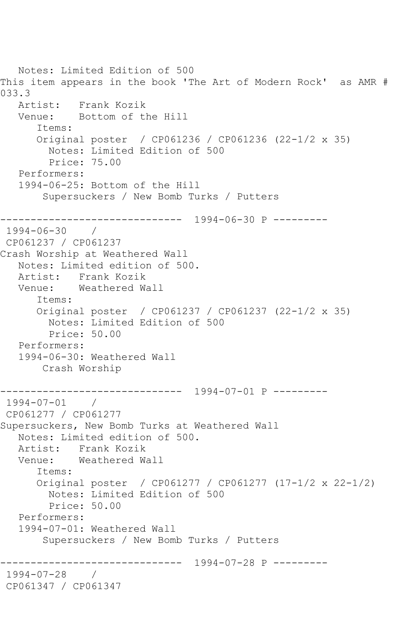Notes: Limited Edition of 500 This item appears in the book 'The Art of Modern Rock' as AMR # 033.3 Artist: Frank Kozik<br>Venue: Bottom of tl Bottom of the Hill Items: Original poster / CP061236 / CP061236 (22-1/2 x 35) Notes: Limited Edition of 500 Price: 75.00 Performers: 1994-06-25: Bottom of the Hill Supersuckers / New Bomb Turks / Putters ------------------------------ 1994-06-30 P --------- 1994-06-30 / CP061237 / CP061237 Crash Worship at Weathered Wall Notes: Limited edition of 500. Artist: Frank Kozik Venue: Weathered Wall Items: Original poster / CP061237 / CP061237 (22-1/2 x 35) Notes: Limited Edition of 500 Price: 50.00 Performers: 1994-06-30: Weathered Wall Crash Worship ------------------------------ 1994-07-01 P --------- 1994-07-01 / CP061277 / CP061277 Supersuckers, New Bomb Turks at Weathered Wall Notes: Limited edition of 500. Artist: Frank Kozik Venue: Weathered Wall Items: Original poster / CP061277 / CP061277 (17-1/2 x 22-1/2) Notes: Limited Edition of 500 Price: 50.00 Performers: 1994-07-01: Weathered Wall Supersuckers / New Bomb Turks / Putters ------------------------------ 1994-07-28 P --------- 1994-07-28 / CP061347 / CP061347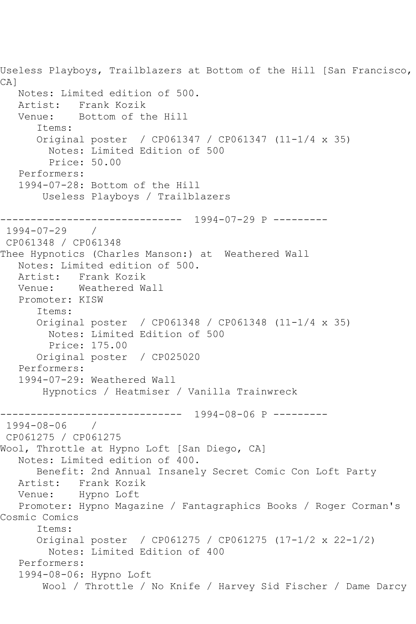Useless Playboys, Trailblazers at Bottom of the Hill [San Francisco, CA] Notes: Limited edition of 500. Artist: Frank Kozik<br>Venue: Bottom of tl Bottom of the Hill Items: Original poster / CP061347 / CP061347 (11-1/4 x 35) Notes: Limited Edition of 500 Price: 50.00 Performers: 1994-07-28: Bottom of the Hill Useless Playboys / Trailblazers ------------------------------ 1994-07-29 P --------- 1994-07-29 / CP061348 / CP061348 Thee Hypnotics (Charles Manson:) at Weathered Wall Notes: Limited edition of 500. Artist: Frank Kozik Venue: Weathered Wall Promoter: KISW Items: Original poster / CP061348 / CP061348 (11-1/4 x 35) Notes: Limited Edition of 500 Price: 175.00 Original poster / CP025020 Performers: 1994-07-29: Weathered Wall Hypnotics / Heatmiser / Vanilla Trainwreck ------------------------------ 1994-08-06 P --------- 1994-08-06 / CP061275 / CP061275 Wool, Throttle at Hypno Loft [San Diego, CA] Notes: Limited edition of 400. Benefit: 2nd Annual Insanely Secret Comic Con Loft Party Artist: Frank Kozik Venue: Hypno Loft Promoter: Hypno Magazine / Fantagraphics Books / Roger Corman's Cosmic Comics Items: Original poster / CP061275 / CP061275 (17-1/2 x 22-1/2) Notes: Limited Edition of 400 Performers: 1994-08-06: Hypno Loft Wool / Throttle / No Knife / Harvey Sid Fischer / Dame Darcy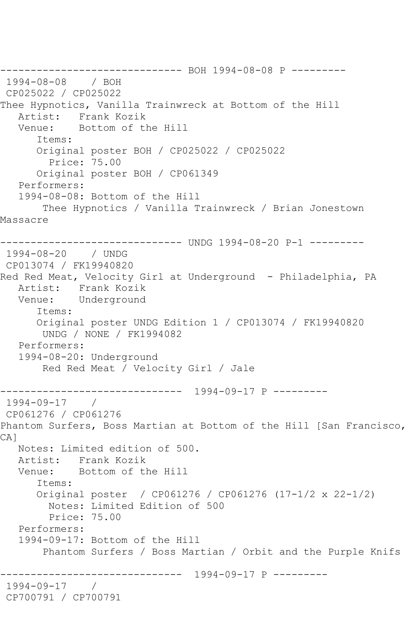------------------------------ BOH 1994-08-08 P --------- 1994-08-08 / BOH CP025022 / CP025022 Thee Hypnotics, Vanilla Trainwreck at Bottom of the Hill Artist: Frank Kozik Venue: Bottom of the Hill Items: Original poster BOH / CP025022 / CP025022 Price: 75.00 Original poster BOH / CP061349 Performers: 1994-08-08: Bottom of the Hill Thee Hypnotics / Vanilla Trainwreck / Brian Jonestown Massacre ---------------------- UNDG 1994-08-20 P-1 ---------1994-08-20 / UNDG CP013074 / FK19940820 Red Red Meat, Velocity Girl at Underground - Philadelphia, PA Artist: Frank Kozik Venue: Underground Items: Original poster UNDG Edition 1 / CP013074 / FK19940820 UNDG / NONE / FK1994082 Performers: 1994-08-20: Underground Red Red Meat / Velocity Girl / Jale ------------------------------ 1994-09-17 P --------- 1994-09-17 / CP061276 / CP061276 Phantom Surfers, Boss Martian at Bottom of the Hill [San Francisco, CA<sub>1</sub> Notes: Limited edition of 500. Artist: Frank Kozik Venue: Bottom of the Hill Items: Original poster / CP061276 / CP061276 (17-1/2 x 22-1/2) Notes: Limited Edition of 500 Price: 75.00 Performers: 1994-09-17: Bottom of the Hill Phantom Surfers / Boss Martian / Orbit and the Purple Knifs ------------------------------ 1994-09-17 P --------- 1994-09-17 / CP700791 / CP700791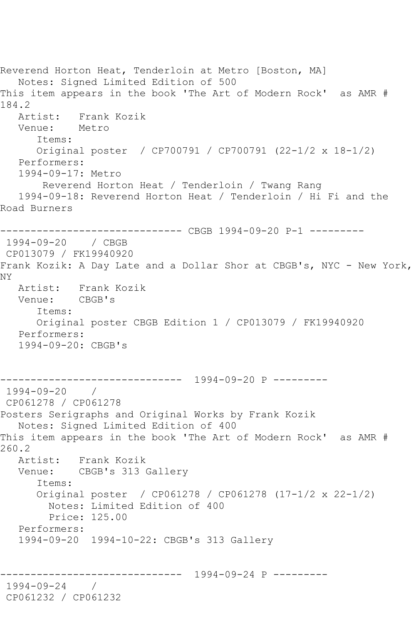Reverend Horton Heat, Tenderloin at Metro [Boston, MA] Notes: Signed Limited Edition of 500 This item appears in the book 'The Art of Modern Rock' as AMR # 184.2<br>: Artist Artist: Frank Kozik Venue: Metro Items: Original poster / CP700791 / CP700791 (22-1/2 x 18-1/2) Performers: 1994-09-17: Metro Reverend Horton Heat / Tenderloin / Twang Rang 1994-09-18: Reverend Horton Heat / Tenderloin / Hi Fi and the Road Burners ------------------------------ CBGB 1994-09-20 P-1 --------- 1994-09-20 / CBGB CP013079 / FK19940920 Frank Kozik: A Day Late and a Dollar Shor at CBGB's, NYC - New York, NY Artist: Frank Kozik<br>Venue: CBGB's Venue: Items: Original poster CBGB Edition 1 / CP013079 / FK19940920 Performers: 1994-09-20: CBGB's -<mark>--------------------------</mark> 1994-09-20 P ---------<br>}4-09-20 / 1994-09-20 / CP061278 / CP061278 Posters Serigraphs and Original Works by Frank Kozik Notes: Signed Limited Edition of 400 This item appears in the book 'The Art of Modern Rock' as AMR # 260.2 Artist: Frank Kozik Venue: CBGB's 313 Gallery Items: Original poster / CP061278 / CP061278 (17-1/2 x 22-1/2) Notes: Limited Edition of 400 Price: 125.00 Performers: 1994-09-20 1994-10-22: CBGB's 313 Gallery ------------------------------ 1994-09-24 P --------- 1994-09-24 / CP061232 / CP061232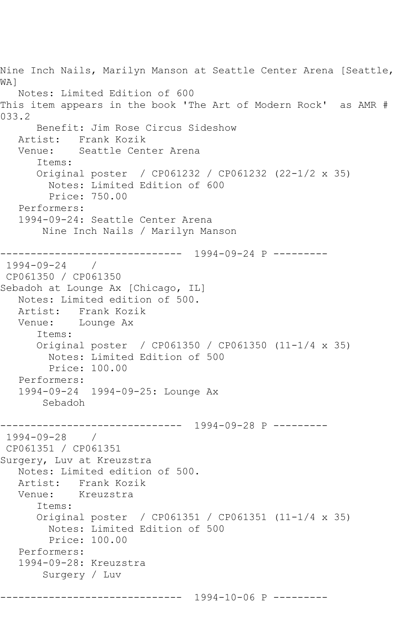Nine Inch Nails, Marilyn Manson at Seattle Center Arena [Seattle, WA] Notes: Limited Edition of 600 This item appears in the book 'The Art of Modern Rock' as AMR # 033.2 Benefit: Jim Rose Circus Sideshow Artist: Frank Kozik Venue: Seattle Center Arena Items: Original poster / CP061232 / CP061232 (22-1/2 x 35) Notes: Limited Edition of 600 Price: 750.00 Performers: 1994-09-24: Seattle Center Arena Nine Inch Nails / Marilyn Manson ------------------------------ 1994-09-24 P --------- 1994-09-24 / CP061350 / CP061350 Sebadoh at Lounge Ax [Chicago, IL] Notes: Limited edition of 500. Artist: Frank Kozik Venue: Lounge Ax Items: Original poster / CP061350 / CP061350 (11-1/4 x 35) Notes: Limited Edition of 500 Price: 100.00 Performers: 1994-09-24 1994-09-25: Lounge Ax Sebadoh ------------------------------ 1994-09-28 P --------- 1994-09-28 / CP061351 / CP061351 Surgery, Luv at Kreuzstra Notes: Limited edition of 500. Artist: Frank Kozik Venue: Kreuzstra Items: Original poster / CP061351 / CP061351 (11-1/4 x 35) Notes: Limited Edition of 500 Price: 100.00 Performers: 1994-09-28: Kreuzstra Surgery / Luv ------------------------------ 1994-10-06 P ---------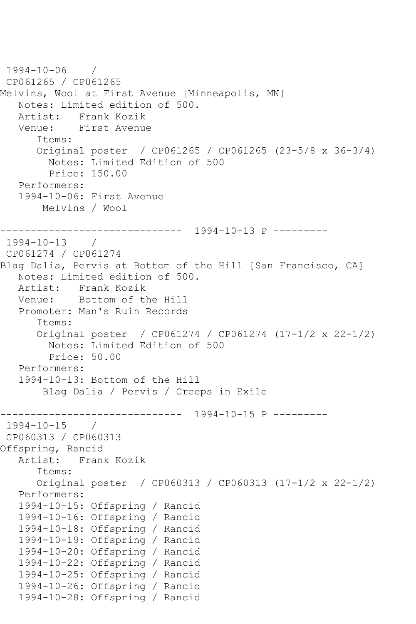```
1994-10-06 / 
CP061265 / CP061265
Melvins, Wool at First Avenue [Minneapolis, MN]
   Notes: Limited edition of 500.
   Artist: Frank Kozik
   Venue: First Avenue
       Items:
       Original poster / CP061265 / CP061265 (23-5/8 x 36-3/4)
         Notes: Limited Edition of 500
         Price: 150.00
   Performers:
   1994-10-06: First Avenue
        Melvins / Wool
         ------------------------------ 1994-10-13 P ---------
1994-10-13 / 
CP061274 / CP061274
Blag Dalia, Pervis at Bottom of the Hill [San Francisco, CA]
   Notes: Limited edition of 500.
   Artist: Frank Kozik
   Venue: Bottom of the Hill
   Promoter: Man's Ruin Records
       Items:
       Original poster / CP061274 / CP061274 (17-1/2 x 22-1/2)
         Notes: Limited Edition of 500
         Price: 50.00
   Performers:
   1994-10-13: Bottom of the Hill
        Blag Dalia / Pervis / Creeps in Exile
          ------------------------------ 1994-10-15 P ---------
1994-10-15 / 
CP060313 / CP060313
Offspring, Rancid
   Artist: Frank Kozik
       Items:
      Original poster / CP060313 / CP060313 (17-1/2 x 22-1/2)
   Performers:
   1994-10-15: Offspring / Rancid
   1994-10-16: Offspring / Rancid
   1994-10-18: Offspring / Rancid
   1994-10-19: Offspring / Rancid
   1994-10-20: Offspring / Rancid
   1994-10-22: Offspring / Rancid
   1994-10-25: Offspring / Rancid
   1994-10-26: Offspring / Rancid
   1994-10-28: Offspring / Rancid
```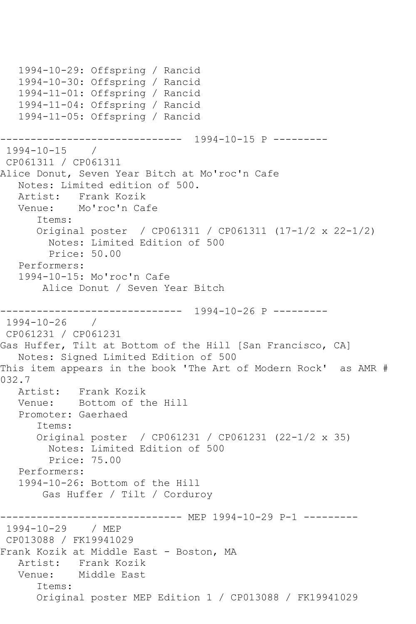```
 1994-10-29: Offspring / Rancid
    1994-10-30: Offspring / Rancid
    1994-11-01: Offspring / Rancid
    1994-11-04: Offspring / Rancid
    1994-11-05: Offspring / Rancid
         ------------------------------ 1994-10-15 P ---------
1994-10-15 / 
CP061311 / CP061311
Alice Donut, Seven Year Bitch at Mo'roc'n Cafe
   Notes: Limited edition of 500.
  Artist: Frank Kozik<br>Venue: Mo'roc'n Ca
            Mo'roc'n Cafe
       Items:
       Original poster / CP061311 / CP061311 (17-1/2 x 22-1/2)
         Notes: Limited Edition of 500
         Price: 50.00
   Performers:
    1994-10-15: Mo'roc'n Cafe
        Alice Donut / Seven Year Bitch
                   ------------------------------ 1994-10-26 P ---------
1994-10-26 / 
CP061231 / CP061231
Gas Huffer, Tilt at Bottom of the Hill [San Francisco, CA]
   Notes: Signed Limited Edition of 500
This item appears in the book 'The Art of Modern Rock' as AMR # 
032.7
   Artist: Frank Kozik
   Venue: Bottom of the Hill
   Promoter: Gaerhaed
       Items:
       Original poster / CP061231 / CP061231 (22-1/2 x 35)
         Notes: Limited Edition of 500
         Price: 75.00
   Performers:
    1994-10-26: Bottom of the Hill
        Gas Huffer / Tilt / Corduroy
               ---------------- MEP 1994-10-29 P-1 ---------<br>/ MEP
1994 - 10 - 29CP013088 / FK19941029
Frank Kozik at Middle East - Boston, MA
   Artist: Frank Kozik
   Venue: Middle East
       Items:
       Original poster MEP Edition 1 / CP013088 / FK19941029
```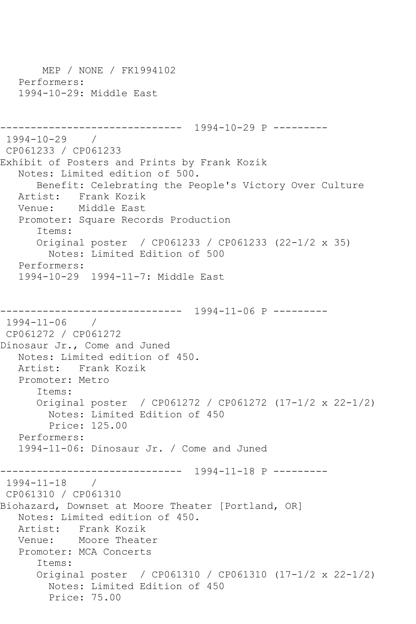```
 MEP / NONE / FK1994102
   Performers:
    1994-10-29: Middle East
                   ------------------------------ 1994-10-29 P ---------
1994-10-29 / 
CP061233 / CP061233
Exhibit of Posters and Prints by Frank Kozik
   Notes: Limited edition of 500.
       Benefit: Celebrating the People's Victory Over Culture
  Artist: Frank Kozik<br>Venue: Middle East
            Middle East
    Promoter: Square Records Production
       Items:
       Original poster / CP061233 / CP061233 (22-1/2 x 35)
         Notes: Limited Edition of 500
   Performers:
   1994-10-29 1994-11-7: Middle East
                   ------------------------------ 1994-11-06 P ---------
1994-11-06 / 
CP061272 / CP061272
Dinosaur Jr., Come and Juned
   Notes: Limited edition of 450.
   Artist: Frank Kozik
   Promoter: Metro
       Items:
       Original poster / CP061272 / CP061272 (17-1/2 x 22-1/2)
         Notes: Limited Edition of 450
         Price: 125.00
   Performers:
   1994-11-06: Dinosaur Jr. / Come and Juned
------------------------------ 1994-11-18 P ---------
1994-11-18 / 
CP061310 / CP061310
Biohazard, Downset at Moore Theater [Portland, OR]
   Notes: Limited edition of 450.
   Artist: Frank Kozik
   Venue: Moore Theater
   Promoter: MCA Concerts
       Items:
       Original poster / CP061310 / CP061310 (17-1/2 x 22-1/2)
         Notes: Limited Edition of 450
         Price: 75.00
```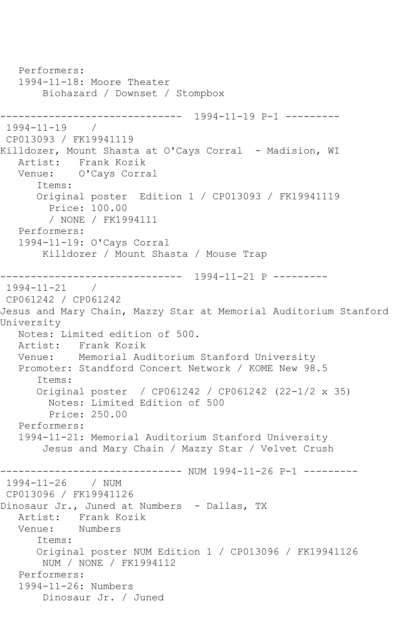Performers: 1994-11-18: Moore Theater Biohazard / Downset / Stompbox ------------------------------ 1994-11-19 P-1 --------- 1994-11-19 / CP013093 / FK19941119 Killdozer, Mount Shasta at O'Cays Corral - Madision, WI Artist: Frank Kozik Venue: O'Cays Corral Items: Original poster Edition 1 / CP013093 / FK19941119 Price: 100.00 / NONE / FK1994111 Performers: 1994-11-19: O'Cays Corral Killdozer / Mount Shasta / Mouse Trap ------------------------------ 1994-11-21 P --------- 1994-11-21 / CP061242 / CP061242 Jesus and Mary Chain, Mazzy Star at Memorial Auditorium Stanford University Notes: Limited edition of 500. Artist: Frank Kozik<br>Venue: Memorial Aud Memorial Auditorium Stanford University Promoter: Standford Concert Network / KOME New 98.5 Items: Original poster / CP061242 / CP061242 (22-1/2 x 35) Notes: Limited Edition of 500 Price: 250.00 Performers: 1994-11-21: Memorial Auditorium Stanford University Jesus and Mary Chain / Mazzy Star / Velvet Crush ------------------------------ NUM 1994-11-26 P-1 --------- 1994-11-26 / NUM CP013096 / FK19941126 Dinosaur Jr., Juned at Numbers - Dallas, TX Artist: Frank Kozik Venue: Numbers Items: Original poster NUM Edition 1 / CP013096 / FK19941126 NUM / NONE / FK1994112 Performers: 1994-11-26: Numbers Dinosaur Jr. / Juned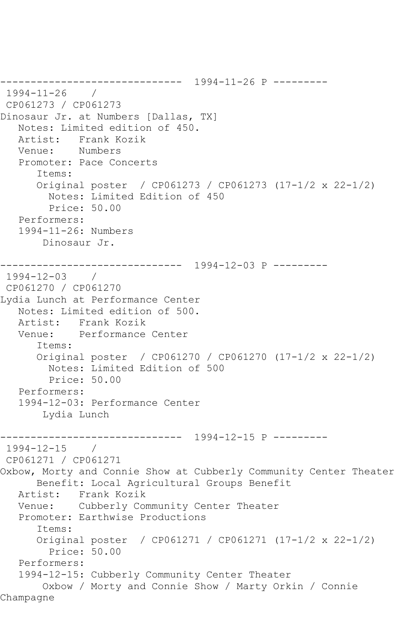------------------------------ 1994-11-26 P --------- 1994-11-26 / CP061273 / CP061273 Dinosaur Jr. at Numbers [Dallas, TX] Notes: Limited edition of 450. Artist: Frank Kozik<br>Venue: Numbers Numbers Promoter: Pace Concerts Items: Original poster / CP061273 / CP061273 (17-1/2 x 22-1/2) Notes: Limited Edition of 450 Price: 50.00 Performers: 1994-11-26: Numbers Dinosaur Jr. ------------------------------ 1994-12-03 P --------- 1994-12-03 / CP061270 / CP061270 Lydia Lunch at Performance Center Notes: Limited edition of 500. Artist: Frank Kozik<br>Venue: Performance Performance Center Items: Original poster / CP061270 / CP061270 (17-1/2 x 22-1/2) Notes: Limited Edition of 500 Price: 50.00 Performers: 1994-12-03: Performance Center Lydia Lunch -<mark>---------------------------</mark> 1994-12-15 P ---------<br>}4-12-15 /  $1994 - 12 - 15$ CP061271 / CP061271 Oxbow, Morty and Connie Show at Cubberly Community Center Theater Benefit: Local Agricultural Groups Benefit Artist: Frank Kozik Venue: Cubberly Community Center Theater Promoter: Earthwise Productions Items: Original poster / CP061271 / CP061271 (17-1/2 x 22-1/2) Price: 50.00 Performers: 1994-12-15: Cubberly Community Center Theater Oxbow / Morty and Connie Show / Marty Orkin / Connie Champagne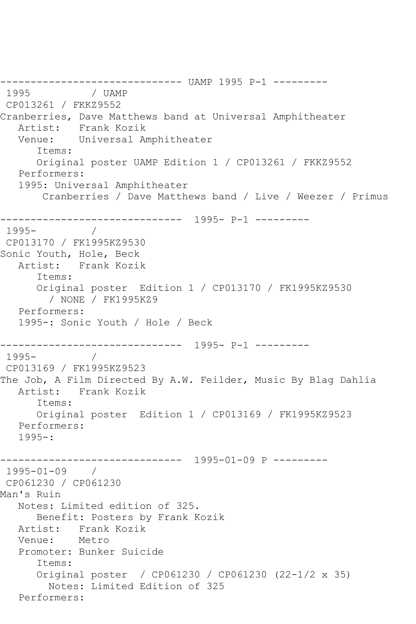------------------------------ UAMP 1995 P-1 --------- 1995 CP013261 / FKKZ9552 Cranberries, Dave Matthews band at Universal Amphitheater Artist: Frank Kozik Venue: Universal Amphitheater Items: Original poster UAMP Edition 1 / CP013261 / FKKZ9552 Performers: 1995: Universal Amphitheater Cranberries / Dave Matthews band / Live / Weezer / Primus ------------------------------ 1995- P-1 --------- 1995- / CP013170 / FK1995KZ9530 Sonic Youth, Hole, Beck Artist: Frank Kozik Items: Original poster Edition 1 / CP013170 / FK1995KZ9530 / NONE / FK1995KZ9 Performers: 1995-: Sonic Youth / Hole / Beck ------------------------------ 1995- P-1 ---------  $1995 -$ CP013169 / FK1995KZ9523 The Job, A Film Directed By A.W. Feilder, Music By Blag Dahlia Artist: Frank Kozik Items: Original poster Edition 1 / CP013169 / FK1995KZ9523 Performers: 1995-: ------------------------------ 1995-01-09 P --------- 1995-01-09 / CP061230 / CP061230 Man's Ruin Notes: Limited edition of 325. Benefit: Posters by Frank Kozik Artist: Frank Kozik Venue: Metro Promoter: Bunker Suicide Items: Original poster / CP061230 / CP061230 (22-1/2 x 35) Notes: Limited Edition of 325 Performers: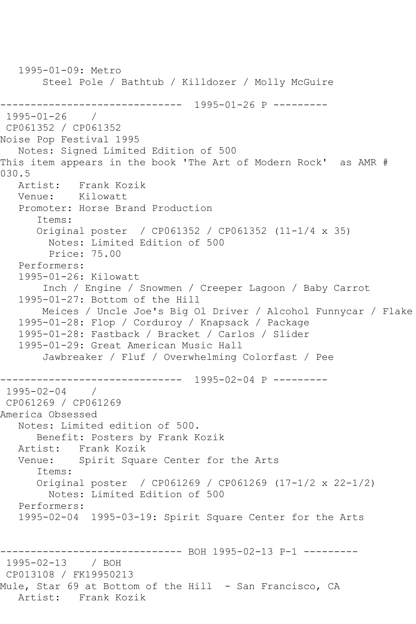1995-01-09: Metro Steel Pole / Bathtub / Killdozer / Molly McGuire ------------------------------ 1995-01-26 P --------- 1995-01-26 / CP061352 / CP061352 Noise Pop Festival 1995 Notes: Signed Limited Edition of 500 This item appears in the book 'The Art of Modern Rock' as AMR # 030.5 Artist: Frank Kozik Venue: Kilowatt Promoter: Horse Brand Production Items: Original poster / CP061352 / CP061352 (11-1/4 x 35) Notes: Limited Edition of 500 Price: 75.00 Performers: 1995-01-26: Kilowatt Inch / Engine / Snowmen / Creeper Lagoon / Baby Carrot 1995-01-27: Bottom of the Hill Meices / Uncle Joe's Big Ol Driver / Alcohol Funnycar / Flake 1995-01-28: Flop / Corduroy / Knapsack / Package 1995-01-28: Fastback / Bracket / Carlos / Slider 1995-01-29: Great American Music Hall Jawbreaker / Fluf / Overwhelming Colorfast / Pee ------------------------------ 1995-02-04 P --------- 1995-02-04 / CP061269 / CP061269 America Obsessed Notes: Limited edition of 500. Benefit: Posters by Frank Kozik Artist: Frank Kozik Venue: Spirit Square Center for the Arts Items: Original poster / CP061269 / CP061269 (17-1/2 x 22-1/2) Notes: Limited Edition of 500 Performers: 1995-02-04 1995-03-19: Spirit Square Center for the Arts ------------------------------ BOH 1995-02-13 P-1 --------- 1995-02-13 / BOH CP013108 / FK19950213 Mule, Star 69 at Bottom of the Hill - San Francisco, CA Artist: Frank Kozik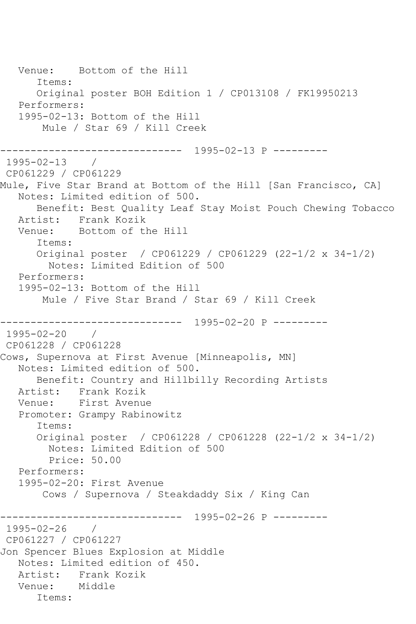Venue: Bottom of the Hill Items: Original poster BOH Edition 1 / CP013108 / FK19950213 Performers: 1995-02-13: Bottom of the Hill Mule / Star 69 / Kill Creek ------------------------------ 1995-02-13 P --------- 1995-02-13 / CP061229 / CP061229 Mule, Five Star Brand at Bottom of the Hill [San Francisco, CA] Notes: Limited edition of 500. Benefit: Best Quality Leaf Stay Moist Pouch Chewing Tobacco Artist: Frank Kozik Venue: Bottom of the Hill Items: Original poster / CP061229 / CP061229 (22-1/2 x 34-1/2) Notes: Limited Edition of 500 Performers: 1995-02-13: Bottom of the Hill Mule / Five Star Brand / Star 69 / Kill Creek ------------------------------ 1995-02-20 P --------- 1995-02-20 / CP061228 / CP061228 Cows, Supernova at First Avenue [Minneapolis, MN] Notes: Limited edition of 500. Benefit: Country and Hillbilly Recording Artists Artist: Frank Kozik Venue: First Avenue Promoter: Grampy Rabinowitz Items: Original poster / CP061228 / CP061228 (22-1/2 x 34-1/2) Notes: Limited Edition of 500 Price: 50.00 Performers: 1995-02-20: First Avenue Cows / Supernova / Steakdaddy Six / King Can ------------------------------ 1995-02-26 P --------- 1995-02-26 / CP061227 / CP061227 Jon Spencer Blues Explosion at Middle Notes: Limited edition of 450. Artist: Frank Kozik Venue: Middle Items: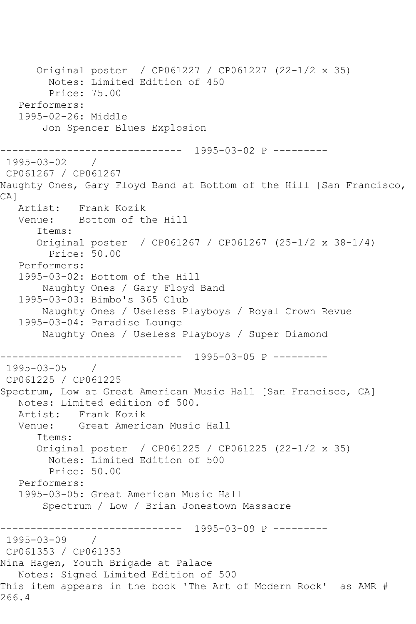Original poster / CP061227 / CP061227 (22-1/2 x 35) Notes: Limited Edition of 450 Price: 75.00 Performers: 1995-02-26: Middle Jon Spencer Blues Explosion ------------------------------ 1995-03-02 P --------- 1995-03-02 / CP061267 / CP061267 Naughty Ones, Gary Floyd Band at Bottom of the Hill [San Francisco, CA<sub>1</sub> Artist: Frank Kozik Venue: Bottom of the Hill Items: Original poster / CP061267 / CP061267 (25-1/2 x 38-1/4) Price: 50.00 Performers: 1995-03-02: Bottom of the Hill Naughty Ones / Gary Floyd Band 1995-03-03: Bimbo's 365 Club Naughty Ones / Useless Playboys / Royal Crown Revue 1995-03-04: Paradise Lounge Naughty Ones / Useless Playboys / Super Diamond ------------------------------ 1995-03-05 P --------- 1995-03-05 / CP061225 / CP061225 Spectrum, Low at Great American Music Hall [San Francisco, CA] Notes: Limited edition of 500. Artist: Frank Kozik Venue: Great American Music Hall Items: Original poster / CP061225 / CP061225 (22-1/2 x 35) Notes: Limited Edition of 500 Price: 50.00 Performers: 1995-03-05: Great American Music Hall Spectrum / Low / Brian Jonestown Massacre ------------------------------ 1995-03-09 P --------- 1995-03-09 / CP061353 / CP061353 Nina Hagen, Youth Brigade at Palace Notes: Signed Limited Edition of 500 This item appears in the book 'The Art of Modern Rock' as AMR # 266.4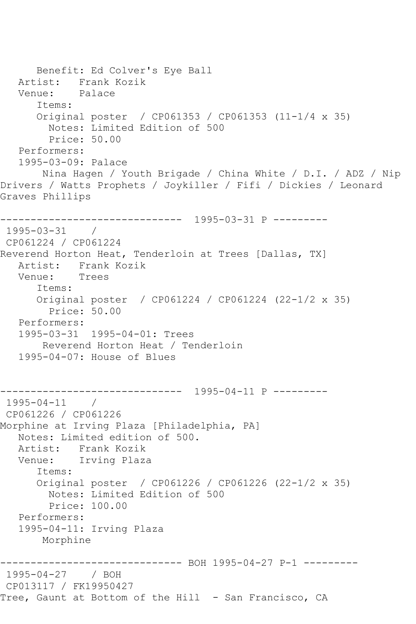Benefit: Ed Colver's Eye Ball Artist: Frank Kozik Venue: Palace Items: Original poster / CP061353 / CP061353 (11-1/4 x 35) Notes: Limited Edition of 500 Price: 50.00 Performers: 1995-03-09: Palace Nina Hagen / Youth Brigade / China White / D.I. / ADZ / Nip Drivers / Watts Prophets / Joykiller / Fifi / Dickies / Leonard Graves Phillips ------------------------------ 1995-03-31 P --------- 1995-03-31 / CP061224 / CP061224 Reverend Horton Heat, Tenderloin at Trees [Dallas, TX] Artist: Frank Kozik Venue: Trees Items: Original poster / CP061224 / CP061224 (22-1/2 x 35) Price: 50.00 Performers: 1995-03-31 1995-04-01: Trees Reverend Horton Heat / Tenderloin 1995-04-07: House of Blues ------------------------------ 1995-04-11 P --------- 1995-04-11 / CP061226 / CP061226 Morphine at Irving Plaza [Philadelphia, PA] Notes: Limited edition of 500. Artist: Frank Kozik Venue: Irving Plaza Items: Original poster / CP061226 / CP061226 (22-1/2 x 35) Notes: Limited Edition of 500 Price: 100.00 Performers: 1995-04-11: Irving Plaza Morphine ------------------------------ BOH 1995-04-27 P-1 --------- 1995-04-27 / BOH CP013117 / FK19950427 Tree, Gaunt at Bottom of the Hill - San Francisco, CA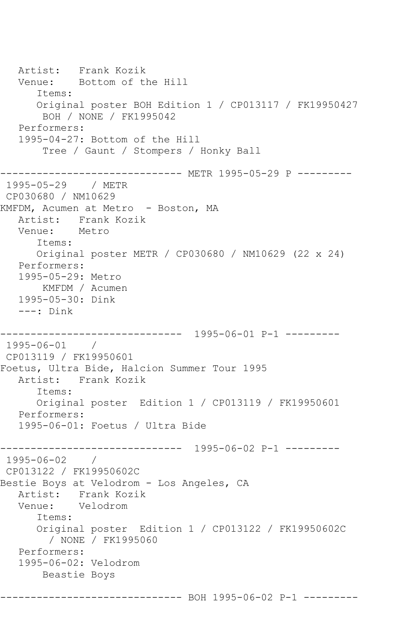Artist: Frank Kozik<br>Venue: Bottom of tl Bottom of the Hill Items: Original poster BOH Edition 1 / CP013117 / FK19950427 BOH / NONE / FK1995042 Performers: 1995-04-27: Bottom of the Hill Tree / Gaunt / Stompers / Honky Ball ------------------------------ METR 1995-05-29 P --------- 1995-05-29 / METR CP030680 / NM10629 KMFDM, Acumen at Metro - Boston, MA Artist: Frank Kozik Venue: Metro Items: Original poster METR / CP030680 / NM10629 (22 x 24) Performers: 1995-05-29: Metro KMFDM / Acumen 1995-05-30: Dink ---: Dink ------------------------------ 1995-06-01 P-1 --------- 1995-06-01 / CP013119 / FK19950601 Foetus, Ultra Bide, Halcion Summer Tour 1995 Artist: Frank Kozik Items: Original poster Edition 1 / CP013119 / FK19950601 Performers: 1995-06-01: Foetus / Ultra Bide ------------------------------ 1995-06-02 P-1 --------- 1995-06-02 / CP013122 / FK19950602C Bestie Boys at Velodrom - Los Angeles, CA Artist: Frank Kozik Venue: Velodrom Items: Original poster Edition 1 / CP013122 / FK19950602C / NONE / FK1995060 Performers: 1995-06-02: Velodrom Beastie Boys ------------------------------ BOH 1995-06-02 P-1 ---------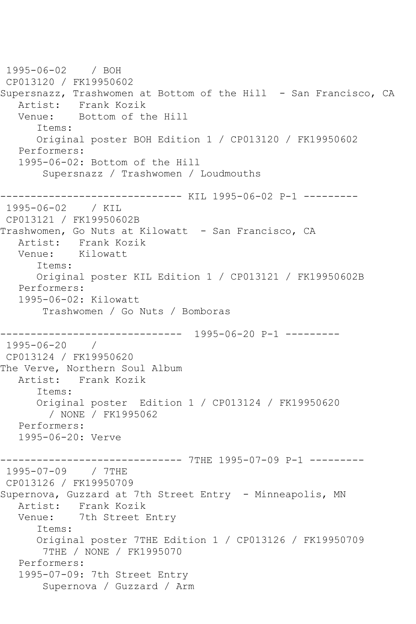1995-06-02 / BOH CP013120 / FK19950602 Supersnazz, Trashwomen at Bottom of the Hill - San Francisco, CA Artist: Frank Kozik<br>Venue: Bottom of tl Bottom of the Hill Items: Original poster BOH Edition 1 / CP013120 / FK19950602 Performers: 1995-06-02: Bottom of the Hill Supersnazz / Trashwomen / Loudmouths ------------------------------ KIL 1995-06-02 P-1 --------- 1995-06-02 / KIL CP013121 / FK19950602B Trashwomen, Go Nuts at Kilowatt - San Francisco, CA Artist: Frank Kozik Venue: Kilowatt Items: Original poster KIL Edition 1 / CP013121 / FK19950602B Performers: 1995-06-02: Kilowatt Trashwomen / Go Nuts / Bomboras ------------------------------ 1995-06-20 P-1 --------- 1995-06-20 / CP013124 / FK19950620 The Verve, Northern Soul Album Artist: Frank Kozik Items: Original poster Edition 1 / CP013124 / FK19950620 / NONE / FK1995062 Performers: 1995-06-20: Verve ------------------------------ 7THE 1995-07-09 P-1 --------- 1995-07-09 / 7THE CP013126 / FK19950709 Supernova, Guzzard at 7th Street Entry - Minneapolis, MN Artist: Frank Kozik<br>Venue: 7th Street I 7th Street Entry Items: Original poster 7THE Edition 1 / CP013126 / FK19950709 7THE / NONE / FK1995070 Performers: 1995-07-09: 7th Street Entry Supernova / Guzzard / Arm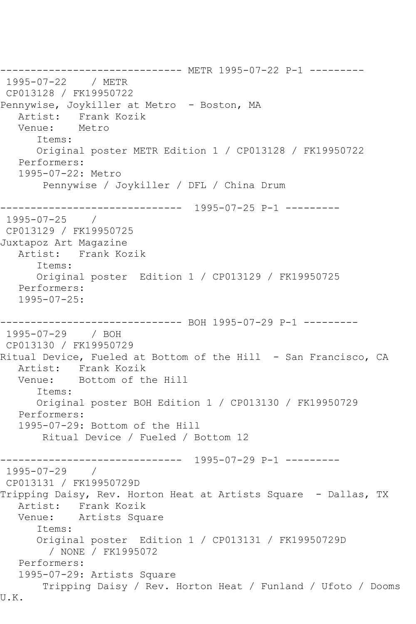------------------------------ METR 1995-07-22 P-1 --------- 1995-07-22 / METR CP013128 / FK19950722 Pennywise, Joykiller at Metro - Boston, MA Artist: Frank Kozik<br>Venue: Metro  $V$ enue $\cdot$  Items: Original poster METR Edition 1 / CP013128 / FK19950722 Performers: 1995-07-22: Metro Pennywise / Joykiller / DFL / China Drum ------------------------------ 1995-07-25 P-1 --------- 1995-07-25 / CP013129 / FK19950725 Juxtapoz Art Magazine Artist: Frank Kozik Items: Original poster Edition 1 / CP013129 / FK19950725 Performers: 1995-07-25: ------------------------------ BOH 1995-07-29 P-1 --------- 1995-07-29 / BOH CP013130 / FK19950729 Ritual Device, Fueled at Bottom of the Hill - San Francisco, CA Artist: Frank Kozik Venue: Bottom of the Hill Items: Original poster BOH Edition 1 / CP013130 / FK19950729 Performers: 1995-07-29: Bottom of the Hill Ritual Device / Fueled / Bottom 12 ------------------------------ 1995-07-29 P-1 --------- 1995-07-29 / CP013131 / FK19950729D Tripping Daisy, Rev. Horton Heat at Artists Square - Dallas, TX Artist: Frank Kozik<br>Venue: Artists Squ Artists Square Items: Original poster Edition 1 / CP013131 / FK19950729D / NONE / FK1995072 Performers: 1995-07-29: Artists Square Tripping Daisy / Rev. Horton Heat / Funland / Ufoto / Dooms U.K.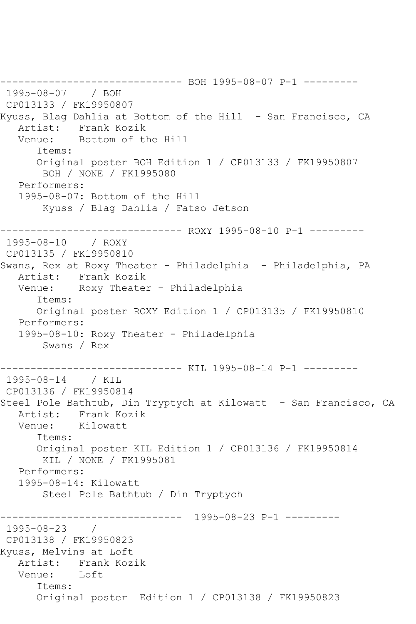------------------------------ BOH 1995-08-07 P-1 --------- 1995-08-07 / BOH CP013133 / FK19950807 Kyuss, Blag Dahlia at Bottom of the Hill - San Francisco, CA Artist: Frank Kozik<br>Venue: Bottom of th Bottom of the Hill Items: Original poster BOH Edition 1 / CP013133 / FK19950807 BOH / NONE / FK1995080 Performers: 1995-08-07: Bottom of the Hill Kyuss / Blag Dahlia / Fatso Jetson --------- ROXY 1995-08-10 P-1 ---------1995-08-10 / ROXY CP013135 / FK19950810 Swans, Rex at Roxy Theater - Philadelphia - Philadelphia, PA Artist: Frank Kozik Venue: Roxy Theater - Philadelphia Items: Original poster ROXY Edition 1 / CP013135 / FK19950810 Performers: 1995-08-10: Roxy Theater - Philadelphia Swans / Rex ------------------------------ KIL 1995-08-14 P-1 --------- 1995-08-14 / KIL CP013136 / FK19950814 Steel Pole Bathtub, Din Tryptych at Kilowatt - San Francisco, CA Artist: Frank Kozik<br>Venue: Kilowatt Kilowatt Items: Original poster KIL Edition 1 / CP013136 / FK19950814 KIL / NONE / FK1995081 Performers: 1995-08-14: Kilowatt Steel Pole Bathtub / Din Tryptych ------------------------------ 1995-08-23 P-1 --------- 1995-08-23 / CP013138 / FK19950823 Kyuss, Melvins at Loft Artist: Frank Kozik<br>Venue: Loft Venue: Items: Original poster Edition 1 / CP013138 / FK19950823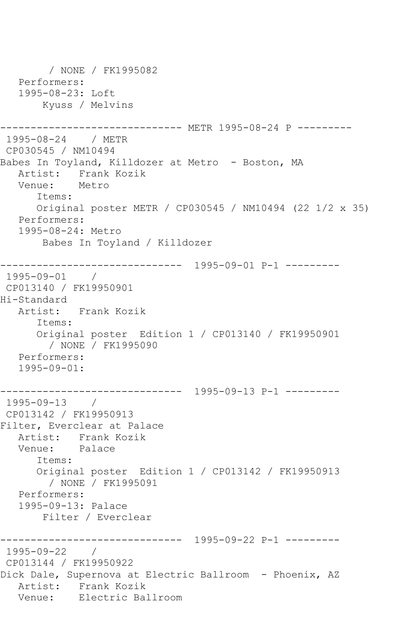/ NONE / FK1995082 Performers: 1995-08-23: Loft Kyuss / Melvins ---------- METR 1995-08-24 P ---------1995-08-24 / METR CP030545 / NM10494 Babes In Toyland, Killdozer at Metro - Boston, MA Artist: Frank Kozik Venue: Metro Items: Original poster METR / CP030545 / NM10494 (22 1/2 x 35) Performers: 1995-08-24: Metro Babes In Toyland / Killdozer ------------------------------ 1995-09-01 P-1 --------- 1995-09-01 / CP013140 / FK19950901 Hi-Standard Artist: Frank Kozik Items: Original poster Edition 1 / CP013140 / FK19950901 / NONE / FK1995090 Performers: 1995-09-01: ------------------------------ 1995-09-13 P-1 --------- 1995-09-13 / CP013142 / FK19950913 Filter, Everclear at Palace Artist: Frank Kozik<br>Venue: Palace Venue: Items: Original poster Edition 1 / CP013142 / FK19950913 / NONE / FK1995091 Performers: 1995-09-13: Palace Filter / Everclear ------------------------------ 1995-09-22 P-1 --------- 1995-09-22 / CP013144 / FK19950922 Dick Dale, Supernova at Electric Ballroom - Phoenix, AZ Artist: Frank Kozik<br>Venue: Electric Ba Electric Ballroom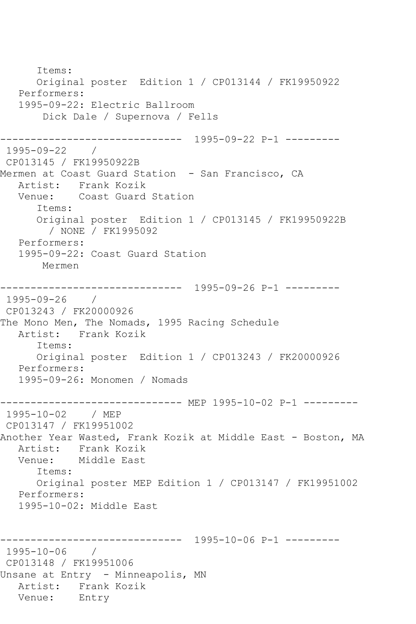Items: Original poster Edition 1 / CP013144 / FK19950922 Performers: 1995-09-22: Electric Ballroom Dick Dale / Supernova / Fells ------------------------------ 1995-09-22 P-1 --------- 1995-09-22 / CP013145 / FK19950922B Mermen at Coast Guard Station - San Francisco, CA Artist: Frank Kozik Venue: Coast Guard Station Items: Original poster Edition 1 / CP013145 / FK19950922B / NONE / FK1995092 Performers: 1995-09-22: Coast Guard Station Mermen ------------------------------ 1995-09-26 P-1 --------- 1995-09-26 / CP013243 / FK20000926 The Mono Men, The Nomads, 1995 Racing Schedule Artist: Frank Kozik Items: Original poster Edition 1 / CP013243 / FK20000926 Performers: 1995-09-26: Monomen / Nomads ------------------------------ MEP 1995-10-02 P-1 --------- 1995-10-02 / MEP CP013147 / FK19951002 Another Year Wasted, Frank Kozik at Middle East - Boston, MA Artist: Frank Kozik Venue: Middle East Items: Original poster MEP Edition 1 / CP013147 / FK19951002 Performers: 1995-10-02: Middle East ------------------------------ 1995-10-06 P-1 --------- 1995-10-06 / CP013148 / FK19951006 Unsane at Entry - Minneapolis, MN Artist: Frank Kozik Venue: Entry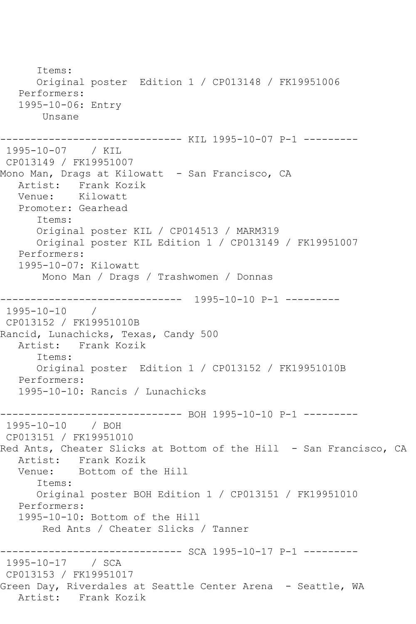Items: Original poster Edition 1 / CP013148 / FK19951006 Performers: 1995-10-06: Entry Unsane ------------------------------ KIL 1995-10-07 P-1 --------- 1995-10-07 / KIL CP013149 / FK19951007 Mono Man, Drags at Kilowatt - San Francisco, CA Artist: Frank Kozik<br>Venue: Kilowatt Kilowatt Promoter: Gearhead Items: Original poster KIL / CP014513 / MARM319 Original poster KIL Edition 1 / CP013149 / FK19951007 Performers: 1995-10-07: Kilowatt Mono Man / Drags / Trashwomen / Donnas ------------------------------ 1995-10-10 P-1 --------- 1995-10-10 / CP013152 / FK19951010B Rancid, Lunachicks, Texas, Candy 500 Artist: Frank Kozik Items: Original poster Edition 1 / CP013152 / FK19951010B Performers: 1995-10-10: Rancis / Lunachicks ------------------------------ BOH 1995-10-10 P-1 --------- 1995-10-10 / BOH CP013151 / FK19951010 Red Ants, Cheater Slicks at Bottom of the Hill - San Francisco, CA<br>Artist: Frank Kozik Frank Kozik Venue: Bottom of the Hill Items: Original poster BOH Edition 1 / CP013151 / FK19951010 Performers: 1995-10-10: Bottom of the Hill Red Ants / Cheater Slicks / Tanner ------------ SCA 1995-10-17 P-1 ---------1995-10-17 / SCA CP013153 / FK19951017 Green Day, Riverdales at Seattle Center Arena - Seattle, WA Artist: Frank Kozik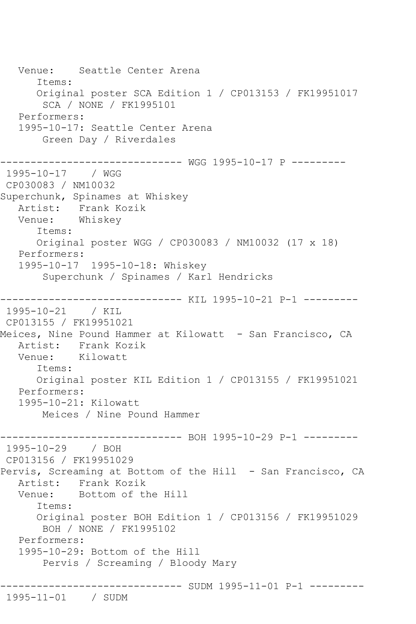Venue: Seattle Center Arena Items: Original poster SCA Edition 1 / CP013153 / FK19951017 SCA / NONE / FK1995101 Performers: 1995-10-17: Seattle Center Arena Green Day / Riverdales ------------------------------ WGG 1995-10-17 P --------- 1995-10-17 / WGG CP030083 / NM10032 Superchunk, Spinames at Whiskey Artist: Frank Kozik Venue: Whiskey Items: Original poster WGG / CP030083 / NM10032 (17 x 18) Performers: 1995-10-17 1995-10-18: Whiskey Superchunk / Spinames / Karl Hendricks ------------------------------ KIL 1995-10-21 P-1 --------- 1995-10-21 / KIL CP013155 / FK19951021 Meices, Nine Pound Hammer at Kilowatt - San Francisco, CA Artist: Frank Kozik<br>Venue: Kilowatt Kilowatt Items: Original poster KIL Edition 1 / CP013155 / FK19951021 Performers: 1995-10-21: Kilowatt Meices / Nine Pound Hammer ------------------------------ BOH 1995-10-29 P-1 --------- 1995-10-29 / BOH CP013156 / FK19951029 Pervis, Screaming at Bottom of the Hill - San Francisco, CA Artist: Frank Kozik Venue: Bottom of the Hill Items: Original poster BOH Edition 1 / CP013156 / FK19951029 BOH / NONE / FK1995102 Performers: 1995-10-29: Bottom of the Hill Pervis / Screaming / Bloody Mary ------------------------------ SUDM 1995-11-01 P-1 --------- 1995-11-01 / SUDM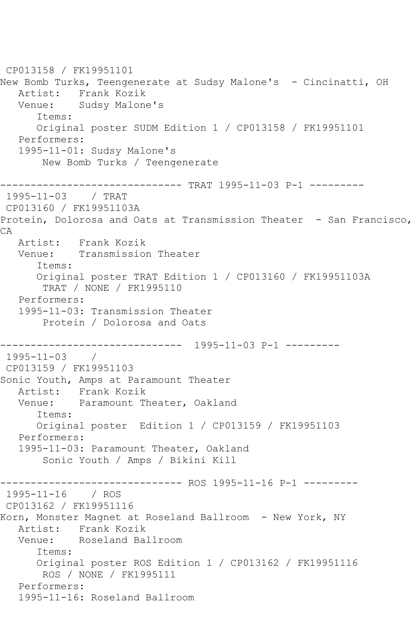CP013158 / FK19951101 New Bomb Turks, Teengenerate at Sudsy Malone's - Cincinatti, OH Artist: Frank Kozik Venue: Sudsy Malone's Items: Original poster SUDM Edition 1 / CP013158 / FK19951101 Performers: 1995-11-01: Sudsy Malone's New Bomb Turks / Teengenerate ------------------------------ TRAT 1995-11-03 P-1 --------- 1995-11-03 / TRAT CP013160 / FK19951103A Protein, Dolorosa and Oats at Transmission Theater - San Francisco, CA Artist: Frank Kozik Venue: Transmission Theater Items: Original poster TRAT Edition 1 / CP013160 / FK19951103A TRAT / NONE / FK1995110 Performers: 1995-11-03: Transmission Theater Protein / Dolorosa and Oats ------------------------------ 1995-11-03 P-1 --------- 1995-11-03 / CP013159 / FK19951103 Sonic Youth, Amps at Paramount Theater Artist: Frank Kozik Venue: Paramount Theater, Oakland Items: Original poster Edition 1 / CP013159 / FK19951103 Performers: 1995-11-03: Paramount Theater, Oakland Sonic Youth / Amps / Bikini Kill ------------------------------ ROS 1995-11-16 P-1 --------- 1995-11-16 / ROS CP013162 / FK19951116 Korn, Monster Magnet at Roseland Ballroom - New York, NY Artist: Frank Kozik Venue: Roseland Ballroom Items: Original poster ROS Edition 1 / CP013162 / FK19951116 ROS / NONE / FK1995111 Performers: 1995-11-16: Roseland Ballroom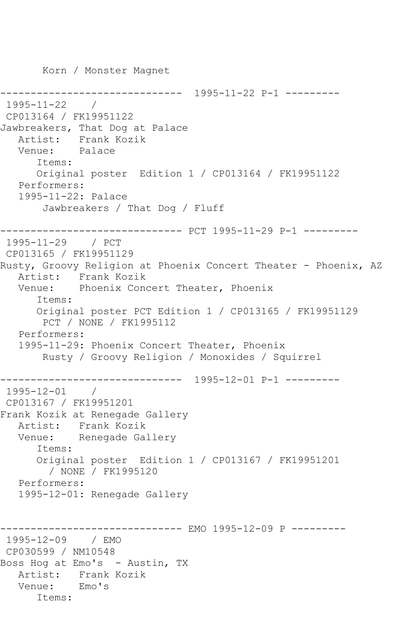Korn / Monster Magnet

------------------------------ 1995-11-22 P-1 --------- 1995-11-22 / CP013164 / FK19951122 Jawbreakers, That Dog at Palace Artist: Frank Kozik Venue: Palace Items: Original poster Edition 1 / CP013164 / FK19951122 Performers: 1995-11-22: Palace Jawbreakers / That Dog / Fluff ------------------------------ PCT 1995-11-29 P-1 --------- 1995-11-29 / PCT CP013165 / FK19951129 Rusty, Groovy Religion at Phoenix Concert Theater - Phoenix, AZ Artist: Frank Kozik<br>Venue: Phoenix Cone Phoenix Concert Theater, Phoenix Items: Original poster PCT Edition 1 / CP013165 / FK19951129 PCT / NONE / FK1995112 Performers: 1995-11-29: Phoenix Concert Theater, Phoenix Rusty / Groovy Religion / Monoxides / Squirrel ------------------------------ 1995-12-01 P-1 --------- 1995-12-01 / CP013167 / FK19951201 Frank Kozik at Renegade Gallery Artist: Frank Kozik Venue: Renegade Gallery Items: Original poster Edition 1 / CP013167 / FK19951201 / NONE / FK1995120 Performers: 1995-12-01: Renegade Gallery ------------ EMO 1995-12-09 P ---------1995-12-09 / EMO CP030599 / NM10548 Boss Hog at Emo's - Austin, TX Artist: Frank Kozik Venue: Emo's Items: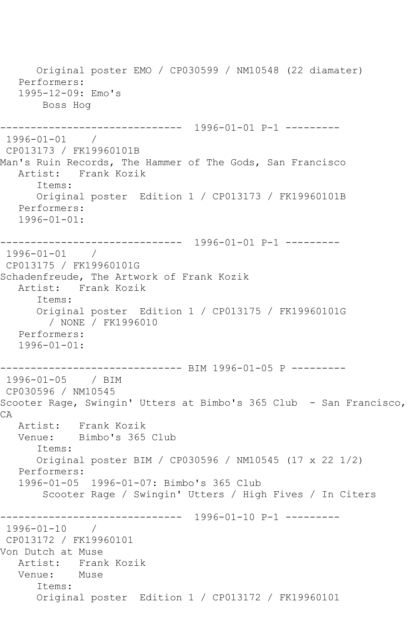Original poster EMO / CP030599 / NM10548 (22 diamater) Performers: 1995-12-09: Emo's Boss Hog ------------------------------ 1996-01-01 P-1 --------- 1996-01-01 / CP013173 / FK19960101B Man's Ruin Records, The Hammer of The Gods, San Francisco Artist: Frank Kozik Items: Original poster Edition 1 / CP013173 / FK19960101B Performers: 1996-01-01: ------------------------------ 1996-01-01 P-1 --------- 1996-01-01 / CP013175 / FK19960101G Schadenfreude, The Artwork of Frank Kozik Artist: Frank Kozik Items: Original poster Edition 1 / CP013175 / FK19960101G / NONE / FK1996010 Performers: 1996-01-01: ------------------------------ BIM 1996-01-05 P --------- 1996-01-05 / BIM CP030596 / NM10545 Scooter Rage, Swingin' Utters at Bimbo's 365 Club - San Francisco,  $C$  $A$  Artist: Frank Kozik Venue: Bimbo's 365 Club Items: Original poster BIM / CP030596 / NM10545 (17 x 22 1/2) Performers: 1996-01-05 1996-01-07: Bimbo's 365 Club Scooter Rage / Swingin' Utters / High Fives / In Citers ------------------------------ 1996-01-10 P-1 --------- 1996-01-10 / CP013172 / FK19960101 Von Dutch at Muse Artist: Frank Kozik Venue: Muse Items: Original poster Edition 1 / CP013172 / FK19960101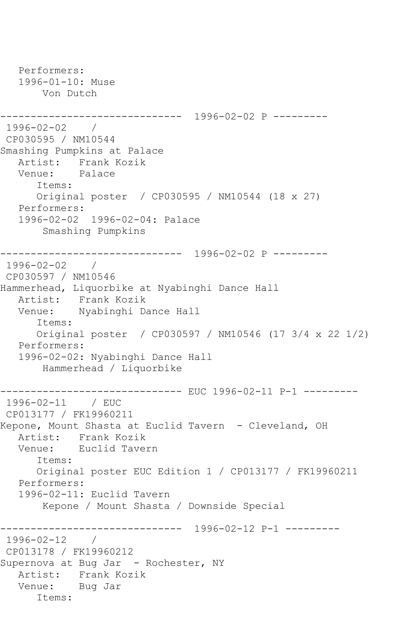```
 Performers:
   1996-01-10: Muse
        Von Dutch
------------------------------ 1996-02-02 P ---------
1996-02-02 / 
CP030595 / NM10544
Smashing Pumpkins at Palace
  Artist: Frank Kozik<br>Venue: Palace
  Venue:
       Items:
       Original poster / CP030595 / NM10544 (18 x 27)
   Performers:
    1996-02-02 1996-02-04: Palace
        Smashing Pumpkins
------------------------------ 1996-02-02 P ---------
1996-02-02 / 
CP030597 / NM10546
Hammerhead, Liquorbike at Nyabinghi Dance Hall
   Artist: Frank Kozik
   Venue: Nyabinghi Dance Hall
       Items:
       Original poster / CP030597 / NM10546 (17 3/4 x 22 1/2)
   Performers:
    1996-02-02: Nyabinghi Dance Hall
        Hammerhead / Liquorbike
                ------------------------------ EUC 1996-02-11 P-1 ---------
1996-02-11 / EUC 
CP013177 / FK19960211
Kepone, Mount Shasta at Euclid Tavern - Cleveland, OH
  Artist: Frank Kozik<br>Venue: Euclid Taver
            Euclid Tavern
       Items:
       Original poster EUC Edition 1 / CP013177 / FK19960211
   Performers:
    1996-02-11: Euclid Tavern
        Kepone / Mount Shasta / Downside Special
                  ------------------------------ 1996-02-12 P-1 ---------
1996-02-12 / 
CP013178 / FK19960212
Supernova at Bug Jar - Rochester, NY
   Artist: Frank Kozik
   Venue: Bug Jar
       Items:
```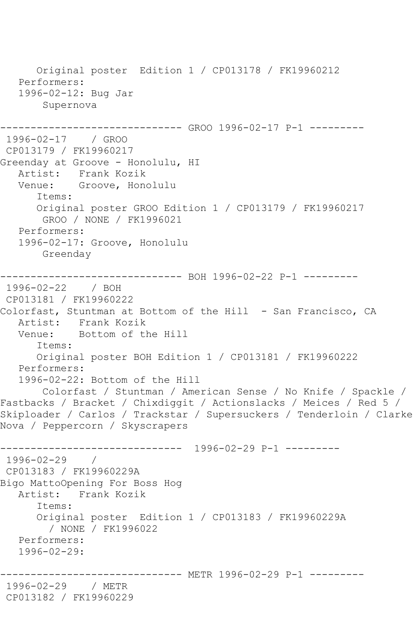Original poster Edition 1 / CP013178 / FK19960212 Performers: 1996-02-12: Bug Jar Supernova --------- GROO 1996-02-17 P-1 ---------1996-02-17 / GROO CP013179 / FK19960217 Greenday at Groove - Honolulu, HI Artist: Frank Kozik Venue: Groove, Honolulu Items: Original poster GROO Edition 1 / CP013179 / FK19960217 GROO / NONE / FK1996021 Performers: 1996-02-17: Groove, Honolulu Greenday ---------- BOH 1996-02-22 P-1 ---------1996-02-22 / BOH CP013181 / FK19960222 Colorfast, Stuntman at Bottom of the Hill - San Francisco, CA Artist: Frank Kozik<br>Venue: Bottom of th Bottom of the Hill Items: Original poster BOH Edition 1 / CP013181 / FK19960222 Performers: 1996-02-22: Bottom of the Hill Colorfast / Stuntman / American Sense / No Knife / Spackle / Fastbacks / Bracket / Chixdiggit / Actionslacks / Meices / Red 5 / Skiploader / Carlos / Trackstar / Supersuckers / Tenderloin / Clarke Nova / Peppercorn / Skyscrapers ------------------------------ 1996-02-29 P-1 --------- 1996-02-29 / CP013183 / FK19960229A Bigo MattoOpening For Boss Hog Artist: Frank Kozik Items: Original poster Edition 1 / CP013183 / FK19960229A / NONE / FK1996022 Performers: 1996-02-29: ------------------------------ METR 1996-02-29 P-1 --------- 1996-02-29 / METR CP013182 / FK19960229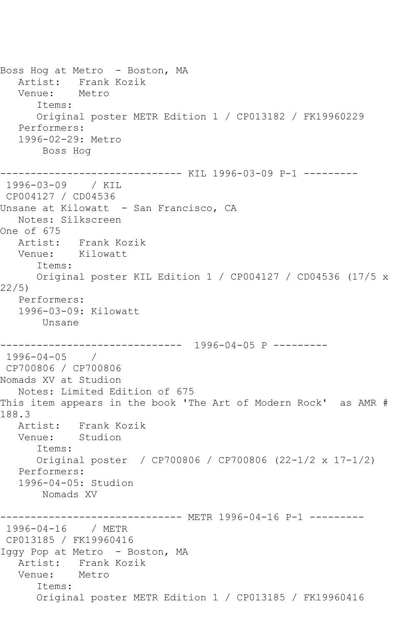Boss Hog at Metro - Boston, MA Artist: Frank Kozik Venue: Metro Items: Original poster METR Edition 1 / CP013182 / FK19960229 Performers: 1996-02-29: Metro Boss Hog ------------------------------ KIL 1996-03-09 P-1 --------- 1996-03-09 / KIL CP004127 / CD04536 Unsane at Kilowatt - San Francisco, CA Notes: Silkscreen One of 675<br>Artist: Frank Kozik Venue: Kilowatt Items: Original poster KIL Edition 1 / CP004127 / CD04536 (17/5 x 22/5) Performers: 1996-03-09: Kilowatt Unsane ------------------------------ 1996-04-05 P --------- 1996-04-05 / CP700806 / CP700806 Nomads XV at Studion Notes: Limited Edition of 675 This item appears in the book 'The Art of Modern Rock' as AMR # 188.3 Artist: Frank Kozik Venue: Studion Items: Original poster / CP700806 / CP700806 (22-1/2 x 17-1/2) Performers: 1996-04-05: Studion Nomads XV ------------------------------ METR 1996-04-16 P-1 --------- 1996-04-16 / METR CP013185 / FK19960416 Iggy Pop at Metro - Boston, MA Artist: Frank Kozik Venue: Metro Items: Original poster METR Edition 1 / CP013185 / FK19960416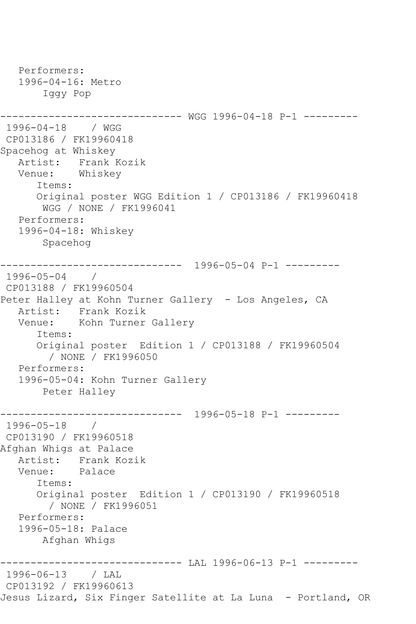Performers: 1996-04-16: Metro Iggy Pop ------------------------------ WGG 1996-04-18 P-1 --------- 1996-04-18 / WGG CP013186 / FK19960418 Spacehog at Whiskey Artist: Frank Kozik Venue: Whiskey Items: Original poster WGG Edition 1 / CP013186 / FK19960418 WGG / NONE / FK1996041 Performers: 1996-04-18: Whiskey Spacehog ------------------------------ 1996-05-04 P-1 --------- 1996-05-04 / CP013188 / FK19960504 Peter Halley at Kohn Turner Gallery - Los Angeles, CA Artist: Frank Kozik Venue: Kohn Turner Gallery Items: Original poster Edition 1 / CP013188 / FK19960504 / NONE / FK1996050 Performers: 1996-05-04: Kohn Turner Gallery Peter Halley ------------------------------ 1996-05-18 P-1 --------- 1996-05-18 / CP013190 / FK19960518 Afghan Whigs at Palace Artist: Frank Kozik<br>Venue: Palace Venue: Items: Original poster Edition 1 / CP013190 / FK19960518 / NONE / FK1996051 Performers: 1996-05-18: Palace Afghan Whigs ------------ LAL 1996-06-13 P-1 ---------1996-06-13 / LAL CP013192 / FK19960613 Jesus Lizard, Six Finger Satellite at La Luna - Portland, OR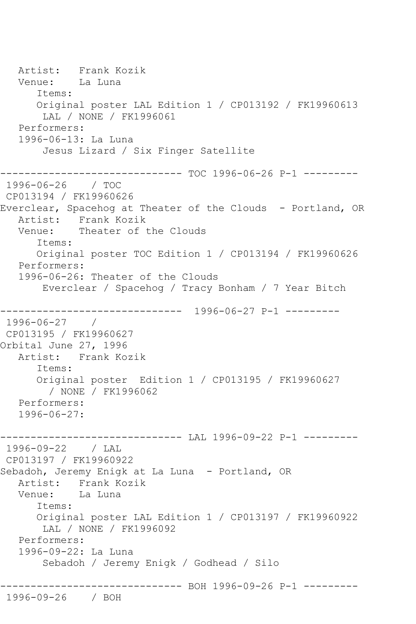Artist: Frank Kozik<br>Venue: La Luna Venue: Items: Original poster LAL Edition 1 / CP013192 / FK19960613 LAL / NONE / FK1996061 Performers: 1996-06-13: La Luna Jesus Lizard / Six Finger Satellite ------------------------------ TOC 1996-06-26 P-1 --------- 1996-06-26 / TOC CP013194 / FK19960626 Everclear, Spacehog at Theater of the Clouds - Portland, OR Artist: Frank Kozik Venue: Theater of the Clouds Items: Original poster TOC Edition 1 / CP013194 / FK19960626 Performers: 1996-06-26: Theater of the Clouds Everclear / Spacehog / Tracy Bonham / 7 Year Bitch ------------------------------ 1996-06-27 P-1 --------- 1996-06-27 / CP013195 / FK19960627 Orbital June 27, 1996 Artist: Frank Kozik Items: Original poster Edition 1 / CP013195 / FK19960627 / NONE / FK1996062 Performers: 1996-06-27: ------------------------------ LAL 1996-09-22 P-1 --------- 1996-09-22 / LAL CP013197 / FK19960922 Sebadoh, Jeremy Enigk at La Luna - Portland, OR Artist: Frank Kozik Venue: La Luna Items: Original poster LAL Edition 1 / CP013197 / FK19960922 LAL / NONE / FK1996092 Performers: 1996-09-22: La Luna Sebadoh / Jeremy Enigk / Godhead / Silo ------------------------------ BOH 1996-09-26 P-1 --------- 1996-09-26 / BOH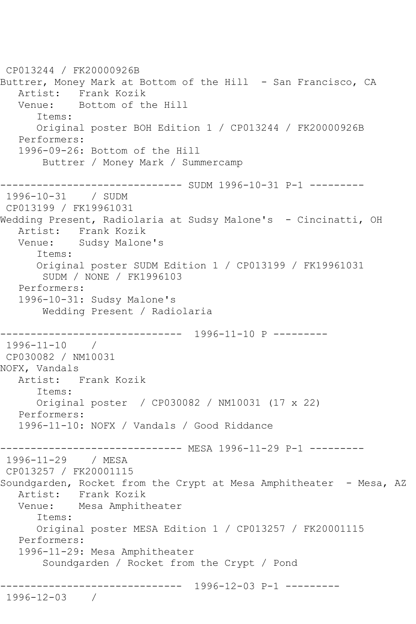CP013244 / FK20000926B Buttrer, Money Mark at Bottom of the Hill - San Francisco, CA Artist: Frank Kozik Venue: Bottom of the Hill Items: Original poster BOH Edition 1 / CP013244 / FK20000926B Performers: 1996-09-26: Bottom of the Hill Buttrer / Money Mark / Summercamp ------------------------------ SUDM 1996-10-31 P-1 --------- 1996-10-31 / SUDM CP013199 / FK19961031 Wedding Present, Radiolaria at Sudsy Malone's - Cincinatti, OH Artist: Frank Kozik Venue: Sudsy Malone's Items: Original poster SUDM Edition 1 / CP013199 / FK19961031 SUDM / NONE / FK1996103 Performers: 1996-10-31: Sudsy Malone's Wedding Present / Radiolaria ------------------------------ 1996-11-10 P --------- 1996-11-10 / CP030082 / NM10031 NOFX, Vandals Artist: Frank Kozik Items: Original poster / CP030082 / NM10031 (17 x 22) Performers: 1996-11-10: NOFX / Vandals / Good Riddance ------------------------------ MESA 1996-11-29 P-1 --------- 1996-11-29 / MESA CP013257 / FK20001115 Soundgarden, Rocket from the Crypt at Mesa Amphitheater - Mesa, AZ Artist: Frank Kozik Venue: Mesa Amphitheater Items: Original poster MESA Edition 1 / CP013257 / FK20001115 Performers: 1996-11-29: Mesa Amphitheater Soundgarden / Rocket from the Crypt / Pond ------------------------------ 1996-12-03 P-1 --------- 1996-12-03 /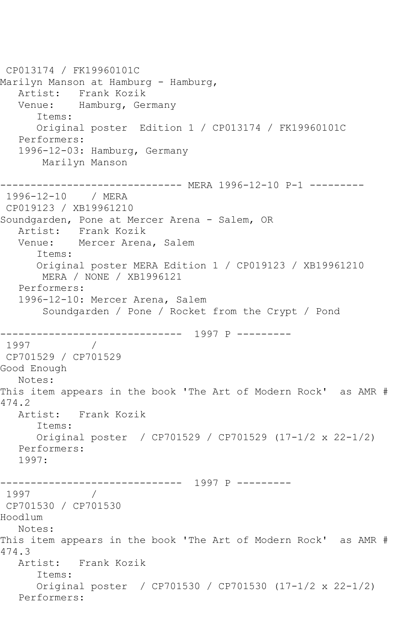CP013174 / FK19960101C Marilyn Manson at Hamburg - Hamburg,<br>Artist: Frank Kozik Frank Kozik Venue: Hamburg, Germany Items: Original poster Edition 1 / CP013174 / FK19960101C Performers: 1996-12-03: Hamburg, Germany Marilyn Manson ------------------------------ MERA 1996-12-10 P-1 --------- 1996-12-10 / MERA CP019123 / XB19961210 Soundgarden, Pone at Mercer Arena - Salem, OR Artist: Frank Kozik Venue: Mercer Arena, Salem Items: Original poster MERA Edition 1 / CP019123 / XB19961210 MERA / NONE / XB1996121 Performers: 1996-12-10: Mercer Arena, Salem Soundgarden / Pone / Rocket from the Crypt / Pond ------------------------------ 1997 P --------- 1997 / CP701529 / CP701529 Good Enough Notes: This item appears in the book 'The Art of Modern Rock' as AMR # 474.2 Artist: Frank Kozik Items: Original poster / CP701529 / CP701529 (17-1/2 x 22-1/2) Performers: 1997: ------------------------------ 1997 P --------- 1997 / CP701530 / CP701530 Hoodlum Notes: This item appears in the book 'The Art of Modern Rock' as AMR # 474.3 Artist: Frank Kozik Items: Original poster / CP701530 / CP701530 (17-1/2 x 22-1/2) Performers: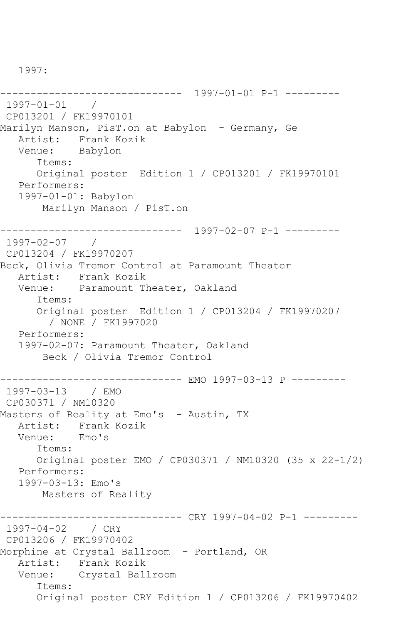1997:

------------------------------ 1997-01-01 P-1 --------- 1997-01-01 / CP013201 / FK19970101 Marilyn Manson, PisT.on at Babylon - Germany, Ge Artist: Frank Kozik<br>Venue: Babylon Babylon Items: Original poster Edition 1 / CP013201 / FK19970101 Performers: 1997-01-01: Babylon Marilyn Manson / PisT.on ------------------------------ 1997-02-07 P-1 --------- 1997-02-07 / CP013204 / FK19970207 Beck, Olivia Tremor Control at Paramount Theater Artist: Frank Kozik Venue: Paramount Theater, Oakland Items: Original poster Edition 1 / CP013204 / FK19970207 / NONE / FK1997020 Performers: 1997-02-07: Paramount Theater, Oakland Beck / Olivia Tremor Control ------------ EMO 1997-03-13 P ---------1997-03-13 / EMO CP030371 / NM10320 Masters of Reality at Emo's - Austin, TX Artist: Frank Kozik<br>Venue: Emo's Venue: Items: Original poster EMO / CP030371 / NM10320 (35 x 22-1/2) Performers: 1997-03-13: Emo's Masters of Reality ------------------------------ CRY 1997-04-02 P-1 --------- 1997-04-02 / CRY CP013206 / FK19970402 Morphine at Crystal Ballroom - Portland, OR Artist: Frank Kozik Venue: Crystal Ballroom Items: Original poster CRY Edition 1 / CP013206 / FK19970402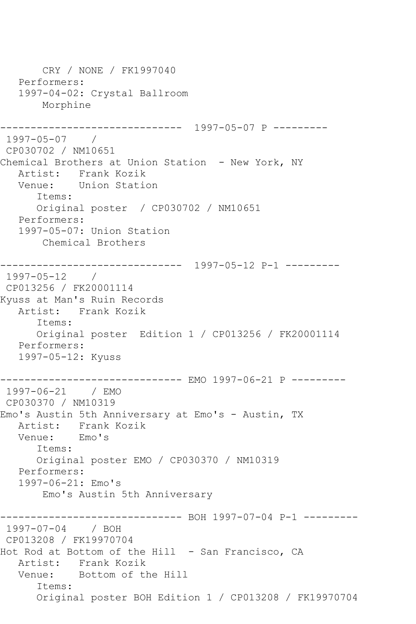CRY / NONE / FK1997040 Performers: 1997-04-02: Crystal Ballroom Morphine ------------------------------ 1997-05-07 P --------- 1997-05-07 / CP030702 / NM10651 Chemical Brothers at Union Station - New York, NY Artist: Frank Kozik Venue: Union Station Items: Original poster / CP030702 / NM10651 Performers: 1997-05-07: Union Station Chemical Brothers ------------------------------ 1997-05-12 P-1 --------- 1997-05-12 / CP013256 / FK20001114 Kyuss at Man's Ruin Records Artist: Frank Kozik Items: Original poster Edition 1 / CP013256 / FK20001114 Performers: 1997-05-12: Kyuss ------------------------------ EMO 1997-06-21 P --------- 1997-06-21 / EMO CP030370 / NM10319 Emo's Austin 5th Anniversary at Emo's - Austin, TX Artist: Frank Kozik Venue: Emo's Items: Original poster EMO / CP030370 / NM10319 Performers: 1997-06-21: Emo's Emo's Austin 5th Anniversary ------------------------------ BOH 1997-07-04 P-1 --------- 1997-07-04 / BOH CP013208 / FK19970704 Hot Rod at Bottom of the Hill - San Francisco, CA Artist: Frank Kozik Venue: Bottom of the Hill Items: Original poster BOH Edition 1 / CP013208 / FK19970704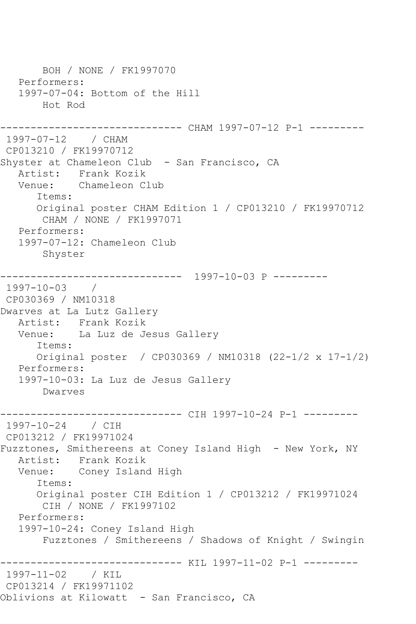BOH / NONE / FK1997070 Performers: 1997-07-04: Bottom of the Hill Hot Rod ------------------------------ CHAM 1997-07-12 P-1 --------- 1997-07-12 / CHAM CP013210 / FK19970712 Shyster at Chameleon Club - San Francisco, CA Artist: Frank Kozik<br>Venue: Chameleon Cl Chameleon Club Items: Original poster CHAM Edition 1 / CP013210 / FK19970712 CHAM / NONE / FK1997071 Performers: 1997-07-12: Chameleon Club Shyster ------------------------------ 1997-10-03 P --------- 1997-10-03 / CP030369 / NM10318 Dwarves at La Lutz Gallery Artist: Frank Kozik Venue: La Luz de Jesus Gallery Items: Original poster / CP030369 / NM10318 (22-1/2 x 17-1/2) Performers: 1997-10-03: La Luz de Jesus Gallery Dwarves ------------------------------ CIH 1997-10-24 P-1 --------- 1997-10-24 / CIH CP013212 / FK19971024 Fuzztones, Smithereens at Coney Island High - New York, NY Artist: Frank Kozik Venue: Coney Island High Items: Original poster CIH Edition 1 / CP013212 / FK19971024 CIH / NONE / FK1997102 Performers: 1997-10-24: Coney Island High Fuzztones / Smithereens / Shadows of Knight / Swingin ------------------------------ KIL 1997-11-02 P-1 --------- 1997-11-02 / KIL CP013214 / FK19971102 Oblivions at Kilowatt - San Francisco, CA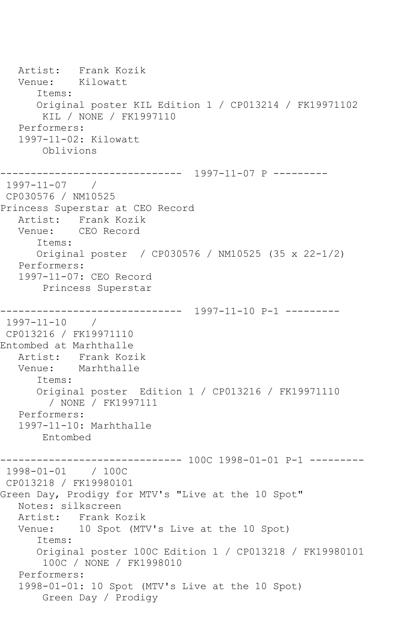Artist: Frank Kozik<br>Venue: Kilowatt Kilowatt Items: Original poster KIL Edition 1 / CP013214 / FK19971102 KIL / NONE / FK1997110 Performers: 1997-11-02: Kilowatt Oblivions ------------------------------ 1997-11-07 P --------- 1997-11-07 / CP030576 / NM10525 Princess Superstar at CEO Record Artist: Frank Kozik Venue: CEO Record Items: Original poster / CP030576 / NM10525 (35 x 22-1/2) Performers: 1997-11-07: CEO Record Princess Superstar ------------------------------ 1997-11-10 P-1 --------- 1997-11-10 / CP013216 / FK19971110 Entombed at Marhthalle Artist: Frank Kozik Venue: Marhthalle Items: Original poster Edition 1 / CP013216 / FK19971110 / NONE / FK1997111 Performers: 1997-11-10: Marhthalle Entombed ------------------------------ 100C 1998-01-01 P-1 --------- 1998-01-01 / 100C CP013218 / FK19980101 Green Day, Prodigy for MTV's "Live at the 10 Spot" Notes: silkscreen Artist: Frank Kozik Venue: 10 Spot (MTV's Live at the 10 Spot) Items: Original poster 100C Edition 1 / CP013218 / FK19980101 100C / NONE / FK1998010 Performers: 1998-01-01: 10 Spot (MTV's Live at the 10 Spot) Green Day / Prodigy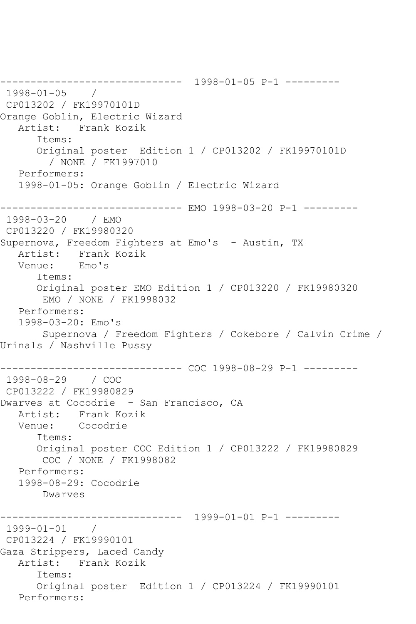------------------------------ 1998-01-05 P-1 --------- 1998-01-05 / CP013202 / FK19970101D Orange Goblin, Electric Wizard Artist: Frank Kozik Items: Original poster Edition 1 / CP013202 / FK19970101D / NONE / FK1997010 Performers: 1998-01-05: Orange Goblin / Electric Wizard ------------------------------ EMO 1998-03-20 P-1 --------- 1998-03-20 / EMO CP013220 / FK19980320 Supernova, Freedom Fighters at Emo's - Austin, TX Artist: Frank Kozik<br>Venue: Emo's Venue: Items: Original poster EMO Edition 1 / CP013220 / FK19980320 EMO / NONE / FK1998032 Performers: 1998-03-20: Emo's Supernova / Freedom Fighters / Cokebore / Calvin Crime / Urinals / Nashville Pussy ------------------------------ COC 1998-08-29 P-1 --------- 1998-08-29 / COC CP013222 / FK19980829 Dwarves at Cocodrie - San Francisco, CA Artist: Frank Kozik Venue: Cocodrie Items: Original poster COC Edition 1 / CP013222 / FK19980829 COC / NONE / FK1998082 Performers: 1998-08-29: Cocodrie Dwarves ------------------------------ 1999-01-01 P-1 --------- 1999-01-01 / CP013224 / FK19990101 Gaza Strippers, Laced Candy Artist: Frank Kozik Items: Original poster Edition 1 / CP013224 / FK19990101 Performers: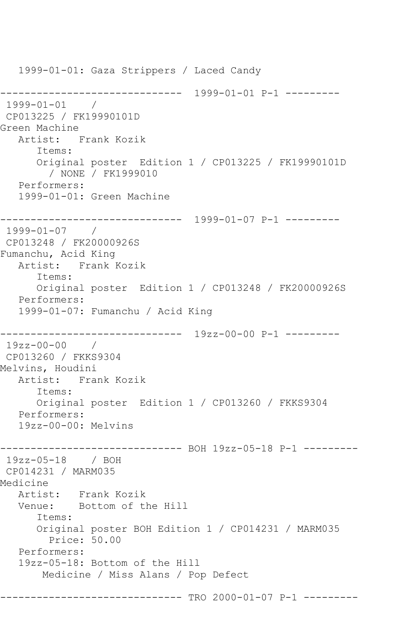1999-01-01: Gaza Strippers / Laced Candy ------------------------------ 1999-01-01 P-1 --------- 1999-01-01 / CP013225 / FK19990101D Green Machine Artist: Frank Kozik Items: Original poster Edition 1 / CP013225 / FK19990101D / NONE / FK1999010 Performers: 1999-01-01: Green Machine ------------------------------ 1999-01-07 P-1 --------- 1999-01-07 / CP013248 / FK20000926S Fumanchu, Acid King Artist: Frank Kozik Items: Original poster Edition 1 / CP013248 / FK20000926S Performers: 1999-01-07: Fumanchu / Acid King ------------------------------ 19zz-00-00 P-1 --------- 19zz-00-00 / CP013260 / FKKS9304 Melvins, Houdini Artist: Frank Kozik Items: Original poster Edition 1 / CP013260 / FKKS9304 Performers: 19zz-00-00: Melvins ------------------------------ BOH 19zz-05-18 P-1 --------- 19zz-05-18 / BOH CP014231 / MARM035 Medicine Artist: Frank Kozik Venue: Bottom of the Hill Items: Original poster BOH Edition 1 / CP014231 / MARM035 Price: 50.00 Performers: 19zz-05-18: Bottom of the Hill Medicine / Miss Alans / Pop Defect ----------------------------- TRO 2000-01-07 P-1 ---------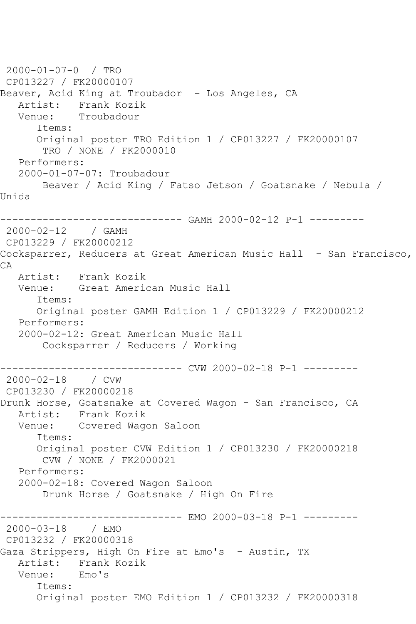```
2000-01-07-0 / TRO 
CP013227 / FK20000107
Beaver, Acid King at Troubador - Los Angeles, CA
  Artist: Frank Kozik<br>Venue: Troubadour
            Troubadour
       Items:
       Original poster TRO Edition 1 / CP013227 / FK20000107
        TRO / NONE / FK2000010
   Performers:
    2000-01-07-07: Troubadour
        Beaver / Acid King / Fatso Jetson / Goatsnake / Nebula / 
Unida
------------------------------ GAMH 2000-02-12 P-1 ---------
2000-02-12 / GAMH 
CP013229 / FK20000212
Cocksparrer, Reducers at Great American Music Hall - San Francisco,
CA
   Artist: Frank Kozik
   Venue: Great American Music Hall
       Items:
       Original poster GAMH Edition 1 / CP013229 / FK20000212
   Performers:
    2000-02-12: Great American Music Hall
        Cocksparrer / Reducers / Working
------------------------------ CVW 2000-02-18 P-1 ---------
2000-02-18 / CVW 
CP013230 / FK20000218
Drunk Horse, Goatsnake at Covered Wagon - San Francisco, CA
   Artist: Frank Kozik
   Venue: Covered Wagon Saloon
       Items:
       Original poster CVW Edition 1 / CP013230 / FK20000218
        CVW / NONE / FK2000021
   Performers:
    2000-02-18: Covered Wagon Saloon
        Drunk Horse / Goatsnake / High On Fire
------------------------------ EMO 2000-03-18 P-1 ---------<br>2000-03-18 / EMO
2000 - 03 - 18CP013232 / FK20000318
Gaza Strippers, High On Fire at Emo's - Austin, TX
  Artist: Frank Kozik<br>Venue: Emo's
  Venue:
       Items:
       Original poster EMO Edition 1 / CP013232 / FK20000318
```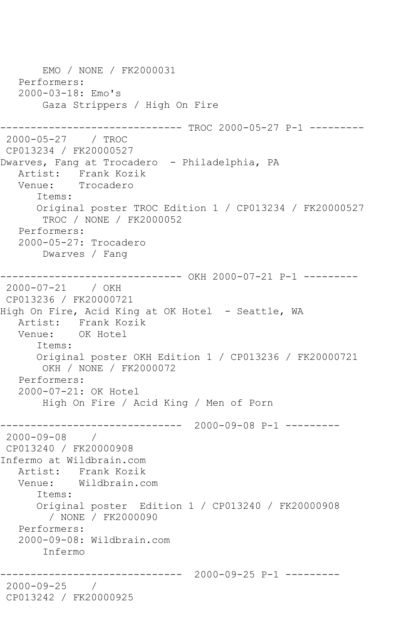EMO / NONE / FK2000031 Performers: 2000-03-18: Emo's Gaza Strippers / High On Fire --------- TROC 2000-05-27 P-1 ---------2000-05-27 / TROC CP013234 / FK20000527 Dwarves, Fang at Trocadero - Philadelphia, PA Artist: Frank Kozik Venue: Trocadero Items: Original poster TROC Edition 1 / CP013234 / FK20000527 TROC / NONE / FK2000052 Performers: 2000-05-27: Trocadero Dwarves / Fang ------------------------------ OKH 2000-07-21 P-1 --------- 2000-07-21 / OKH CP013236 / FK20000721 High On Fire, Acid King at OK Hotel - Seattle, WA Artist: Frank Kozik<br>Venue: OK Hotel OK Hotel Items: Original poster OKH Edition 1 / CP013236 / FK20000721 OKH / NONE / FK2000072 Performers: 2000-07-21: OK Hotel High On Fire / Acid King / Men of Porn ------------------------------ 2000-09-08 P-1 --------- 2000-09-08 / CP013240 / FK20000908 Infermo at Wildbrain.com Artist: Frank Kozik Venue: Wildbrain.com Items: Original poster Edition 1 / CP013240 / FK20000908 / NONE / FK2000090 Performers: 2000-09-08: Wildbrain.com Infermo ------------------------------ 2000-09-25 P-1 --------- 2000-09-25 / CP013242 / FK20000925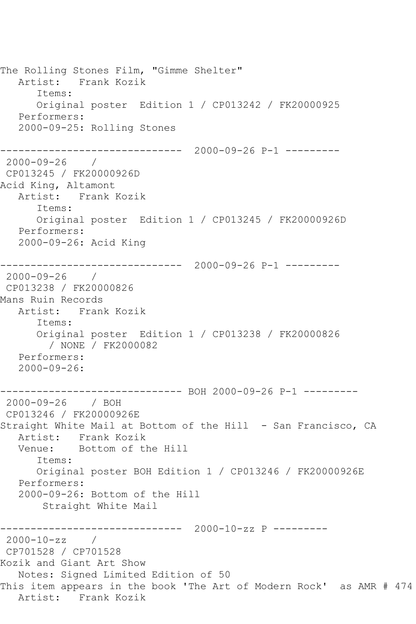The Rolling Stones Film, "Gimme Shelter" Artist: Frank Kozik Items: Original poster Edition 1 / CP013242 / FK20000925 Performers: 2000-09-25: Rolling Stones ------------------------------ 2000-09-26 P-1 --------- 2000-09-26 / CP013245 / FK20000926D Acid King, Altamont Artist: Frank Kozik Items: Original poster Edition 1 / CP013245 / FK20000926D Performers: 2000-09-26: Acid King ------------------------------ 2000-09-26 P-1 --------- 2000-09-26 / CP013238 / FK20000826 Mans Ruin Records Artist: Frank Kozik Items: Original poster Edition 1 / CP013238 / FK20000826 / NONE / FK2000082 Performers: 2000-09-26: ------------------------------ BOH 2000-09-26 P-1 --------- 2000-09-26 / BOH CP013246 / FK20000926E Straight White Mail at Bottom of the Hill - San Francisco, CA Artist: Frank Kozik<br>Venue: Bottom of th Bottom of the Hill Items: Original poster BOH Edition 1 / CP013246 / FK20000926E Performers: 2000-09-26: Bottom of the Hill Straight White Mail ------------------------------ 2000-10-zz P --------- 2000-10-zz / CP701528 / CP701528 Kozik and Giant Art Show Notes: Signed Limited Edition of 50 This item appears in the book 'The Art of Modern Rock' as AMR # 474 Artist: Frank Kozik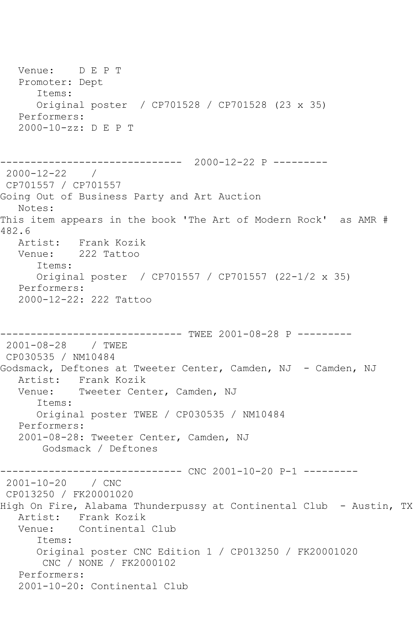Venue: D E P T Promoter: Dept Items: Original poster / CP701528 / CP701528 (23 x 35) Performers: 2000-10-zz: D E P T ------------------------------ 2000-12-22 P --------- 2000-12-22 / CP701557 / CP701557 Going Out of Business Party and Art Auction Notes: This item appears in the book 'The Art of Modern Rock' as AMR # 482.6 Artist: Frank Kozik Venue: 222 Tattoo Items: Original poster / CP701557 / CP701557 (22-1/2 x 35) Performers: 2000-12-22: 222 Tattoo ------------------------------ TWEE 2001-08-28 P --------- 2001-08-28 / TWEE CP030535 / NM10484 Godsmack, Deftones at Tweeter Center, Camden, NJ - Camden, NJ Artist: Frank Kozik Venue: Tweeter Center, Camden, NJ Items: Original poster TWEE / CP030535 / NM10484 Performers: 2001-08-28: Tweeter Center, Camden, NJ Godsmack / Deftones ----------------------------- CNC 2001-10-20 P-1 ---------2001-10-20 / CNC CP013250 / FK20001020 High On Fire, Alabama Thunderpussy at Continental Club - Austin, TX Artist: Frank Kozik Venue: Continental Club Items: Original poster CNC Edition 1 / CP013250 / FK20001020 CNC / NONE / FK2000102 Performers: 2001-10-20: Continental Club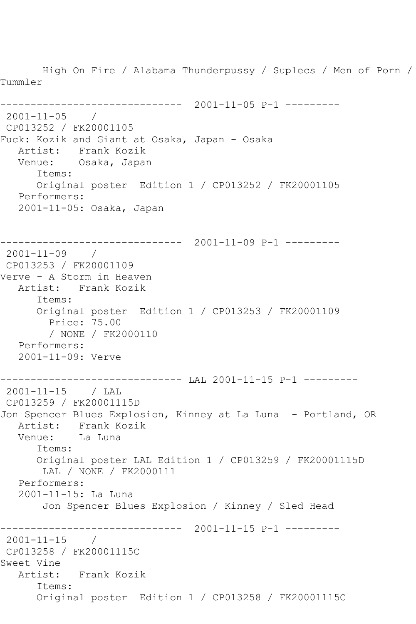High On Fire / Alabama Thunderpussy / Suplecs / Men of Porn / Tummler ------------------------------ 2001-11-05 P-1 --------- 2001-11-05 / CP013252 / FK20001105 Fuck: Kozik and Giant at Osaka, Japan - Osaka Artist: Frank Kozik Venue: Osaka, Japan Items: Original poster Edition 1 / CP013252 / FK20001105 Performers: 2001-11-05: Osaka, Japan ------------------------------ 2001-11-09 P-1 --------- 2001-11-09 / CP013253 / FK20001109 Verve - A Storm in Heaven Artist: Frank Kozik Items: Original poster Edition 1 / CP013253 / FK20001109 Price: 75.00 / NONE / FK2000110 Performers: 2001-11-09: Verve ------------------------------ LAL 2001-11-15 P-1 --------- 2001-11-15 / LAL CP013259 / FK20001115D Jon Spencer Blues Explosion, Kinney at La Luna - Portland, OR Artist: Frank Kozik<br>Venue: La Luna Venue: Items: Original poster LAL Edition 1 / CP013259 / FK20001115D LAL / NONE / FK2000111 Performers: 2001-11-15: La Luna Jon Spencer Blues Explosion / Kinney / Sled Head ------------------------------ 2001-11-15 P-1 --------- 2001-11-15 / CP013258 / FK20001115C Sweet Vine Artist: Frank Kozik Items: Original poster Edition 1 / CP013258 / FK20001115C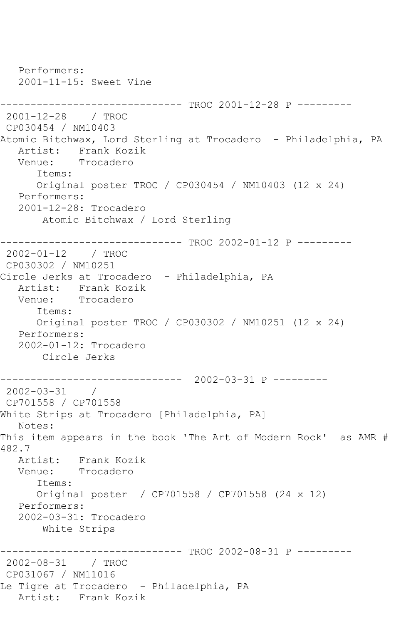Performers: 2001-11-15: Sweet Vine ------------------------------ TROC 2001-12-28 P --------- 2001-12-28 / TROC CP030454 / NM10403 Atomic Bitchwax, Lord Sterling at Trocadero - Philadelphia, PA Artist: Frank Kozik Venue: Trocadero Items: Original poster TROC / CP030454 / NM10403 (12 x 24) Performers: 2001-12-28: Trocadero Atomic Bitchwax / Lord Sterling ------------------------------ TROC 2002-01-12 P --------- 2002-01-12 / TROC CP030302 / NM10251 Circle Jerks at Trocadero - Philadelphia, PA Artist: Frank Kozik Venue: Trocadero Items: Original poster TROC / CP030302 / NM10251 (12 x 24) Performers: 2002-01-12: Trocadero Circle Jerks ------------------------------ 2002-03-31 P --------- 2002-03-31 / CP701558 / CP701558 White Strips at Trocadero [Philadelphia, PA] Notes: This item appears in the book 'The Art of Modern Rock' as AMR # 482.7 Artist: Frank Kozik<br>Venue: Trocadero Trocadero Items: Original poster / CP701558 / CP701558 (24 x 12) Performers: 2002-03-31: Trocadero White Strips ------------------------------ TROC 2002-08-31 P --------- 2002-08-31 / TROC CP031067 / NM11016 Le Tigre at Trocadero - Philadelphia, PA Artist: Frank Kozik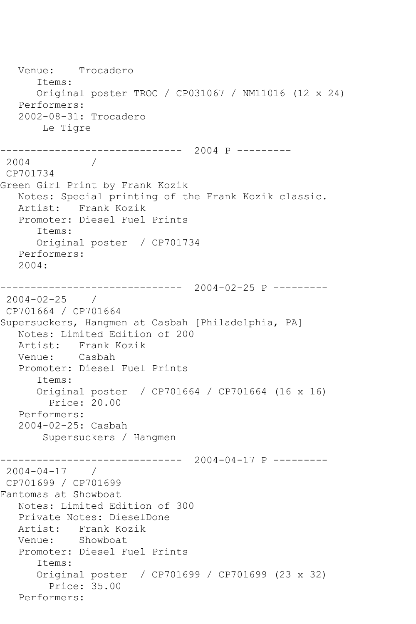Venue: Trocadero Items: Original poster TROC / CP031067 / NM11016 (12 x 24) Performers: 2002-08-31: Trocadero Le Tigre ------------------------------ 2004 P --------- 2004 / CP701734 Green Girl Print by Frank Kozik Notes: Special printing of the Frank Kozik classic. Artist: Frank Kozik Promoter: Diesel Fuel Prints Items: Original poster / CP701734 Performers: 2004: ------------------------------ 2004-02-25 P --------- 2004-02-25 / CP701664 / CP701664 Supersuckers, Hangmen at Casbah [Philadelphia, PA] Notes: Limited Edition of 200 Artist: Frank Kozik<br>Venue: Casbah Venue: Promoter: Diesel Fuel Prints Items: Original poster / CP701664 / CP701664 (16 x 16) Price: 20.00 Performers: 2004-02-25: Casbah Supersuckers / Hangmen ------------------------------ 2004-04-17 P --------- 2004-04-17 / CP701699 / CP701699 Fantomas at Showboat Notes: Limited Edition of 300 Private Notes: DieselDone Artist: Frank Kozik Venue: Showboat Promoter: Diesel Fuel Prints Items: Original poster / CP701699 / CP701699 (23 x 32) Price: 35.00 Performers: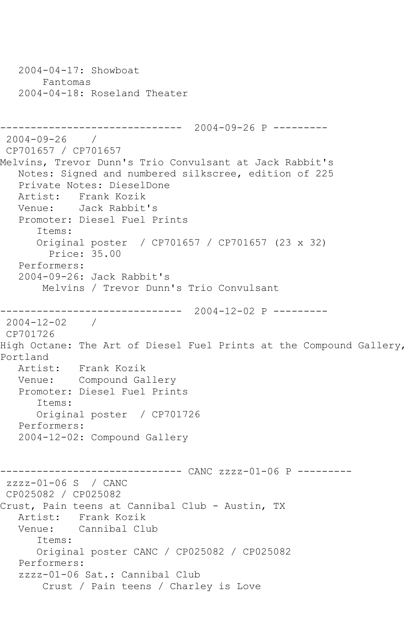```
 2004-04-17: Showboat
        Fantomas
    2004-04-18: Roseland Theater
              ------------------------------ 2004-09-26 P ---------
2004-09-26 / 
CP701657 / CP701657
Melvins, Trevor Dunn's Trio Convulsant at Jack Rabbit's
   Notes: Signed and numbered silkscree, edition of 225
    Private Notes: DieselDone
  Artist: Frank Kozik<br>Venue: Jack Rabbit
            Jack Rabbit's
   Promoter: Diesel Fuel Prints
       Items:
       Original poster / CP701657 / CP701657 (23 x 32)
         Price: 35.00
   Performers:
    2004-09-26: Jack Rabbit's
        Melvins / Trevor Dunn's Trio Convulsant
       ------------------------------ 2004-12-02 P ---------
2004-12-02 / 
CP701726
High Octane: The Art of Diesel Fuel Prints at the Compound Gallery, 
Portland<br>Artist:
            Frank Kozik
   Venue: Compound Gallery
   Promoter: Diesel Fuel Prints
       Items:
       Original poster / CP701726
    Performers:
    2004-12-02: Compound Gallery
------------------------------ CANC zzzz-01-06 P ---------
zzzz-01-06 S / CANC 
CP025082 / CP025082
Crust, Pain teens at Cannibal Club - Austin, TX
   Artist: Frank Kozik
   Venue: Cannibal Club
       Items:
       Original poster CANC / CP025082 / CP025082
    Performers:
    zzzz-01-06 Sat.: Cannibal Club
        Crust / Pain teens / Charley is Love
```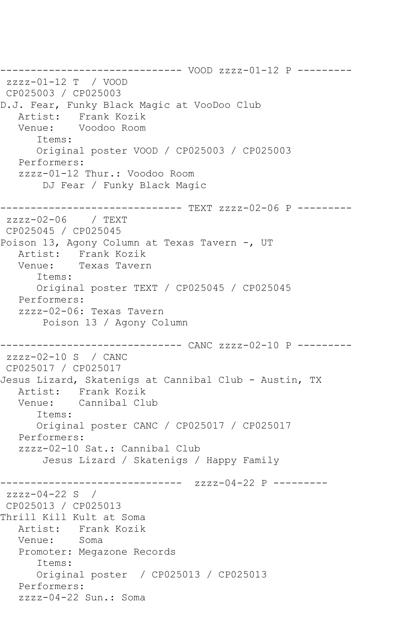------------------------------ VOOD zzzz-01-12 P -------- zzzz-01-12 T / VOOD CP025003 / CP025003 D.J. Fear, Funky Black Magic at VooDoo Club Artist: Frank Kozik Venue: Voodoo Room Items: Original poster VOOD / CP025003 / CP025003 Performers: zzzz-01-12 Thur.: Voodoo Room DJ Fear / Funky Black Magic ------------------------------ TEXT zzzz-02-06 P -------- zzzz-02-06 / TEXT CP025045 / CP025045 Poison 13, Agony Column at Texas Tavern -, UT Artist: Frank Kozik<br>Venue: Texas Taver Texas Tavern Items: Original poster TEXT / CP025045 / CP025045 Performers: zzzz-02-06: Texas Tavern Poison 13 / Agony Column ------------------------------ CANC zzzz-02-10 P --------  $zzzz-02-10$  S / CANC CP025017 / CP025017 Jesus Lizard, Skatenigs at Cannibal Club - Austin, TX Artist: Frank Kozik Venue: Cannibal Club Items: Original poster CANC / CP025017 / CP025017 Performers: zzzz-02-10 Sat.: Cannibal Club Jesus Lizard / Skatenigs / Happy Family --------------- zzzz-04-22 P --------zzzz-04-22 S / CP025013 / CP025013 Thrill Kill Kult at Soma Artist: Frank Kozik Venue: Soma Promoter: Megazone Records Items: Original poster / CP025013 / CP025013 Performers: zzzz-04-22 Sun.: Soma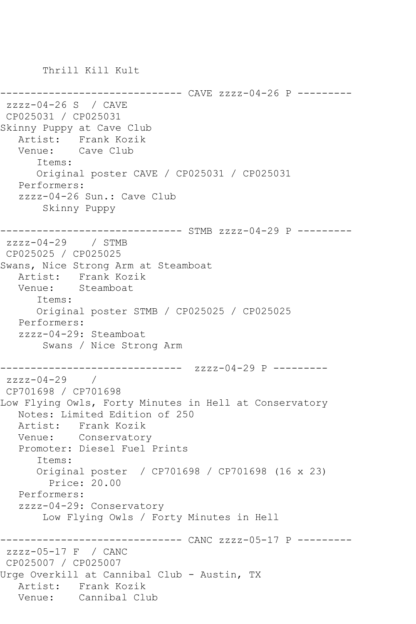Thrill Kill Kult

------------------------------ CAVE zzzz-04-26 P -------- zzzz-04-26 S / CAVE CP025031 / CP025031 Skinny Puppy at Cave Club Artist: Frank Kozik<br>Venue: Cave Club Cave Club Items: Original poster CAVE / CP025031 / CP025031 Performers: zzzz-04-26 Sun.: Cave Club Skinny Puppy ------------------------------ STMB zzzz-04-29 P -------- zzzz-04-29 / STMB CP025025 / CP025025 Swans, Nice Strong Arm at Steamboat Artist: Frank Kozik<br>Venue: Steamboat Steamboat Items: Original poster STMB / CP025025 / CP025025 Performers: zzzz-04-29: Steamboat Swans / Nice Strong Arm ------------------------------ zzzz-04-29 P -------- zzzz-04-29 / CP701698 / CP701698 Low Flying Owls, Forty Minutes in Hell at Conservatory Notes: Limited Edition of 250 Artist: Frank Kozik Venue: Conservatory Promoter: Diesel Fuel Prints Items: Original poster / CP701698 / CP701698 (16 x 23) Price: 20.00 Performers: zzzz-04-29: Conservatory Low Flying Owls / Forty Minutes in Hell ------------------------------ CANC zzzz-05-17 P -------- zzzz-05-17 F / CANC CP025007 / CP025007 Urge Overkill at Cannibal Club - Austin, TX Artist: Frank Kozik<br>Venue: Cannibal Cl Cannibal Club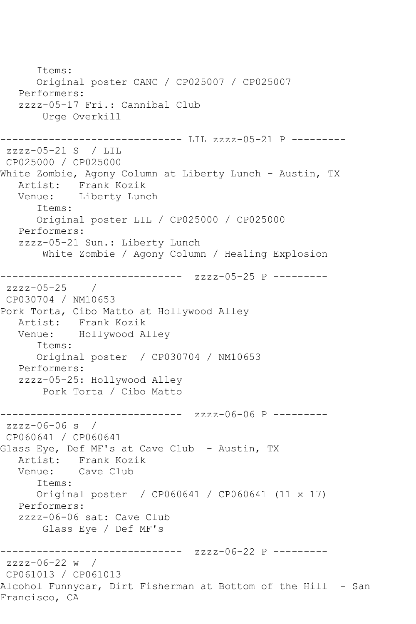Items: Original poster CANC / CP025007 / CP025007 Performers: zzzz-05-17 Fri.: Cannibal Club Urge Overkill ------------------------------ LIL zzzz-05-21 P -------- zzzz-05-21 S / LIL CP025000 / CP025000 White Zombie, Agony Column at Liberty Lunch - Austin, TX Artist: Frank Kozik<br>Venue: Liberty Lung Liberty Lunch Items: Original poster LIL / CP025000 / CP025000 Performers: zzzz-05-21 Sun.: Liberty Lunch White Zombie / Agony Column / Healing Explosion ------------------------------ zzzz-05-25 P -------- zzzz-05-25 / CP030704 / NM10653 Pork Torta, Cibo Matto at Hollywood Alley Artist: Frank Kozik Venue: Hollywood Alley Items: Original poster / CP030704 / NM10653 Performers: zzzz-05-25: Hollywood Alley Pork Torta / Cibo Matto ------------------------------ zzzz-06-06 P -------- zzzz-06-06 s / CP060641 / CP060641 Glass Eye, Def MF's at Cave Club - Austin, TX Artist: Frank Kozik Venue: Cave Club Items: Original poster / CP060641 / CP060641 (11 x 17) Performers: zzzz-06-06 sat: Cave Club Glass Eye / Def MF's \_\_\_\_\_\_\_\_\_\_\_\_\_\_ ---------------- zzzz-06-22 P ---------zzzz-06-22 w / CP061013 / CP061013 Alcohol Funnycar, Dirt Fisherman at Bottom of the Hill - San Francisco, CA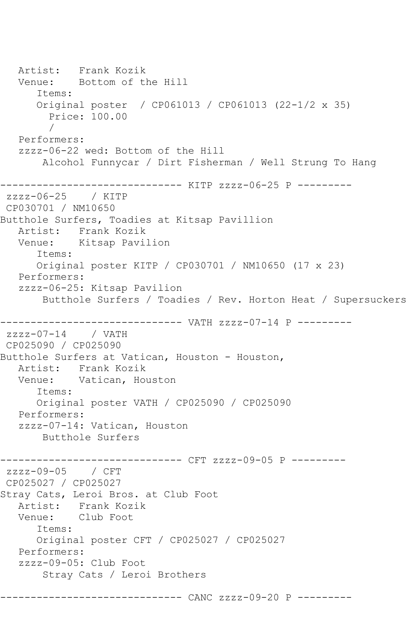Artist: Frank Kozik Venue: Bottom of the Hill Items: Original poster / CP061013 / CP061013 (22-1/2 x 35) Price: 100.00 / Performers: zzzz-06-22 wed: Bottom of the Hill Alcohol Funnycar / Dirt Fisherman / Well Strung To Hang ------------------------------ KITP zzzz-06-25 P -------- zzzz-06-25 / KITP CP030701 / NM10650 Butthole Surfers, Toadies at Kitsap Pavillion Artist: Frank Kozik Venue: Kitsap Pavilion Items: Original poster KITP / CP030701 / NM10650 (17 x 23) Performers: zzzz-06-25: Kitsap Pavilion Butthole Surfers / Toadies / Rev. Horton Heat / Supersuckers ------------------------------ VATH zzzz-07-14 P --------  $zzzz-07-14$  / VATH CP025090 / CP025090 Butthole Surfers at Vatican, Houston - Houston, Artist: Frank Kozik Venue: Vatican, Houston Items: Original poster VATH / CP025090 / CP025090 Performers: zzzz-07-14: Vatican, Houston Butthole Surfers --------------- CFT zzzz-09-05 P --------zzzz-09-05 / CFT CP025027 / CP025027 Stray Cats, Leroi Bros. at Club Foot Artist: Frank Kozik<br>Venue: Club Foot Club Foot Items: Original poster CFT / CP025027 / CP025027 Performers: zzzz-09-05: Club Foot Stray Cats / Leroi Brothers ------------------------------ CANC zzzz-09-20 P ---------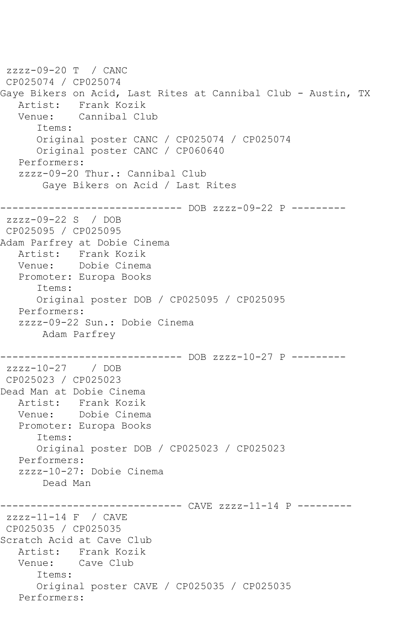zzzz-09-20 T / CANC CP025074 / CP025074 Gaye Bikers on Acid, Last Rites at Cannibal Club - Austin, TX Artist: Frank Kozik<br>Venue: Cannibal Cl Cannibal Club Items: Original poster CANC / CP025074 / CP025074 Original poster CANC / CP060640 Performers: zzzz-09-20 Thur.: Cannibal Club Gaye Bikers on Acid / Last Rites ------------------------------ DOB zzzz-09-22 P -------- zzzz-09-22 S / DOB CP025095 / CP025095 Adam Parfrey at Dobie Cinema Artist: Frank Kozik<br>Venue: Dobie Cinem Dobie Cinema Promoter: Europa Books Items: Original poster DOB / CP025095 / CP025095 Performers: zzzz-09-22 Sun.: Dobie Cinema Adam Parfrey ------------------------------ DOB zzzz-10-27 P -------- zzzz-10-27 / DOB CP025023 / CP025023 Dead Man at Dobie Cinema Artist: Frank Kozik Venue: Dobie Cinema Promoter: Europa Books Items: Original poster DOB / CP025023 / CP025023 Performers: zzzz-10-27: Dobie Cinema Dead Man ------------------------------ CAVE zzzz-11-14 P -------- zzzz-11-14 F / CAVE CP025035 / CP025035 Scratch Acid at Cave Club<br>Artist: Frank Kozik Frank Kozik Venue: Cave Club Items: Original poster CAVE / CP025035 / CP025035 Performers: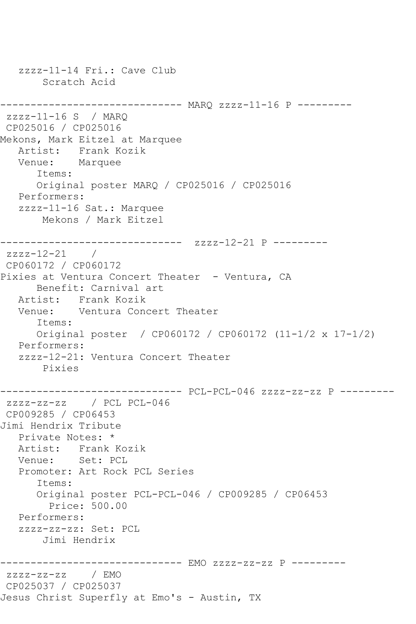zzzz-11-14 Fri.: Cave Club Scratch Acid ------------------------------ MARQ zzzz-11-16 P -------- zzzz-11-16 S / MARQ CP025016 / CP025016 Mekons, Mark Eitzel at Marquee Artist: Frank Kozik Venue: Marquee Items: Original poster MARQ / CP025016 / CP025016 Performers: zzzz-11-16 Sat.: Marquee Mekons / Mark Eitzel ------------------------------ zzzz-12-21 P -------- zzzz-12-21 / CP060172 / CP060172 Pixies at Ventura Concert Theater - Ventura, CA Benefit: Carnival art Artist: Frank Kozik Venue: Ventura Concert Theater Items: Original poster / CP060172 / CP060172 (11-1/2 x 17-1/2) Performers: zzzz-12-21: Ventura Concert Theater Pixies ------------------------------ PCL-PCL-046 zzzz-zz-zz P -------- zzzz-zz-zz / PCL PCL-046 CP009285 / CP06453 Jimi Hendrix Tribute Private Notes: \* Artist: Frank Kozik Venue: Set: PCL Promoter: Art Rock PCL Series Items: Original poster PCL-PCL-046 / CP009285 / CP06453 Price: 500.00 Performers: zzzz-zz-zz: Set: PCL Jimi Hendrix ------------------------------ EMO zzzz-zz-zz P -------- zzzz-zz-zz / EMO CP025037 / CP025037 Jesus Christ Superfly at Emo's - Austin, TX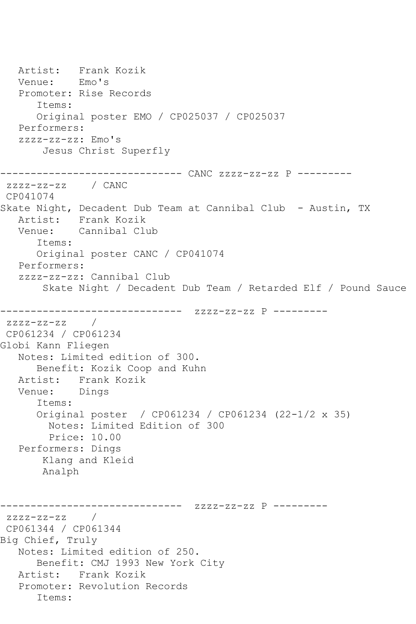Artist: Frank Kozik<br>Venue: Emo's Venue: Promoter: Rise Records Items: Original poster EMO / CP025037 / CP025037 Performers: zzzz-zz-zz: Emo's Jesus Christ Superfly ------------------------------ CANC zzzz-zz-zz P -------- zzzz-zz-zz / CANC CP041074 Skate Night, Decadent Dub Team at Cannibal Club - Austin, TX Artist: Frank Kozik Venue: Cannibal Club Items: Original poster CANC / CP041074 Performers: zzzz-zz-zz: Cannibal Club Skate Night / Decadent Dub Team / Retarded Elf / Pound Sauce ------------------------------ zzzz-zz-zz P --------  $zzzz-zz-zz$  / CP061234 / CP061234 Globi Kann Fliegen Notes: Limited edition of 300. Benefit: Kozik Coop and Kuhn Artist: Frank Kozik Venue: Dings Items: Original poster / CP061234 / CP061234 (22-1/2 x 35) Notes: Limited Edition of 300 Price: 10.00 Performers: Dings Klang and Kleid Analph ------------------------------ zzzz-zz-zz P --------  $zzzz-zz-zz$  / CP061344 / CP061344 Big Chief, Truly Notes: Limited edition of 250. Benefit: CMJ 1993 New York City Artist: Frank Kozik Promoter: Revolution Records Items: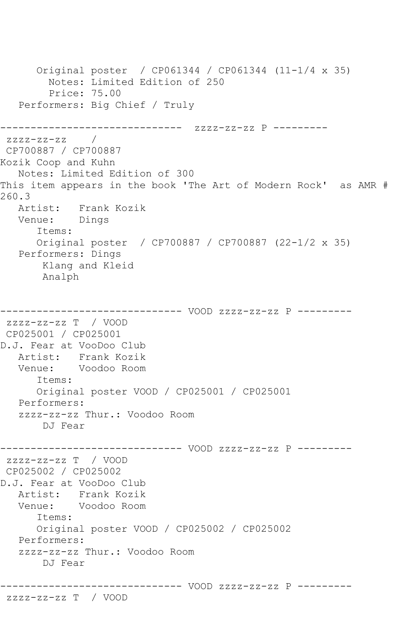```
 Original poster / CP061344 / CP061344 (11-1/4 x 35)
         Notes: Limited Edition of 250
         Price: 75.00
   Performers: Big Chief / Truly
------------------------------ zzzz-zz-zz P ---------
zzzz-zz-zz / 
CP700887 / CP700887
Kozik Coop and Kuhn
   Notes: Limited Edition of 300
This item appears in the book 'The Art of Modern Rock' as AMR # 
260.3
   Artist: Frank Kozik
   Venue: Dings
       Items:
       Original poster / CP700887 / CP700887 (22-1/2 x 35)
   Performers: Dings
        Klang and Kleid
       Analph
------------------------------ VOOD zzzz-zz-zz P ---------
zzzz-zz-zz T / VOOD 
CP025001 / CP025001
D.J. Fear at VooDoo Club
   Artist: Frank Kozik
   Venue: Voodoo Room
       Items:
      Original poster VOOD / CP025001 / CP025001
   Performers:
   zzzz-zz-zz Thur.: Voodoo Room
        DJ Fear
------------------------------ VOOD zzzz-zz-zz P ---------
zzzz-zz-zz T / VOOD 
CP025002 / CP025002
D.J. Fear at VooDoo Club
            Artist: Frank Kozik
   Venue: Voodoo Room
       Items:
      Original poster VOOD / CP025002 / CP025002
   Performers:
   zzzz-zz-zz Thur.: Voodoo Room
       DJ Fear
------------------------------ VOOD zzzz-zz-zz P ---------
```